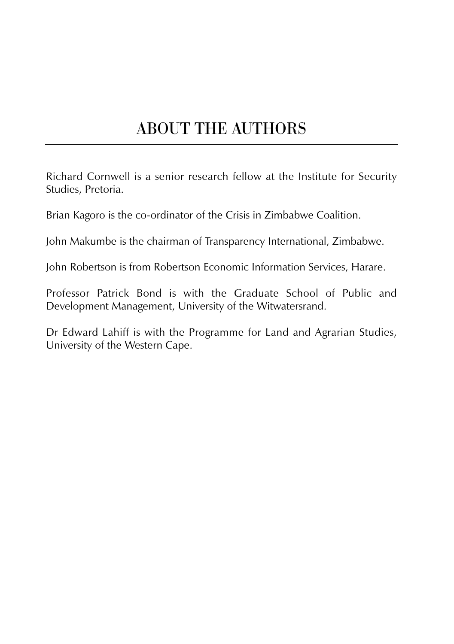# ABOUT THE AUTHORS

Richard Cornwell is a senior research fellow at the Institute for Security Studies, Pretoria.

Brian Kagoro is the co-ordinator of the Crisis in Zimbabwe Coalition.

John Makumbe is the chairman of Transparency International, Zimbabwe.

John Robertson is from Robertson Economic Information Services, Harare.

Professor Patrick Bond is with the Graduate School of Public and Development Management, University of the Witwatersrand.

Dr Edward Lahiff is with the Programme for Land and Agrarian Studies, University of the Western Cape.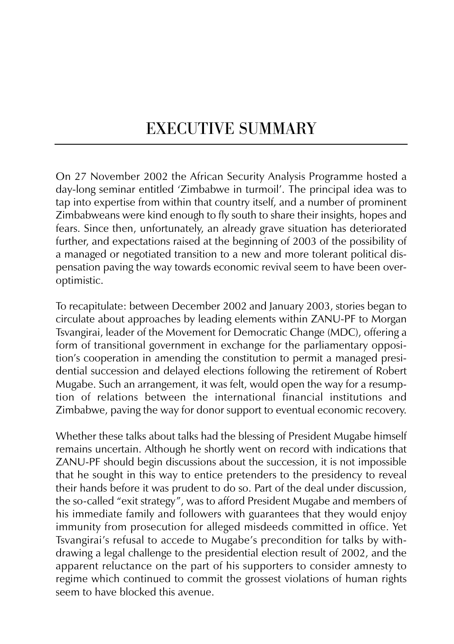# EXECUTIVE SUMMARY

On 27 November 2002 the African Security Analysis Programme hosted a day-long seminar entitled 'Zimbabwe in turmoil'. The principal idea was to tap into expertise from within that country itself, and a number of prominent Zimbabweans were kind enough to fly south to share their insights, hopes and fears. Since then, unfortunately, an already grave situation has deteriorated further, and expectations raised at the beginning of 2003 of the possibility of a managed or negotiated transition to a new and more tolerant political dispensation paving the way towards economic revival seem to have been overoptimistic.

To recapitulate: between December 2002 and January 2003, stories began to circulate about approaches by leading elements within ZANU-PF to Morgan Tsvangirai, leader of the Movement for Democratic Change (MDC), offering a form of transitional government in exchange for the parliamentary opposition's cooperation in amending the constitution to permit a managed presidential succession and delayed elections following the retirement of Robert Mugabe. Such an arrangement, it was felt, would open the way for a resumption of relations between the international financial institutions and Zimbabwe, paving the way for donor support to eventual economic recovery.

Whether these talks about talks had the blessing of President Mugabe himself remains uncertain. Although he shortly went on record with indications that ZANU-PF should begin discussions about the succession, it is not impossible that he sought in this way to entice pretenders to the presidency to reveal their hands before it was prudent to do so. Part of the deal under discussion, the so-called "exit strategy", was to afford President Mugabe and members of his immediate family and followers with guarantees that they would enjoy immunity from prosecution for alleged misdeeds committed in office. Yet Tsvangirai's refusal to accede to Mugabe's precondition for talks by withdrawing a legal challenge to the presidential election result of 2002, and the apparent reluctance on the part of his supporters to consider amnesty to regime which continued to commit the grossest violations of human rights seem to have blocked this avenue.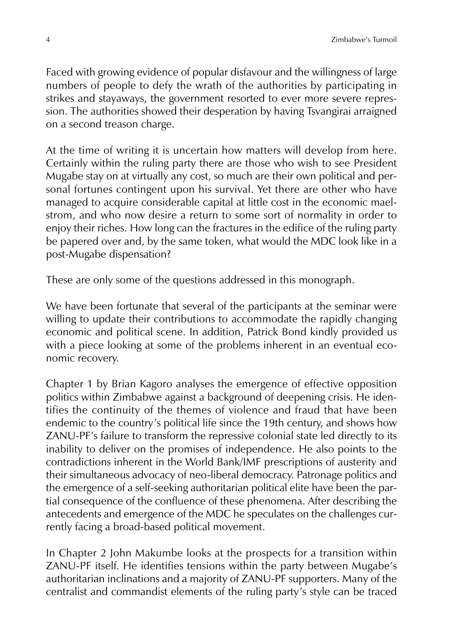Faced with growing evidence of popular disfavour and the willingness of large numbers of people to defy the wrath of the authorities by participating in strikes and stayaways, the government resorted to ever more severe repression. The authorities showed their desperation by having Tsvangirai arraigned on a second treason charge.

At the time of writing it is uncertain how matters will develop from here. Certainly within the ruling party there are those who wish to see President Mugabe stay on at virtually any cost, so much are their own political and personal fortunes contingent upon his survival. Yet there are other who have managed to acquire considerable capital at little cost in the economic maelstrom, and who now desire a return to some sort of normality in order to enjoy their riches. How long can the fractures in the edifice of the ruling party be papered over and, by the same token, what would the MDC look like in a post-Mugabe dispensation?

These are only some of the questions addressed in this monograph.

We have been fortunate that several of the participants at the seminar were willing to update their contributions to accommodate the rapidly changing economic and political scene. In addition, Patrick Bond kindly provided us with a piece looking at some of the problems inherent in an eventual economic recovery.

Chapter 1 by Brian Kagoro analyses the emergence of effective opposition politics within Zimbabwe against a background of deepening crisis. He identifies the continuity of the themes of violence and fraud that have been endemic to the country's political life since the 19th century, and shows how ZANU-PF's failure to transform the repressive colonial state led directly to its inability to deliver on the promises of independence. He also points to the contradictions inherent in the World Bank/IMF prescriptions of austerity and their simultaneous advocacy of neo-liberal democracy. Patronage politics and the emergence of a self-seeking authoritarian political elite have been the partial consequence of the confluence of these phenomena. After describing the antecedents and emergence of the MDC he speculates on the challenges currently facing a broad-based political movement.

In Chapter 2 John Makumbe looks at the prospects for a transition within ZANU-PF itself. He identifies tensions within the party between Mugabe's authoritarian inclinations and a majority of ZANU-PF supporters. Many of the centralist and commandist elements of the ruling party's style can be traced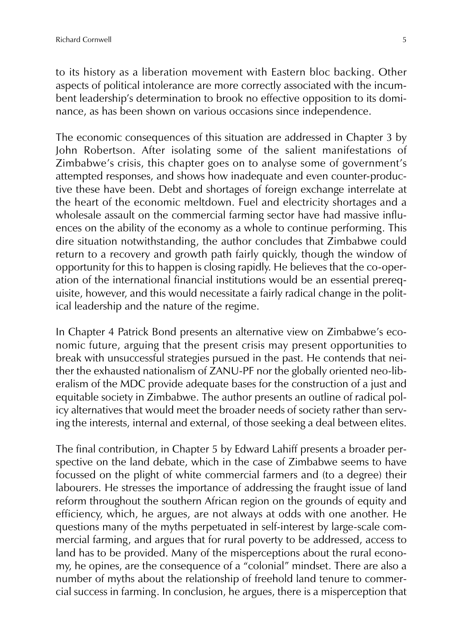to its history as a liberation movement with Eastern bloc backing. Other aspects of political intolerance are more correctly associated with the incumbent leadership's determination to brook no effective opposition to its dominance, as has been shown on various occasions since independence.

The economic consequences of this situation are addressed in Chapter 3 by John Robertson. After isolating some of the salient manifestations of Zimbabwe's crisis, this chapter goes on to analyse some of government's attempted responses, and shows how inadequate and even counter-productive these have been. Debt and shortages of foreign exchange interrelate at the heart of the economic meltdown. Fuel and electricity shortages and a wholesale assault on the commercial farming sector have had massive influences on the ability of the economy as a whole to continue performing. This dire situation notwithstanding, the author concludes that Zimbabwe could return to a recovery and growth path fairly quickly, though the window of opportunity for this to happen is closing rapidly. He believes that the co-operation of the international financial institutions would be an essential prerequisite, however, and this would necessitate a fairly radical change in the political leadership and the nature of the regime.

In Chapter 4 Patrick Bond presents an alternative view on Zimbabwe's economic future, arguing that the present crisis may present opportunities to break with unsuccessful strategies pursued in the past. He contends that neither the exhausted nationalism of ZANU-PF nor the globally oriented neo-liberalism of the MDC provide adequate bases for the construction of a just and equitable society in Zimbabwe. The author presents an outline of radical policy alternatives that would meet the broader needs of society rather than serving the interests, internal and external, of those seeking a deal between elites.

The final contribution, in Chapter 5 by Edward Lahiff presents a broader perspective on the land debate, which in the case of Zimbabwe seems to have focussed on the plight of white commercial farmers and (to a degree) their labourers. He stresses the importance of addressing the fraught issue of land reform throughout the southern African region on the grounds of equity and efficiency, which, he argues, are not always at odds with one another. He questions many of the myths perpetuated in self-interest by large-scale commercial farming, and argues that for rural poverty to be addressed, access to land has to be provided. Many of the misperceptions about the rural economy, he opines, are the consequence of a "colonial" mindset. There are also a number of myths about the relationship of freehold land tenure to commercial success in farming. In conclusion, he argues, there is a misperception that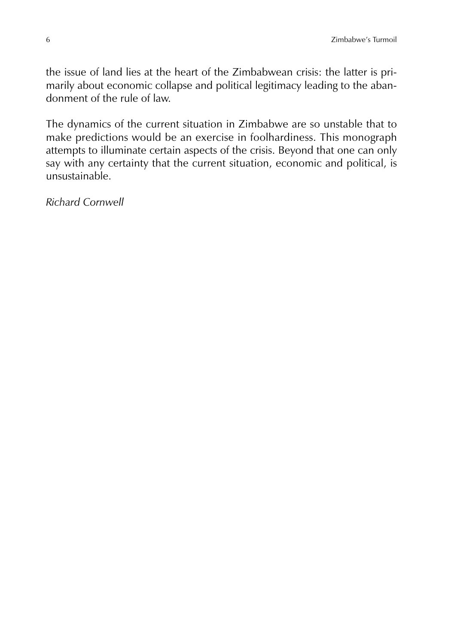the issue of land lies at the heart of the Zimbabwean crisis: the latter is primarily about economic collapse and political legitimacy leading to the abandonment of the rule of law.

The dynamics of the current situation in Zimbabwe are so unstable that to make predictions would be an exercise in foolhardiness. This monograph attempts to illuminate certain aspects of the crisis. Beyond that one can only say with any certainty that the current situation, economic and political, is unsustainable.

*Richard Cornwell*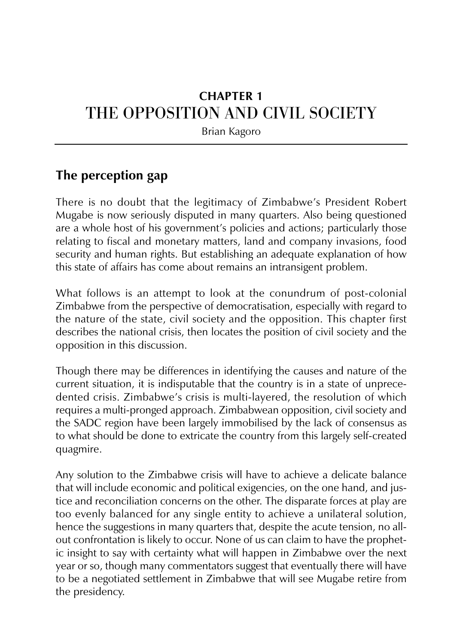# **CHAPTER 1** THE OPPOSITION AND CIVIL SOCIETY

Brian Kagoro

## **The perception gap**

There is no doubt that the legitimacy of Zimbabwe's President Robert Mugabe is now seriously disputed in many quarters. Also being questioned are a whole host of his government's policies and actions; particularly those relating to fiscal and monetary matters, land and company invasions, food security and human rights. But establishing an adequate explanation of how this state of affairs has come about remains an intransigent problem.

What follows is an attempt to look at the conundrum of post-colonial Zimbabwe from the perspective of democratisation, especially with regard to the nature of the state, civil society and the opposition. This chapter first describes the national crisis, then locates the position of civil society and the opposition in this discussion.

Though there may be differences in identifying the causes and nature of the current situation, it is indisputable that the country is in a state of unprecedented crisis. Zimbabwe's crisis is multi-layered, the resolution of which requires a multi-pronged approach. Zimbabwean opposition, civil society and the SADC region have been largely immobilised by the lack of consensus as to what should be done to extricate the country from this largely self-created quagmire.

Any solution to the Zimbabwe crisis will have to achieve a delicate balance that will include economic and political exigencies, on the one hand, and justice and reconciliation concerns on the other. The disparate forces at play are too evenly balanced for any single entity to achieve a unilateral solution, hence the suggestions in many quarters that, despite the acute tension, no allout confrontation is likely to occur. None of us can claim to have the prophetic insight to say with certainty what will happen in Zimbabwe over the next year or so, though many commentators suggest that eventually there will have to be a negotiated settlement in Zimbabwe that will see Mugabe retire from the presidency.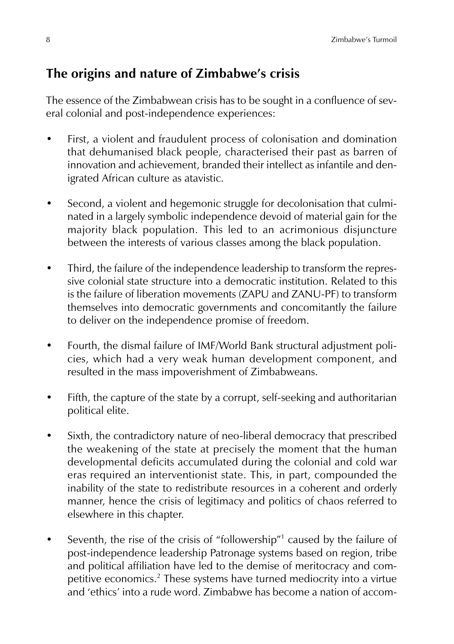## **The origins and nature of Zimbabwe's crisis**

The essence of the Zimbabwean crisis has to be sought in a confluence of several colonial and post-independence experiences:

- First, a violent and fraudulent process of colonisation and domination that dehumanised black people, characterised their past as barren of innovation and achievement, branded their intellect as infantile and denigrated African culture as atavistic.
- Second, a violent and hegemonic struggle for decolonisation that culminated in a largely symbolic independence devoid of material gain for the majority black population. This led to an acrimonious disjuncture between the interests of various classes among the black population.
- Third, the failure of the independence leadership to transform the repressive colonial state structure into a democratic institution. Related to this is the failure of liberation movements (ZAPU and ZANU-PF) to transform themselves into democratic governments and concomitantly the failure to deliver on the independence promise of freedom.
- Fourth, the dismal failure of IMF/World Bank structural adjustment policies, which had a very weak human development component, and resulted in the mass impoverishment of Zimbabweans.
- Fifth, the capture of the state by a corrupt, self-seeking and authoritarian political elite.
- Sixth, the contradictory nature of neo-liberal democracy that prescribed the weakening of the state at precisely the moment that the human developmental deficits accumulated during the colonial and cold war eras required an interventionist state. This, in part, compounded the inability of the state to redistribute resources in a coherent and orderly manner, hence the crisis of legitimacy and politics of chaos referred to elsewhere in this chapter.
- Seventh, the rise of the crisis of "followership"<sup>1</sup> caused by the failure of post-independence leadership Patronage systems based on region, tribe and political affiliation have led to the demise of meritocracy and competitive economics.<sup>2</sup> These systems have turned mediocrity into a virtue and 'ethics' into a rude word. Zimbabwe has become a nation of accom-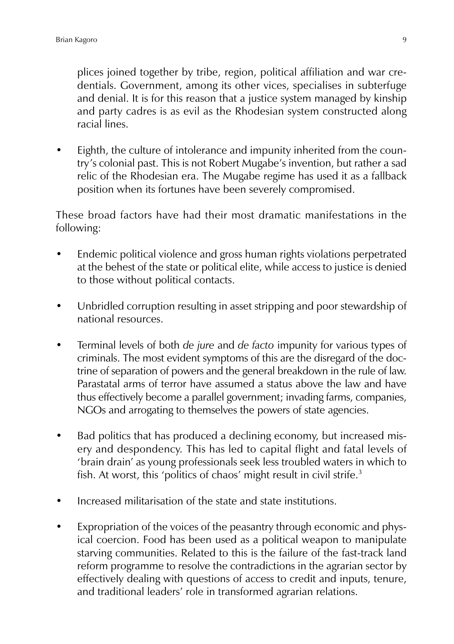plices joined together by tribe, region, political affiliation and war credentials. Government, among its other vices, specialises in subterfuge and denial. It is for this reason that a justice system managed by kinship and party cadres is as evil as the Rhodesian system constructed along racial lines.

• Eighth, the culture of intolerance and impunity inherited from the country's colonial past. This is not Robert Mugabe's invention, but rather a sad relic of the Rhodesian era. The Mugabe regime has used it as a fallback position when its fortunes have been severely compromised.

These broad factors have had their most dramatic manifestations in the following:

- Endemic political violence and gross human rights violations perpetrated at the behest of the state or political elite, while access to justice is denied to those without political contacts.
- Unbridled corruption resulting in asset stripping and poor stewardship of national resources.
- Terminal levels of both *de jure* and *de facto* impunity for various types of criminals. The most evident symptoms of this are the disregard of the doctrine of separation of powers and the general breakdown in the rule of law. Parastatal arms of terror have assumed a status above the law and have thus effectively become a parallel government; invading farms, companies, NGOs and arrogating to themselves the powers of state agencies.
- Bad politics that has produced a declining economy, but increased misery and despondency. This has led to capital flight and fatal levels of 'brain drain' as young professionals seek less troubled waters in which to fish. At worst, this 'politics of chaos' might result in civil strife.<sup>3</sup>
- Increased militarisation of the state and state institutions.
- Expropriation of the voices of the peasantry through economic and physical coercion. Food has been used as a political weapon to manipulate starving communities. Related to this is the failure of the fast-track land reform programme to resolve the contradictions in the agrarian sector by effectively dealing with questions of access to credit and inputs, tenure, and traditional leaders' role in transformed agrarian relations.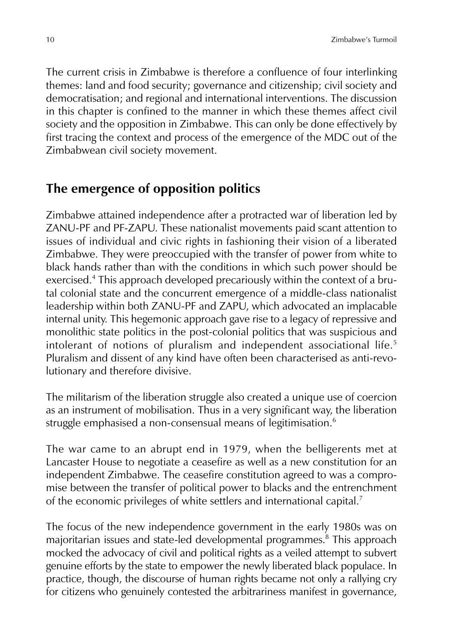The current crisis in Zimbabwe is therefore a confluence of four interlinking themes: land and food security; governance and citizenship; civil society and democratisation; and regional and international interventions. The discussion in this chapter is confined to the manner in which these themes affect civil society and the opposition in Zimbabwe. This can only be done effectively by first tracing the context and process of the emergence of the MDC out of the Zimbabwean civil society movement.

## **The emergence of opposition politics**

Zimbabwe attained independence after a protracted war of liberation led by ZANU-PF and PF-ZAPU. These nationalist movements paid scant attention to issues of individual and civic rights in fashioning their vision of a liberated Zimbabwe. They were preoccupied with the transfer of power from white to black hands rather than with the conditions in which such power should be exercised.<sup>4</sup> This approach developed precariously within the context of a brutal colonial state and the concurrent emergence of a middle-class nationalist leadership within both ZANU-PF and ZAPU, which advocated an implacable internal unity. This hegemonic approach gave rise to a legacy of repressive and monolithic state politics in the post-colonial politics that was suspicious and intolerant of notions of pluralism and independent associational life.<sup>5</sup> Pluralism and dissent of any kind have often been characterised as anti-revolutionary and therefore divisive.

The militarism of the liberation struggle also created a unique use of coercion as an instrument of mobilisation. Thus in a very significant way, the liberation struggle emphasised a non-consensual means of legitimisation.<sup>6</sup>

The war came to an abrupt end in 1979, when the belligerents met at Lancaster House to negotiate a ceasefire as well as a new constitution for an independent Zimbabwe. The ceasefire constitution agreed to was a compromise between the transfer of political power to blacks and the entrenchment of the economic privileges of white settlers and international capital.<sup>7</sup>

The focus of the new independence government in the early 1980s was on majoritarian issues and state-led developmental programmes.<sup>8</sup> This approach mocked the advocacy of civil and political rights as a veiled attempt to subvert genuine efforts by the state to empower the newly liberated black populace. In practice, though, the discourse of human rights became not only a rallying cry for citizens who genuinely contested the arbitrariness manifest in governance,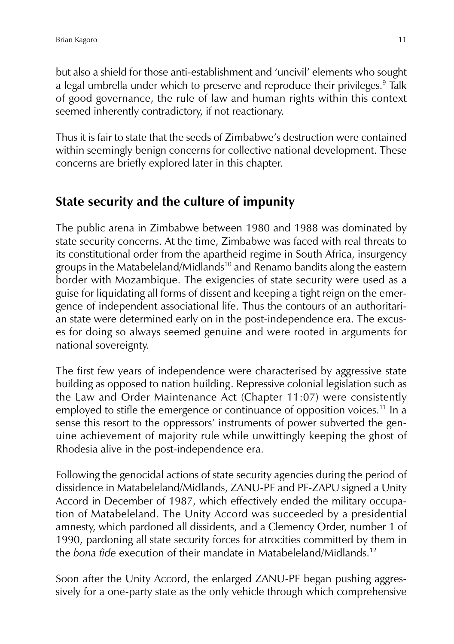but also a shield for those anti-establishment and 'uncivil' elements who sought a legal umbrella under which to preserve and reproduce their privileges.<sup>9</sup> Talk of good governance, the rule of law and human rights within this context seemed inherently contradictory, if not reactionary.

Thus it is fair to state that the seeds of Zimbabwe's destruction were contained within seemingly benign concerns for collective national development. These concerns are briefly explored later in this chapter.

## **State security and the culture of impunity**

The public arena in Zimbabwe between 1980 and 1988 was dominated by state security concerns. At the time, Zimbabwe was faced with real threats to its constitutional order from the apartheid regime in South Africa, insurgency groups in the Matabeleland/Midlands<sup>10</sup> and Renamo bandits along the eastern border with Mozambique. The exigencies of state security were used as a guise for liquidating all forms of dissent and keeping a tight reign on the emergence of independent associational life. Thus the contours of an authoritarian state were determined early on in the post-independence era. The excuses for doing so always seemed genuine and were rooted in arguments for national sovereignty.

The first few years of independence were characterised by aggressive state building as opposed to nation building. Repressive colonial legislation such as the Law and Order Maintenance Act (Chapter 11:07) were consistently employed to stifle the emergence or continuance of opposition voices.<sup>11</sup> In a sense this resort to the oppressors' instruments of power subverted the genuine achievement of majority rule while unwittingly keeping the ghost of Rhodesia alive in the post-independence era.

Following the genocidal actions of state security agencies during the period of dissidence in Matabeleland/Midlands, ZANU-PF and PF-ZAPU signed a Unity Accord in December of 1987, which effectively ended the military occupation of Matabeleland. The Unity Accord was succeeded by a presidential amnesty, which pardoned all dissidents, and a Clemency Order, number 1 of 1990, pardoning all state security forces for atrocities committed by them in the *bona fide* execution of their mandate in Matabeleland/Midlands.<sup>12</sup>

Soon after the Unity Accord, the enlarged ZANU-PF began pushing aggressively for a one-party state as the only vehicle through which comprehensive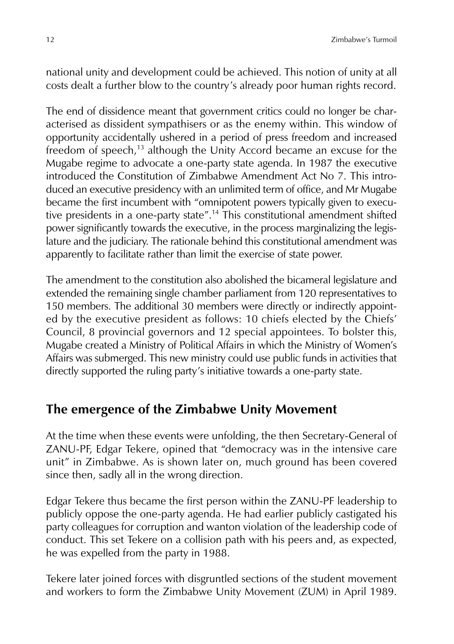national unity and development could be achieved. This notion of unity at all costs dealt a further blow to the country's already poor human rights record.

The end of dissidence meant that government critics could no longer be characterised as dissident sympathisers or as the enemy within. This window of opportunity accidentally ushered in a period of press freedom and increased freedom of speech,<sup>13</sup> although the Unity Accord became an excuse for the Mugabe regime to advocate a one-party state agenda. In 1987 the executive introduced the Constitution of Zimbabwe Amendment Act No 7. This introduced an executive presidency with an unlimited term of office, and Mr Mugabe became the first incumbent with "omnipotent powers typically given to executive presidents in a one-party state".<sup>14</sup> This constitutional amendment shifted power significantly towards the executive, in the process marginalizing the legislature and the judiciary. The rationale behind this constitutional amendment was apparently to facilitate rather than limit the exercise of state power.

The amendment to the constitution also abolished the bicameral legislature and extended the remaining single chamber parliament from 120 representatives to 150 members. The additional 30 members were directly or indirectly appointed by the executive president as follows: 10 chiefs elected by the Chiefs' Council, 8 provincial governors and 12 special appointees. To bolster this, Mugabe created a Ministry of Political Affairs in which the Ministry of Women's Affairs was submerged. This new ministry could use public funds in activities that directly supported the ruling party's initiative towards a one-party state.

#### **The emergence of the Zimbabwe Unity Movement**

At the time when these events were unfolding, the then Secretary-General of ZANU-PF, Edgar Tekere, opined that "democracy was in the intensive care unit" in Zimbabwe. As is shown later on, much ground has been covered since then, sadly all in the wrong direction.

Edgar Tekere thus became the first person within the ZANU-PF leadership to publicly oppose the one-party agenda. He had earlier publicly castigated his party colleagues for corruption and wanton violation of the leadership code of conduct. This set Tekere on a collision path with his peers and, as expected, he was expelled from the party in 1988.

Tekere later joined forces with disgruntled sections of the student movement and workers to form the Zimbabwe Unity Movement (ZUM) in April 1989.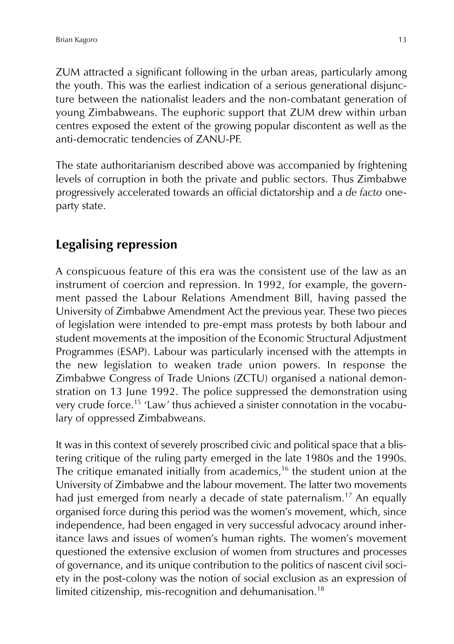ZUM attracted a significant following in the urban areas, particularly among the youth. This was the earliest indication of a serious generational disjuncture between the nationalist leaders and the non-combatant generation of young Zimbabweans. The euphoric support that ZUM drew within urban centres exposed the extent of the growing popular discontent as well as the anti-democratic tendencies of ZANU-PF.

The state authoritarianism described above was accompanied by frightening levels of corruption in both the private and public sectors. Thus Zimbabwe progressively accelerated towards an official dictatorship and a *de facto* oneparty state.

## **Legalising repression**

A conspicuous feature of this era was the consistent use of the law as an instrument of coercion and repression. In 1992, for example, the government passed the Labour Relations Amendment Bill, having passed the University of Zimbabwe Amendment Act the previous year. These two pieces of legislation were intended to pre-empt mass protests by both labour and student movements at the imposition of the Economic Structural Adjustment Programmes (ESAP). Labour was particularly incensed with the attempts in the new legislation to weaken trade union powers. In response the Zimbabwe Congress of Trade Unions (ZCTU) organised a national demonstration on 13 June 1992. The police suppressed the demonstration using very crude force.<sup>15</sup> 'Law' thus achieved a sinister connotation in the vocabulary of oppressed Zimbabweans.

It was in this context of severely proscribed civic and political space that a blistering critique of the ruling party emerged in the late 1980s and the 1990s. The critique emanated initially from academics,<sup>16</sup> the student union at the University of Zimbabwe and the labour movement. The latter two movements had just emerged from nearly a decade of state paternalism.<sup>17</sup> An equally organised force during this period was the women's movement, which, since independence, had been engaged in very successful advocacy around inheritance laws and issues of women's human rights. The women's movement questioned the extensive exclusion of women from structures and processes of governance, and its unique contribution to the politics of nascent civil society in the post-colony was the notion of social exclusion as an expression of limited citizenship, mis-recognition and dehumanisation.<sup>18</sup>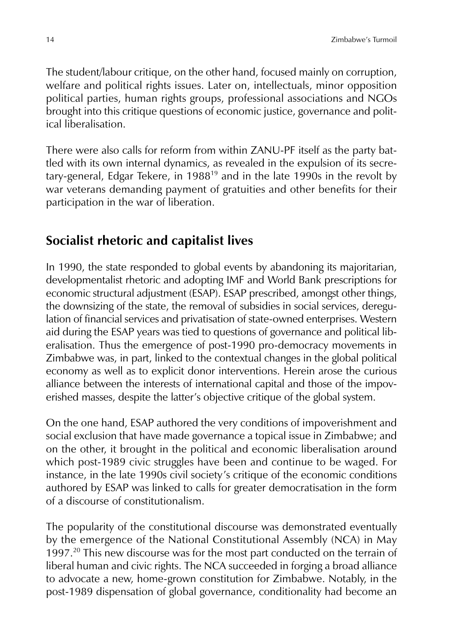The student/labour critique, on the other hand, focused mainly on corruption, welfare and political rights issues. Later on, intellectuals, minor opposition political parties, human rights groups, professional associations and NGOs brought into this critique questions of economic justice, governance and political liberalisation.

There were also calls for reform from within ZANU-PF itself as the party battled with its own internal dynamics, as revealed in the expulsion of its secretary-general, Edgar Tekere, in 1988<sup>19</sup> and in the late 1990s in the revolt by war veterans demanding payment of gratuities and other benefits for their participation in the war of liberation.

#### **Socialist rhetoric and capitalist lives**

In 1990, the state responded to global events by abandoning its majoritarian, developmentalist rhetoric and adopting IMF and World Bank prescriptions for economic structural adjustment (ESAP). ESAP prescribed, amongst other things, the downsizing of the state, the removal of subsidies in social services, deregulation of financial services and privatisation of state-owned enterprises. Western aid during the ESAP years was tied to questions of governance and political liberalisation. Thus the emergence of post-1990 pro-democracy movements in Zimbabwe was, in part, linked to the contextual changes in the global political economy as well as to explicit donor interventions. Herein arose the curious alliance between the interests of international capital and those of the impoverished masses, despite the latter's objective critique of the global system.

On the one hand, ESAP authored the very conditions of impoverishment and social exclusion that have made governance a topical issue in Zimbabwe; and on the other, it brought in the political and economic liberalisation around which post-1989 civic struggles have been and continue to be waged. For instance, in the late 1990s civil society's critique of the economic conditions authored by ESAP was linked to calls for greater democratisation in the form of a discourse of constitutionalism.

The popularity of the constitutional discourse was demonstrated eventually by the emergence of the National Constitutional Assembly (NCA) in May 1997.<sup>20</sup> This new discourse was for the most part conducted on the terrain of liberal human and civic rights. The NCA succeeded in forging a broad alliance to advocate a new, home-grown constitution for Zimbabwe. Notably, in the post-1989 dispensation of global governance, conditionality had become an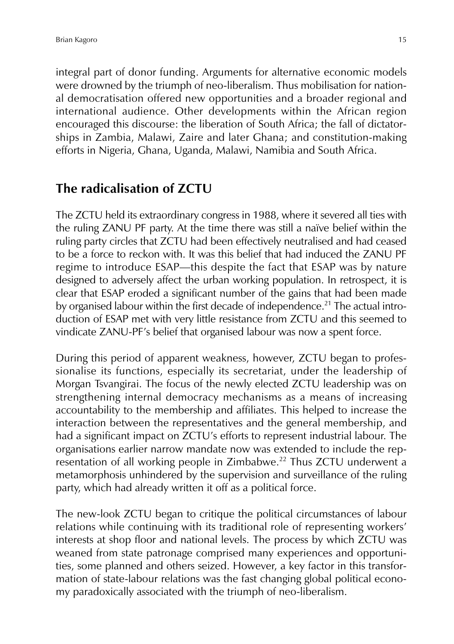integral part of donor funding. Arguments for alternative economic models were drowned by the triumph of neo-liberalism. Thus mobilisation for national democratisation offered new opportunities and a broader regional and international audience. Other developments within the African region encouraged this discourse: the liberation of South Africa; the fall of dictatorships in Zambia, Malawi, Zaire and later Ghana; and constitution-making efforts in Nigeria, Ghana, Uganda, Malawi, Namibia and South Africa.

## **The radicalisation of ZCTU**

The ZCTU held its extraordinary congress in 1988, where it severed all ties with the ruling ZANU PF party. At the time there was still a naïve belief within the ruling party circles that ZCTU had been effectively neutralised and had ceased to be a force to reckon with. It was this belief that had induced the ZANU PF regime to introduce ESAP—this despite the fact that ESAP was by nature designed to adversely affect the urban working population. In retrospect, it is clear that ESAP eroded a significant number of the gains that had been made by organised labour within the first decade of independence.<sup>21</sup> The actual introduction of ESAP met with very little resistance from ZCTU and this seemed to vindicate ZANU-PF's belief that organised labour was now a spent force.

During this period of apparent weakness, however, ZCTU began to professionalise its functions, especially its secretariat, under the leadership of Morgan Tsvangirai. The focus of the newly elected ZCTU leadership was on strengthening internal democracy mechanisms as a means of increasing accountability to the membership and affiliates. This helped to increase the interaction between the representatives and the general membership, and had a significant impact on ZCTU's efforts to represent industrial labour. The organisations earlier narrow mandate now was extended to include the representation of all working people in Zimbabwe.<sup>22</sup> Thus ZCTU underwent a metamorphosis unhindered by the supervision and surveillance of the ruling party, which had already written it off as a political force.

The new-look ZCTU began to critique the political circumstances of labour relations while continuing with its traditional role of representing workers' interests at shop floor and national levels. The process by which ZCTU was weaned from state patronage comprised many experiences and opportunities, some planned and others seized. However, a key factor in this transformation of state-labour relations was the fast changing global political economy paradoxically associated with the triumph of neo-liberalism.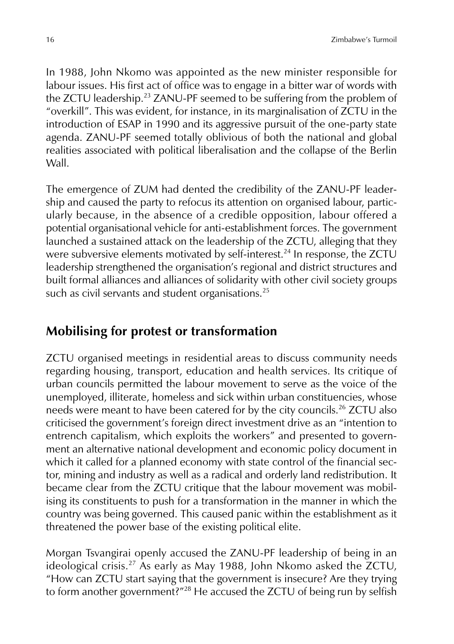In 1988, John Nkomo was appointed as the new minister responsible for labour issues. His first act of office was to engage in a bitter war of words with the ZCTU leadership.<sup>23</sup> ZANU-PF seemed to be suffering from the problem of "overkill". This was evident, for instance, in its marginalisation of ZCTU in the introduction of ESAP in 1990 and its aggressive pursuit of the one-party state agenda. ZANU-PF seemed totally oblivious of both the national and global realities associated with political liberalisation and the collapse of the Berlin Wall.

The emergence of ZUM had dented the credibility of the ZANU-PF leadership and caused the party to refocus its attention on organised labour, particularly because, in the absence of a credible opposition, labour offered a potential organisational vehicle for anti-establishment forces. The government launched a sustained attack on the leadership of the ZCTU, alleging that they were subversive elements motivated by self-interest.<sup>24</sup> In response, the ZCTU leadership strengthened the organisation's regional and district structures and built formal alliances and alliances of solidarity with other civil society groups such as civil servants and student organisations.<sup>25</sup>

## **Mobilising for protest or transformation**

ZCTU organised meetings in residential areas to discuss community needs regarding housing, transport, education and health services. Its critique of urban councils permitted the labour movement to serve as the voice of the unemployed, illiterate, homeless and sick within urban constituencies, whose needs were meant to have been catered for by the city councils.<sup>26</sup> ZCTU also criticised the government's foreign direct investment drive as an "intention to entrench capitalism, which exploits the workers" and presented to government an alternative national development and economic policy document in which it called for a planned economy with state control of the financial sector, mining and industry as well as a radical and orderly land redistribution. It became clear from the ZCTU critique that the labour movement was mobilising its constituents to push for a transformation in the manner in which the country was being governed. This caused panic within the establishment as it threatened the power base of the existing political elite.

Morgan Tsvangirai openly accused the ZANU-PF leadership of being in an ideological crisis.<sup>27</sup> As early as May 1988, John Nkomo asked the ZCTU, "How can ZCTU start saying that the government is insecure? Are they trying to form another government?"<sup>28</sup> He accused the ZCTU of being run by selfish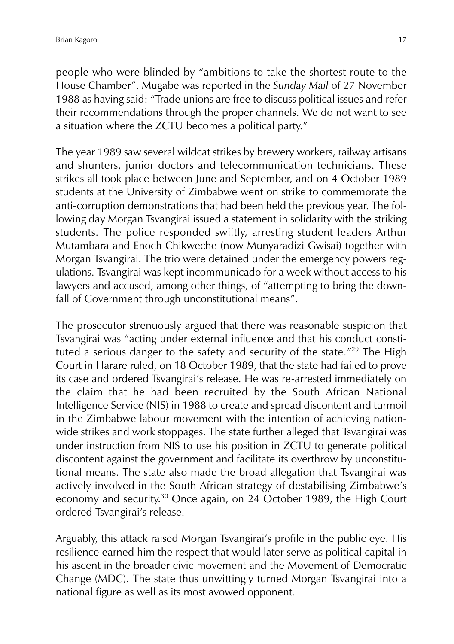people who were blinded by "ambitions to take the shortest route to the House Chamber". Mugabe was reported in the *Sunday Mail* of 27 November 1988 as having said: "Trade unions are free to discuss political issues and refer their recommendations through the proper channels. We do not want to see a situation where the ZCTU becomes a political party."

The year 1989 saw several wildcat strikes by brewery workers, railway artisans and shunters, junior doctors and telecommunication technicians. These strikes all took place between June and September, and on 4 October 1989 students at the University of Zimbabwe went on strike to commemorate the anti-corruption demonstrations that had been held the previous year. The following day Morgan Tsvangirai issued a statement in solidarity with the striking students. The police responded swiftly, arresting student leaders Arthur Mutambara and Enoch Chikweche (now Munyaradizi Gwisai) together with Morgan Tsvangirai. The trio were detained under the emergency powers regulations. Tsvangirai was kept incommunicado for a week without access to his lawyers and accused, among other things, of "attempting to bring the downfall of Government through unconstitutional means".

The prosecutor strenuously argued that there was reasonable suspicion that Tsvangirai was "acting under external influence and that his conduct constituted a serious danger to the safety and security of the state."<sup>29</sup> The High Court in Harare ruled, on 18 October 1989, that the state had failed to prove its case and ordered Tsvangirai's release. He was re-arrested immediately on the claim that he had been recruited by the South African National Intelligence Service (NIS) in 1988 to create and spread discontent and turmoil in the Zimbabwe labour movement with the intention of achieving nationwide strikes and work stoppages. The state further alleged that Tsvangirai was under instruction from NIS to use his position in ZCTU to generate political discontent against the government and facilitate its overthrow by unconstitutional means. The state also made the broad allegation that Tsvangirai was actively involved in the South African strategy of destabilising Zimbabwe's economy and security.<sup>30</sup> Once again, on 24 October 1989, the High Court ordered Tsvangirai's release.

Arguably, this attack raised Morgan Tsvangirai's profile in the public eye. His resilience earned him the respect that would later serve as political capital in his ascent in the broader civic movement and the Movement of Democratic Change (MDC). The state thus unwittingly turned Morgan Tsvangirai into a national figure as well as its most avowed opponent.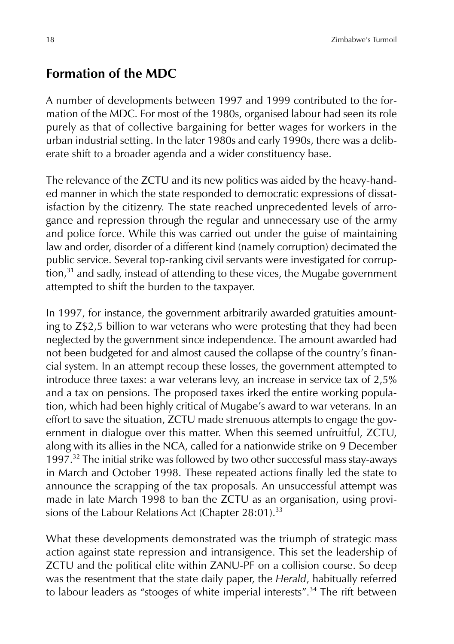#### **Formation of the MDC**

A number of developments between 1997 and 1999 contributed to the formation of the MDC. For most of the 1980s, organised labour had seen its role purely as that of collective bargaining for better wages for workers in the urban industrial setting. In the later 1980s and early 1990s, there was a deliberate shift to a broader agenda and a wider constituency base.

The relevance of the ZCTU and its new politics was aided by the heavy-handed manner in which the state responded to democratic expressions of dissatisfaction by the citizenry. The state reached unprecedented levels of arrogance and repression through the regular and unnecessary use of the army and police force. While this was carried out under the guise of maintaining law and order, disorder of a different kind (namely corruption) decimated the public service. Several top-ranking civil servants were investigated for corrup- $\frac{1}{3}$  and sadly, instead of attending to these vices, the Mugabe government attempted to shift the burden to the taxpayer.

In 1997, for instance, the government arbitrarily awarded gratuities amounting to Z\$2,5 billion to war veterans who were protesting that they had been neglected by the government since independence. The amount awarded had not been budgeted for and almost caused the collapse of the country's financial system. In an attempt recoup these losses, the government attempted to introduce three taxes: a war veterans levy, an increase in service tax of 2,5% and a tax on pensions. The proposed taxes irked the entire working population, which had been highly critical of Mugabe's award to war veterans. In an effort to save the situation, ZCTU made strenuous attempts to engage the government in dialogue over this matter. When this seemed unfruitful, ZCTU, along with its allies in the NCA, called for a nationwide strike on 9 December 1997. $32$  The initial strike was followed by two other successful mass stay-aways in March and October 1998. These repeated actions finally led the state to announce the scrapping of the tax proposals. An unsuccessful attempt was made in late March 1998 to ban the ZCTU as an organisation, using provisions of the Labour Relations Act (Chapter  $28:01$ ).<sup>33</sup>

What these developments demonstrated was the triumph of strategic mass action against state repression and intransigence. This set the leadership of ZCTU and the political elite within ZANU-PF on a collision course. So deep was the resentment that the state daily paper, the *Herald*, habitually referred to labour leaders as "stooges of white imperial interests".<sup>34</sup> The rift between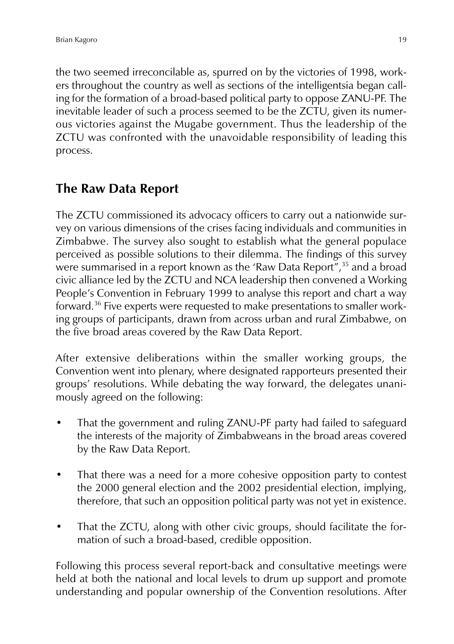the two seemed irreconcilable as, spurred on by the victories of 1998, workers throughout the country as well as sections of the intelligentsia began calling for the formation of a broad-based political party to oppose ZANU-PF. The inevitable leader of such a process seemed to be the ZCTU, given its numerous victories against the Mugabe government. Thus the leadership of the ZCTU was confronted with the unavoidable responsibility of leading this process.

## **The Raw Data Report**

The ZCTU commissioned its advocacy officers to carry out a nationwide survey on various dimensions of the crises facing individuals and communities in Zimbabwe. The survey also sought to establish what the general populace perceived as possible solutions to their dilemma. The findings of this survey were summarised in a report known as the 'Raw Data Report",<sup>35</sup> and a broad civic alliance led by the ZCTU and NCA leadership then convened a Working People's Convention in February 1999 to analyse this report and chart a way forward.<sup>36</sup> Five experts were requested to make presentations to smaller working groups of participants, drawn from across urban and rural Zimbabwe, on the five broad areas covered by the Raw Data Report.

After extensive deliberations within the smaller working groups, the Convention went into plenary, where designated rapporteurs presented their groups' resolutions. While debating the way forward, the delegates unanimously agreed on the following:

- That the government and ruling ZANU-PF party had failed to safeguard the interests of the majority of Zimbabweans in the broad areas covered by the Raw Data Report.
- That there was a need for a more cohesive opposition party to contest the 2000 general election and the 2002 presidential election, implying, therefore, that such an opposition political party was not yet in existence.
- That the ZCTU, along with other civic groups, should facilitate the formation of such a broad-based, credible opposition.

Following this process several report-back and consultative meetings were held at both the national and local levels to drum up support and promote understanding and popular ownership of the Convention resolutions. After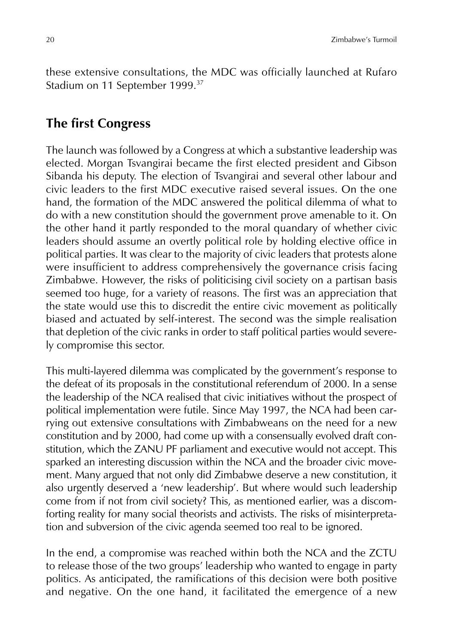these extensive consultations, the MDC was officially launched at Rufaro Stadium on 11 September 1999.<sup>37</sup>

## **The first Congress**

The launch was followed by a Congress at which a substantive leadership was elected. Morgan Tsvangirai became the first elected president and Gibson Sibanda his deputy. The election of Tsvangirai and several other labour and civic leaders to the first MDC executive raised several issues. On the one hand, the formation of the MDC answered the political dilemma of what to do with a new constitution should the government prove amenable to it. On the other hand it partly responded to the moral quandary of whether civic leaders should assume an overtly political role by holding elective office in political parties. It was clear to the majority of civic leaders that protests alone were insufficient to address comprehensively the governance crisis facing Zimbabwe. However, the risks of politicising civil society on a partisan basis seemed too huge, for a variety of reasons. The first was an appreciation that the state would use this to discredit the entire civic movement as politically biased and actuated by self-interest. The second was the simple realisation that depletion of the civic ranks in order to staff political parties would severely compromise this sector.

This multi-layered dilemma was complicated by the government's response to the defeat of its proposals in the constitutional referendum of 2000. In a sense the leadership of the NCA realised that civic initiatives without the prospect of political implementation were futile. Since May 1997, the NCA had been carrying out extensive consultations with Zimbabweans on the need for a new constitution and by 2000, had come up with a consensually evolved draft constitution, which the ZANU PF parliament and executive would not accept. This sparked an interesting discussion within the NCA and the broader civic movement. Many argued that not only did Zimbabwe deserve a new constitution, it also urgently deserved a 'new leadership'. But where would such leadership come from if not from civil society? This, as mentioned earlier, was a discomforting reality for many social theorists and activists. The risks of misinterpretation and subversion of the civic agenda seemed too real to be ignored.

In the end, a compromise was reached within both the NCA and the ZCTU to release those of the two groups' leadership who wanted to engage in party politics. As anticipated, the ramifications of this decision were both positive and negative. On the one hand, it facilitated the emergence of a new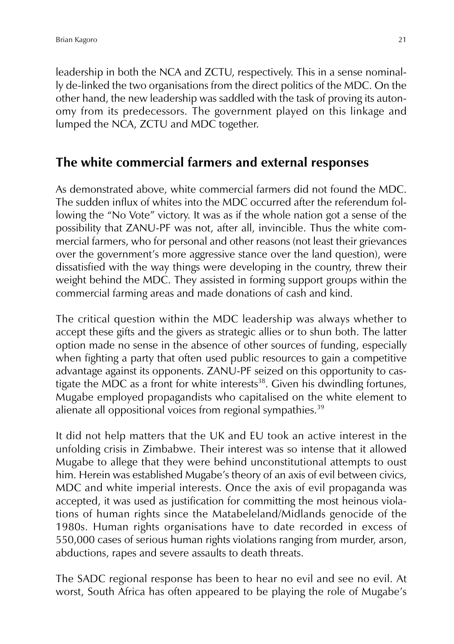leadership in both the NCA and ZCTU, respectively. This in a sense nominally de-linked the two organisations from the direct politics of the MDC. On the other hand, the new leadership was saddled with the task of proving its autonomy from its predecessors. The government played on this linkage and lumped the NCA, ZCTU and MDC together.

#### **The white commercial farmers and external responses**

As demonstrated above, white commercial farmers did not found the MDC. The sudden influx of whites into the MDC occurred after the referendum following the "No Vote" victory. It was as if the whole nation got a sense of the possibility that ZANU-PF was not, after all, invincible. Thus the white commercial farmers, who for personal and other reasons (not least their grievances over the government's more aggressive stance over the land question), were dissatisfied with the way things were developing in the country, threw their weight behind the MDC. They assisted in forming support groups within the commercial farming areas and made donations of cash and kind.

The critical question within the MDC leadership was always whether to accept these gifts and the givers as strategic allies or to shun both. The latter option made no sense in the absence of other sources of funding, especially when fighting a party that often used public resources to gain a competitive advantage against its opponents. ZANU-PF seized on this opportunity to castigate the MDC as a front for white interests $38$ . Given his dwindling fortunes, Mugabe employed propagandists who capitalised on the white element to alienate all oppositional voices from regional sympathies.<sup>39</sup>

It did not help matters that the UK and EU took an active interest in the unfolding crisis in Zimbabwe. Their interest was so intense that it allowed Mugabe to allege that they were behind unconstitutional attempts to oust him. Herein was established Mugabe's theory of an axis of evil between civics, MDC and white imperial interests. Once the axis of evil propaganda was accepted, it was used as justification for committing the most heinous violations of human rights since the Matabeleland/Midlands genocide of the 1980s. Human rights organisations have to date recorded in excess of 550,000 cases of serious human rights violations ranging from murder, arson, abductions, rapes and severe assaults to death threats.

The SADC regional response has been to hear no evil and see no evil. At worst, South Africa has often appeared to be playing the role of Mugabe's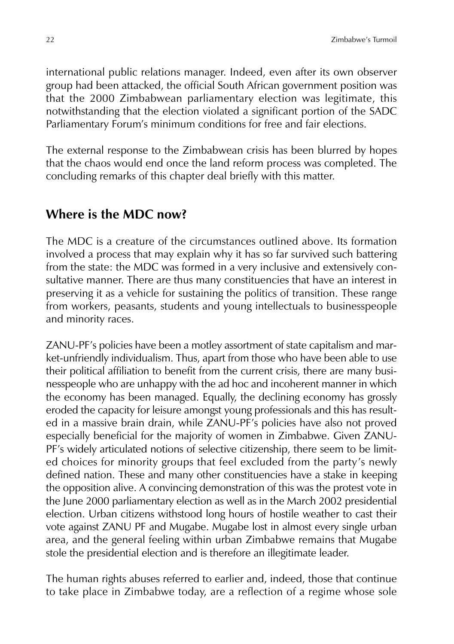international public relations manager. Indeed, even after its own observer group had been attacked, the official South African government position was that the 2000 Zimbabwean parliamentary election was legitimate, this notwithstanding that the election violated a significant portion of the SADC Parliamentary Forum's minimum conditions for free and fair elections.

The external response to the Zimbabwean crisis has been blurred by hopes that the chaos would end once the land reform process was completed. The concluding remarks of this chapter deal briefly with this matter.

## **Where is the MDC now?**

The MDC is a creature of the circumstances outlined above. Its formation involved a process that may explain why it has so far survived such battering from the state: the MDC was formed in a very inclusive and extensively consultative manner. There are thus many constituencies that have an interest in preserving it as a vehicle for sustaining the politics of transition. These range from workers, peasants, students and young intellectuals to businesspeople and minority races.

ZANU-PF's policies have been a motley assortment of state capitalism and market-unfriendly individualism. Thus, apart from those who have been able to use their political affiliation to benefit from the current crisis, there are many businesspeople who are unhappy with the ad hoc and incoherent manner in which the economy has been managed. Equally, the declining economy has grossly eroded the capacity for leisure amongst young professionals and this has resulted in a massive brain drain, while ZANU-PF's policies have also not proved especially beneficial for the majority of women in Zimbabwe. Given ZANU-PF's widely articulated notions of selective citizenship, there seem to be limited choices for minority groups that feel excluded from the party's newly defined nation. These and many other constituencies have a stake in keeping the opposition alive. A convincing demonstration of this was the protest vote in the June 2000 parliamentary election as well as in the March 2002 presidential election. Urban citizens withstood long hours of hostile weather to cast their vote against ZANU PF and Mugabe. Mugabe lost in almost every single urban area, and the general feeling within urban Zimbabwe remains that Mugabe stole the presidential election and is therefore an illegitimate leader.

The human rights abuses referred to earlier and, indeed, those that continue to take place in Zimbabwe today, are a reflection of a regime whose sole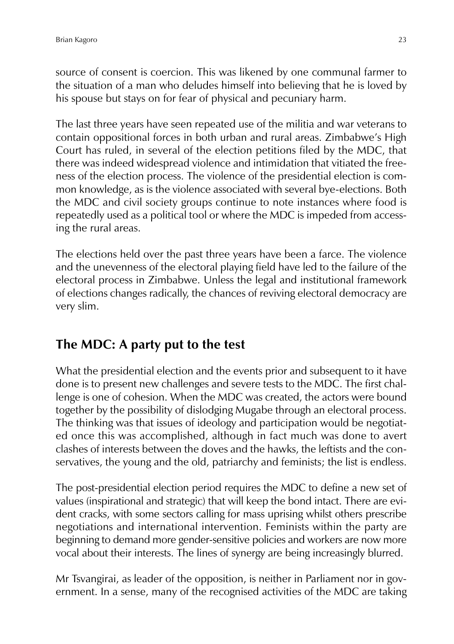source of consent is coercion. This was likened by one communal farmer to the situation of a man who deludes himself into believing that he is loved by his spouse but stays on for fear of physical and pecuniary harm.

The last three years have seen repeated use of the militia and war veterans to contain oppositional forces in both urban and rural areas. Zimbabwe's High Court has ruled, in several of the election petitions filed by the MDC, that there was indeed widespread violence and intimidation that vitiated the freeness of the election process. The violence of the presidential election is common knowledge, as is the violence associated with several bye-elections. Both the MDC and civil society groups continue to note instances where food is repeatedly used as a political tool or where the MDC is impeded from accessing the rural areas.

The elections held over the past three years have been a farce. The violence and the unevenness of the electoral playing field have led to the failure of the electoral process in Zimbabwe. Unless the legal and institutional framework of elections changes radically, the chances of reviving electoral democracy are very slim.

## **The MDC: A party put to the test**

What the presidential election and the events prior and subsequent to it have done is to present new challenges and severe tests to the MDC. The first challenge is one of cohesion. When the MDC was created, the actors were bound together by the possibility of dislodging Mugabe through an electoral process. The thinking was that issues of ideology and participation would be negotiated once this was accomplished, although in fact much was done to avert clashes of interests between the doves and the hawks, the leftists and the conservatives, the young and the old, patriarchy and feminists; the list is endless.

The post-presidential election period requires the MDC to define a new set of values (inspirational and strategic) that will keep the bond intact. There are evident cracks, with some sectors calling for mass uprising whilst others prescribe negotiations and international intervention. Feminists within the party are beginning to demand more gender-sensitive policies and workers are now more vocal about their interests. The lines of synergy are being increasingly blurred.

Mr Tsvangirai, as leader of the opposition, is neither in Parliament nor in government. In a sense, many of the recognised activities of the MDC are taking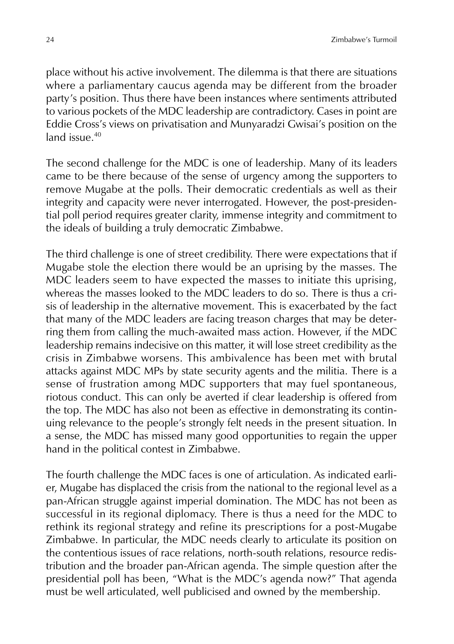place without his active involvement. The dilemma is that there are situations where a parliamentary caucus agenda may be different from the broader party's position. Thus there have been instances where sentiments attributed to various pockets of the MDC leadership are contradictory. Cases in point are Eddie Cross's views on privatisation and Munyaradzi Gwisai's position on the land issue.<sup>40</sup>

The second challenge for the MDC is one of leadership. Many of its leaders came to be there because of the sense of urgency among the supporters to remove Mugabe at the polls. Their democratic credentials as well as their integrity and capacity were never interrogated. However, the post-presidential poll period requires greater clarity, immense integrity and commitment to the ideals of building a truly democratic Zimbabwe.

The third challenge is one of street credibility. There were expectations that if Mugabe stole the election there would be an uprising by the masses. The MDC leaders seem to have expected the masses to initiate this uprising, whereas the masses looked to the MDC leaders to do so. There is thus a crisis of leadership in the alternative movement. This is exacerbated by the fact that many of the MDC leaders are facing treason charges that may be deterring them from calling the much-awaited mass action. However, if the MDC leadership remains indecisive on this matter, it will lose street credibility as the crisis in Zimbabwe worsens. This ambivalence has been met with brutal attacks against MDC MPs by state security agents and the militia. There is a sense of frustration among MDC supporters that may fuel spontaneous, riotous conduct. This can only be averted if clear leadership is offered from the top. The MDC has also not been as effective in demonstrating its continuing relevance to the people's strongly felt needs in the present situation. In a sense, the MDC has missed many good opportunities to regain the upper hand in the political contest in Zimbabwe.

The fourth challenge the MDC faces is one of articulation. As indicated earlier, Mugabe has displaced the crisis from the national to the regional level as a pan-African struggle against imperial domination. The MDC has not been as successful in its regional diplomacy. There is thus a need for the MDC to rethink its regional strategy and refine its prescriptions for a post-Mugabe Zimbabwe. In particular, the MDC needs clearly to articulate its position on the contentious issues of race relations, north-south relations, resource redistribution and the broader pan-African agenda. The simple question after the presidential poll has been, "What is the MDC's agenda now?" That agenda must be well articulated, well publicised and owned by the membership.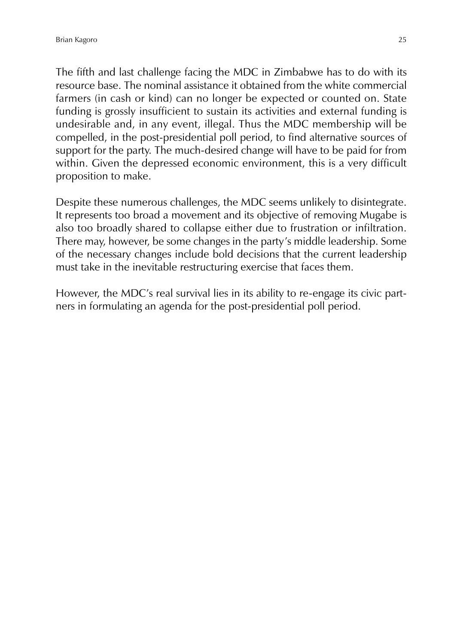The fifth and last challenge facing the MDC in Zimbabwe has to do with its resource base. The nominal assistance it obtained from the white commercial farmers (in cash or kind) can no longer be expected or counted on. State funding is grossly insufficient to sustain its activities and external funding is undesirable and, in any event, illegal. Thus the MDC membership will be compelled, in the post-presidential poll period, to find alternative sources of support for the party. The much-desired change will have to be paid for from within. Given the depressed economic environment, this is a very difficult proposition to make.

Despite these numerous challenges, the MDC seems unlikely to disintegrate. It represents too broad a movement and its objective of removing Mugabe is also too broadly shared to collapse either due to frustration or infiltration. There may, however, be some changes in the party's middle leadership. Some of the necessary changes include bold decisions that the current leadership must take in the inevitable restructuring exercise that faces them.

However, the MDC's real survival lies in its ability to re-engage its civic partners in formulating an agenda for the post-presidential poll period.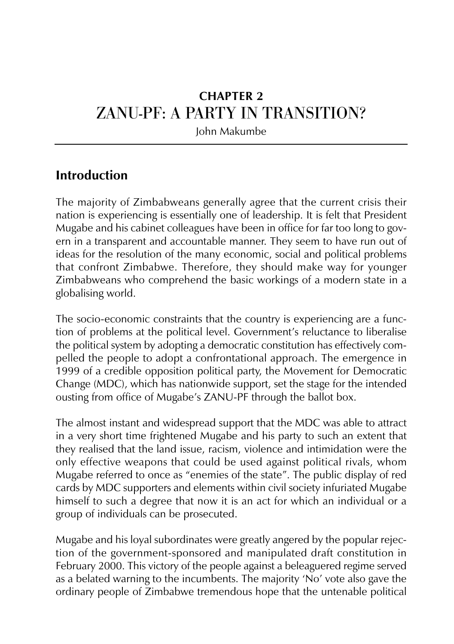# **CHAPTER 2** ZANU-PF: A PARTY IN TRANSITION?

John Makumbe

## **Introduction**

The majority of Zimbabweans generally agree that the current crisis their nation is experiencing is essentially one of leadership. It is felt that President Mugabe and his cabinet colleagues have been in office for far too long to govern in a transparent and accountable manner. They seem to have run out of ideas for the resolution of the many economic, social and political problems that confront Zimbabwe. Therefore, they should make way for younger Zimbabweans who comprehend the basic workings of a modern state in a globalising world.

The socio-economic constraints that the country is experiencing are a function of problems at the political level. Government's reluctance to liberalise the political system by adopting a democratic constitution has effectively compelled the people to adopt a confrontational approach. The emergence in 1999 of a credible opposition political party, the Movement for Democratic Change (MDC), which has nationwide support, set the stage for the intended ousting from office of Mugabe's ZANU-PF through the ballot box.

The almost instant and widespread support that the MDC was able to attract in a very short time frightened Mugabe and his party to such an extent that they realised that the land issue, racism, violence and intimidation were the only effective weapons that could be used against political rivals, whom Mugabe referred to once as "enemies of the state". The public display of red cards by MDC supporters and elements within civil society infuriated Mugabe himself to such a degree that now it is an act for which an individual or a group of individuals can be prosecuted.

Mugabe and his loyal subordinates were greatly angered by the popular rejection of the government-sponsored and manipulated draft constitution in February 2000. This victory of the people against a beleaguered regime served as a belated warning to the incumbents. The majority 'No' vote also gave the ordinary people of Zimbabwe tremendous hope that the untenable political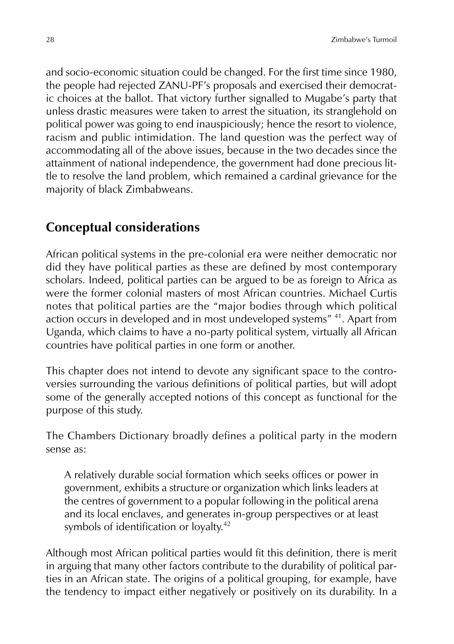and socio-economic situation could be changed. For the first time since 1980, the people had rejected ZANU-PF's proposals and exercised their democratic choices at the ballot. That victory further signalled to Mugabe's party that unless drastic measures were taken to arrest the situation, its stranglehold on political power was going to end inauspiciously; hence the resort to violence, racism and public intimidation. The land question was the perfect way of accommodating all of the above issues, because in the two decades since the attainment of national independence, the government had done precious little to resolve the land problem, which remained a cardinal grievance for the majority of black Zimbabweans.

## **Conceptual considerations**

African political systems in the pre-colonial era were neither democratic nor did they have political parties as these are defined by most contemporary scholars. Indeed, political parties can be argued to be as foreign to Africa as were the former colonial masters of most African countries. Michael Curtis notes that political parties are the "major bodies through which political action occurs in developed and in most undeveloped systems" 41. Apart from Uganda, which claims to have a no-party political system, virtually all African countries have political parties in one form or another.

This chapter does not intend to devote any significant space to the controversies surrounding the various definitions of political parties, but will adopt some of the generally accepted notions of this concept as functional for the purpose of this study.

The Chambers Dictionary broadly defines a political party in the modern sense as:

A relatively durable social formation which seeks offices or power in government, exhibits a structure or organization which links leaders at the centres of government to a popular following in the political arena and its local enclaves, and generates in-group perspectives or at least symbols of identification or loyalty.<sup>42</sup>

Although most African political parties would fit this definition, there is merit in arguing that many other factors contribute to the durability of political parties in an African state. The origins of a political grouping, for example, have the tendency to impact either negatively or positively on its durability. In a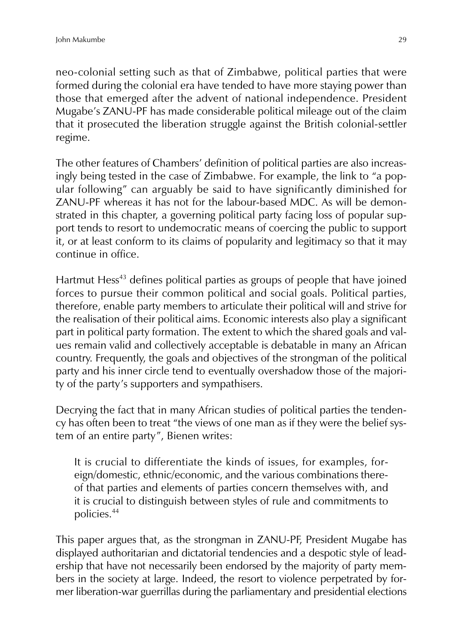neo-colonial setting such as that of Zimbabwe, political parties that were formed during the colonial era have tended to have more staying power than those that emerged after the advent of national independence. President Mugabe's ZANU-PF has made considerable political mileage out of the claim that it prosecuted the liberation struggle against the British colonial-settler regime.

The other features of Chambers' definition of political parties are also increasingly being tested in the case of Zimbabwe. For example, the link to "a popular following" can arguably be said to have significantly diminished for ZANU-PF whereas it has not for the labour-based MDC. As will be demonstrated in this chapter, a governing political party facing loss of popular support tends to resort to undemocratic means of coercing the public to support it, or at least conform to its claims of popularity and legitimacy so that it may continue in office.

Hartmut Hess<sup>43</sup> defines political parties as groups of people that have joined forces to pursue their common political and social goals. Political parties, therefore, enable party members to articulate their political will and strive for the realisation of their political aims. Economic interests also play a significant part in political party formation. The extent to which the shared goals and values remain valid and collectively acceptable is debatable in many an African country. Frequently, the goals and objectives of the strongman of the political party and his inner circle tend to eventually overshadow those of the majority of the party's supporters and sympathisers.

Decrying the fact that in many African studies of political parties the tendency has often been to treat "the views of one man as if they were the belief system of an entire party", Bienen writes:

It is crucial to differentiate the kinds of issues, for examples, foreign/domestic, ethnic/economic, and the various combinations thereof that parties and elements of parties concern themselves with, and it is crucial to distinguish between styles of rule and commitments to policies.<sup>44</sup>

This paper argues that, as the strongman in ZANU-PF, President Mugabe has displayed authoritarian and dictatorial tendencies and a despotic style of leadership that have not necessarily been endorsed by the majority of party members in the society at large. Indeed, the resort to violence perpetrated by former liberation-war guerrillas during the parliamentary and presidential elections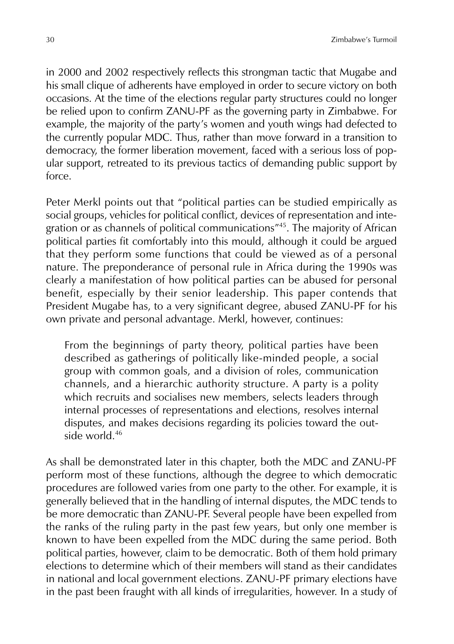in 2000 and 2002 respectively reflects this strongman tactic that Mugabe and his small clique of adherents have employed in order to secure victory on both occasions. At the time of the elections regular party structures could no longer be relied upon to confirm ZANU-PF as the governing party in Zimbabwe. For example, the majority of the party's women and youth wings had defected to the currently popular MDC. Thus, rather than move forward in a transition to democracy, the former liberation movement, faced with a serious loss of popular support, retreated to its previous tactics of demanding public support by force.

Peter Merkl points out that "political parties can be studied empirically as social groups, vehicles for political conflict, devices of representation and integration or as channels of political communications"45. The majority of African political parties fit comfortably into this mould, although it could be argued that they perform some functions that could be viewed as of a personal nature. The preponderance of personal rule in Africa during the 1990s was clearly a manifestation of how political parties can be abused for personal benefit, especially by their senior leadership. This paper contends that President Mugabe has, to a very significant degree, abused ZANU-PF for his own private and personal advantage. Merkl, however, continues:

From the beginnings of party theory, political parties have been described as gatherings of politically like-minded people, a social group with common goals, and a division of roles, communication channels, and a hierarchic authority structure. A party is a polity which recruits and socialises new members, selects leaders through internal processes of representations and elections, resolves internal disputes, and makes decisions regarding its policies toward the outside world.<sup>46</sup>

As shall be demonstrated later in this chapter, both the MDC and ZANU-PF perform most of these functions, although the degree to which democratic procedures are followed varies from one party to the other. For example, it is generally believed that in the handling of internal disputes, the MDC tends to be more democratic than ZANU-PF. Several people have been expelled from the ranks of the ruling party in the past few years, but only one member is known to have been expelled from the MDC during the same period. Both political parties, however, claim to be democratic. Both of them hold primary elections to determine which of their members will stand as their candidates in national and local government elections. ZANU-PF primary elections have in the past been fraught with all kinds of irregularities, however. In a study of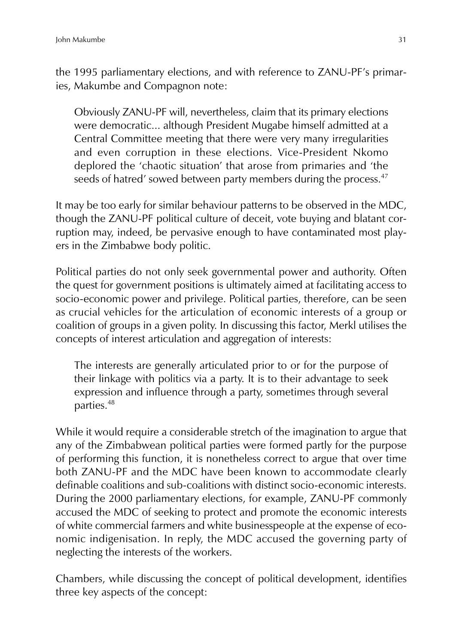the 1995 parliamentary elections, and with reference to ZANU-PF's primaries, Makumbe and Compagnon note:

Obviously ZANU-PF will, nevertheless, claim that its primary elections were democratic... although President Mugabe himself admitted at a Central Committee meeting that there were very many irregularities and even corruption in these elections. Vice-President Nkomo deplored the 'chaotic situation' that arose from primaries and 'the seeds of hatred' sowed between party members during the process.<sup>47</sup>

It may be too early for similar behaviour patterns to be observed in the MDC, though the ZANU-PF political culture of deceit, vote buying and blatant corruption may, indeed, be pervasive enough to have contaminated most players in the Zimbabwe body politic.

Political parties do not only seek governmental power and authority. Often the quest for government positions is ultimately aimed at facilitating access to socio-economic power and privilege. Political parties, therefore, can be seen as crucial vehicles for the articulation of economic interests of a group or coalition of groups in a given polity. In discussing this factor, Merkl utilises the concepts of interest articulation and aggregation of interests:

The interests are generally articulated prior to or for the purpose of their linkage with politics via a party. It is to their advantage to seek expression and influence through a party, sometimes through several parties.<sup>48</sup>

While it would require a considerable stretch of the imagination to argue that any of the Zimbabwean political parties were formed partly for the purpose of performing this function, it is nonetheless correct to argue that over time both ZANU-PF and the MDC have been known to accommodate clearly definable coalitions and sub-coalitions with distinct socio-economic interests. During the 2000 parliamentary elections, for example, ZANU-PF commonly accused the MDC of seeking to protect and promote the economic interests of white commercial farmers and white businesspeople at the expense of economic indigenisation. In reply, the MDC accused the governing party of neglecting the interests of the workers.

Chambers, while discussing the concept of political development, identifies three key aspects of the concept: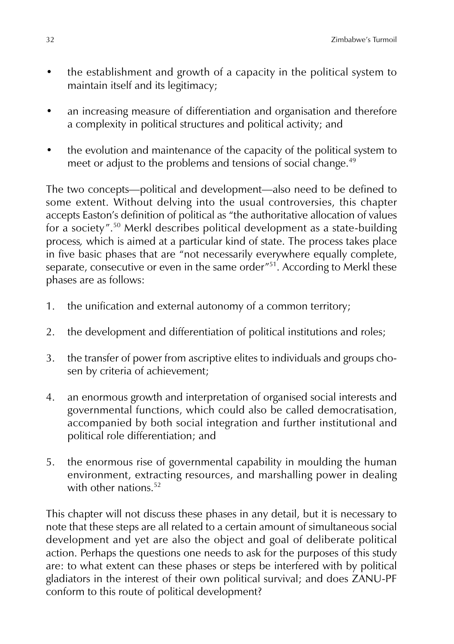- the establishment and growth of a capacity in the political system to maintain itself and its legitimacy;
- an increasing measure of differentiation and organisation and therefore a complexity in political structures and political activity; and
- the evolution and maintenance of the capacity of the political system to meet or adjust to the problems and tensions of social change.<sup>49</sup>

The two concepts—political and development—also need to be defined to some extent. Without delving into the usual controversies, this chapter accepts Easton's definition of political as "the authoritative allocation of values for a society".<sup>50</sup> Merkl describes political development as a state-building process*,* which is aimed at a particular kind of state. The process takes place in five basic phases that are "not necessarily everywhere equally complete, separate, consecutive or even in the same order"<sup>51</sup>. According to Merkl these phases are as follows:

- 1. the unification and external autonomy of a common territory;
- 2. the development and differentiation of political institutions and roles;
- 3. the transfer of power from ascriptive elites to individuals and groups chosen by criteria of achievement;
- 4. an enormous growth and interpretation of organised social interests and governmental functions, which could also be called democratisation, accompanied by both social integration and further institutional and political role differentiation; and
- 5. the enormous rise of governmental capability in moulding the human environment, extracting resources, and marshalling power in dealing with other nations.<sup>52</sup>

This chapter will not discuss these phases in any detail, but it is necessary to note that these steps are all related to a certain amount of simultaneous social development and yet are also the object and goal of deliberate political action. Perhaps the questions one needs to ask for the purposes of this study are: to what extent can these phases or steps be interfered with by political gladiators in the interest of their own political survival; and does ZANU-PF conform to this route of political development?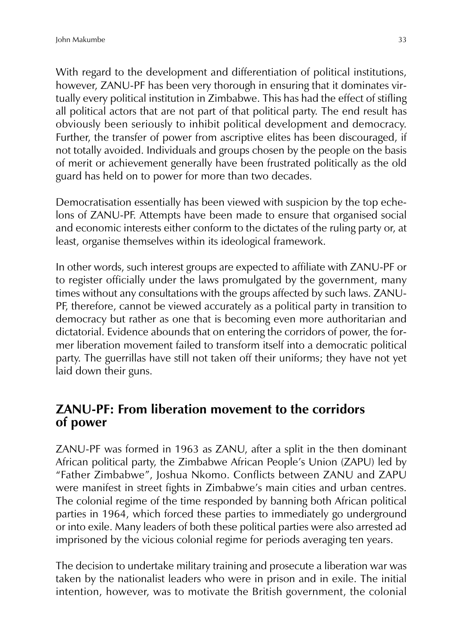With regard to the development and differentiation of political institutions, however, ZANU-PF has been very thorough in ensuring that it dominates virtually every political institution in Zimbabwe. This has had the effect of stifling all political actors that are not part of that political party. The end result has obviously been seriously to inhibit political development and democracy. Further, the transfer of power from ascriptive elites has been discouraged, if not totally avoided. Individuals and groups chosen by the people on the basis of merit or achievement generally have been frustrated politically as the old guard has held on to power for more than two decades.

Democratisation essentially has been viewed with suspicion by the top echelons of ZANU-PF. Attempts have been made to ensure that organised social and economic interests either conform to the dictates of the ruling party or, at least, organise themselves within its ideological framework.

In other words, such interest groups are expected to affiliate with ZANU-PF or to register officially under the laws promulgated by the government, many times without any consultations with the groups affected by such laws. ZANU-PF, therefore, cannot be viewed accurately as a political party in transition to democracy but rather as one that is becoming even more authoritarian and dictatorial. Evidence abounds that on entering the corridors of power, the former liberation movement failed to transform itself into a democratic political party. The guerrillas have still not taken off their uniforms; they have not yet laid down their guns.

#### **ZANU-PF: From liberation movement to the corridors of power**

ZANU-PF was formed in 1963 as ZANU, after a split in the then dominant African political party, the Zimbabwe African People's Union (ZAPU) led by "Father Zimbabwe", Joshua Nkomo. Conflicts between ZANU and ZAPU were manifest in street fights in Zimbabwe's main cities and urban centres. The colonial regime of the time responded by banning both African political parties in 1964, which forced these parties to immediately go underground or into exile. Many leaders of both these political parties were also arrested ad imprisoned by the vicious colonial regime for periods averaging ten years.

The decision to undertake military training and prosecute a liberation war was taken by the nationalist leaders who were in prison and in exile. The initial intention, however, was to motivate the British government, the colonial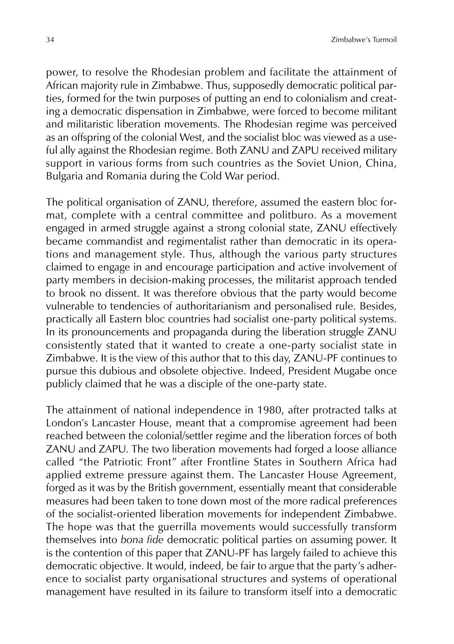power, to resolve the Rhodesian problem and facilitate the attainment of African majority rule in Zimbabwe. Thus, supposedly democratic political parties, formed for the twin purposes of putting an end to colonialism and creating a democratic dispensation in Zimbabwe, were forced to become militant and militaristic liberation movements. The Rhodesian regime was perceived as an offspring of the colonial West, and the socialist bloc was viewed as a useful ally against the Rhodesian regime. Both ZANU and ZAPU received military support in various forms from such countries as the Soviet Union, China, Bulgaria and Romania during the Cold War period.

The political organisation of ZANU, therefore, assumed the eastern bloc format, complete with a central committee and politburo. As a movement engaged in armed struggle against a strong colonial state, ZANU effectively became commandist and regimentalist rather than democratic in its operations and management style. Thus, although the various party structures claimed to engage in and encourage participation and active involvement of party members in decision-making processes, the militarist approach tended to brook no dissent. It was therefore obvious that the party would become vulnerable to tendencies of authoritarianism and personalised rule. Besides, practically all Eastern bloc countries had socialist one-party political systems. In its pronouncements and propaganda during the liberation struggle ZANU consistently stated that it wanted to create a one-party socialist state in Zimbabwe. It is the view of this author that to this day, ZANU-PF continues to pursue this dubious and obsolete objective. Indeed, President Mugabe once publicly claimed that he was a disciple of the one-party state.

The attainment of national independence in 1980, after protracted talks at London's Lancaster House, meant that a compromise agreement had been reached between the colonial/settler regime and the liberation forces of both ZANU and ZAPU. The two liberation movements had forged a loose alliance called "the Patriotic Front" after Frontline States in Southern Africa had applied extreme pressure against them. The Lancaster House Agreement, forged as it was by the British government, essentially meant that considerable measures had been taken to tone down most of the more radical preferences of the socialist-oriented liberation movements for independent Zimbabwe. The hope was that the guerrilla movements would successfully transform themselves into *bona fide* democratic political parties on assuming power. It is the contention of this paper that ZANU-PF has largely failed to achieve this democratic objective. It would, indeed, be fair to argue that the party's adherence to socialist party organisational structures and systems of operational management have resulted in its failure to transform itself into a democratic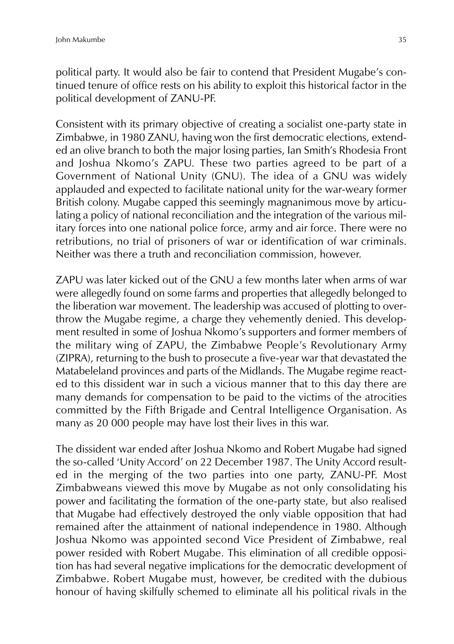political party. It would also be fair to contend that President Mugabe's continued tenure of office rests on his ability to exploit this historical factor in the political development of ZANU-PF.

Consistent with its primary objective of creating a socialist one-party state in Zimbabwe, in 1980 ZANU, having won the first democratic elections, extended an olive branch to both the major losing parties, Ian Smith's Rhodesia Front and Joshua Nkomo's ZAPU. These two parties agreed to be part of a Government of National Unity (GNU). The idea of a GNU was widely applauded and expected to facilitate national unity for the war-weary former British colony. Mugabe capped this seemingly magnanimous move by articulating a policy of national reconciliation and the integration of the various military forces into one national police force, army and air force. There were no retributions, no trial of prisoners of war or identification of war criminals. Neither was there a truth and reconciliation commission, however.

ZAPU was later kicked out of the GNU a few months later when arms of war were allegedly found on some farms and properties that allegedly belonged to the liberation war movement. The leadership was accused of plotting to overthrow the Mugabe regime, a charge they vehemently denied. This development resulted in some of Joshua Nkomo's supporters and former members of the military wing of ZAPU, the Zimbabwe People's Revolutionary Army (ZIPRA), returning to the bush to prosecute a five-year war that devastated the Matabeleland provinces and parts of the Midlands. The Mugabe regime reacted to this dissident war in such a vicious manner that to this day there are many demands for compensation to be paid to the victims of the atrocities committed by the Fifth Brigade and Central Intelligence Organisation. As many as 20 000 people may have lost their lives in this war.

The dissident war ended after Joshua Nkomo and Robert Mugabe had signed the so-called 'Unity Accord' on 22 December 1987. The Unity Accord resulted in the merging of the two parties into one party, ZANU-PF. Most Zimbabweans viewed this move by Mugabe as not only consolidating his power and facilitating the formation of the one-party state, but also realised that Mugabe had effectively destroyed the only viable opposition that had remained after the attainment of national independence in 1980. Although Joshua Nkomo was appointed second Vice President of Zimbabwe, real power resided with Robert Mugabe. This elimination of all credible opposition has had several negative implications for the democratic development of Zimbabwe. Robert Mugabe must, however, be credited with the dubious honour of having skilfully schemed to eliminate all his political rivals in the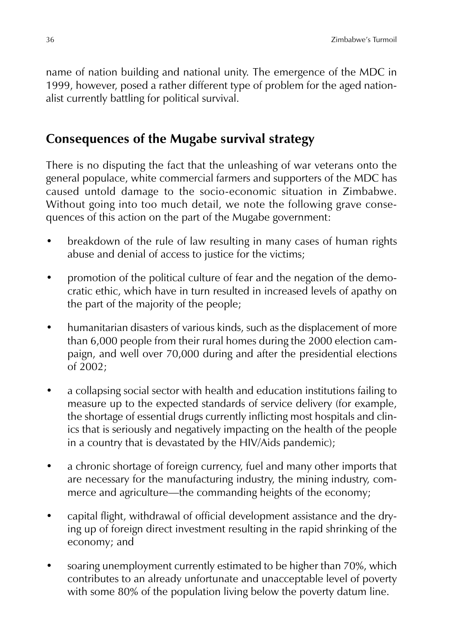name of nation building and national unity. The emergence of the MDC in 1999, however, posed a rather different type of problem for the aged nationalist currently battling for political survival.

#### **Consequences of the Mugabe survival strategy**

There is no disputing the fact that the unleashing of war veterans onto the general populace, white commercial farmers and supporters of the MDC has caused untold damage to the socio-economic situation in Zimbabwe. Without going into too much detail, we note the following grave consequences of this action on the part of the Mugabe government:

- breakdown of the rule of law resulting in many cases of human rights abuse and denial of access to justice for the victims;
- promotion of the political culture of fear and the negation of the democratic ethic, which have in turn resulted in increased levels of apathy on the part of the majority of the people;
- humanitarian disasters of various kinds, such as the displacement of more than 6,000 people from their rural homes during the 2000 election campaign, and well over 70,000 during and after the presidential elections of 2002;
- a collapsing social sector with health and education institutions failing to measure up to the expected standards of service delivery (for example, the shortage of essential drugs currently inflicting most hospitals and clinics that is seriously and negatively impacting on the health of the people in a country that is devastated by the HIV/Aids pandemic);
- a chronic shortage of foreign currency, fuel and many other imports that are necessary for the manufacturing industry, the mining industry, commerce and agriculture—the commanding heights of the economy;
- capital flight, withdrawal of official development assistance and the drying up of foreign direct investment resulting in the rapid shrinking of the economy; and
- soaring unemployment currently estimated to be higher than 70%, which contributes to an already unfortunate and unacceptable level of poverty with some 80% of the population living below the poverty datum line.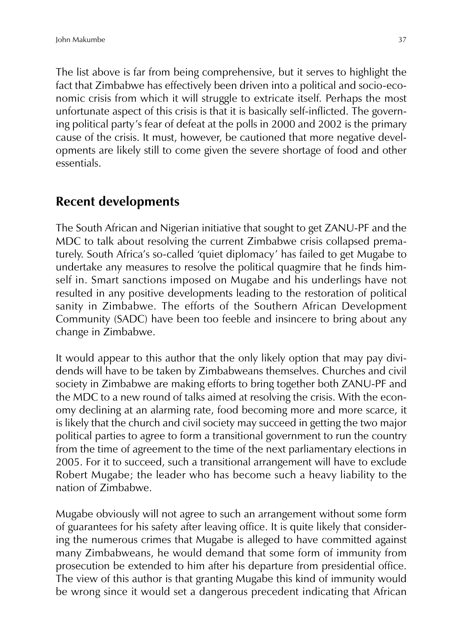The list above is far from being comprehensive, but it serves to highlight the fact that Zimbabwe has effectively been driven into a political and socio-economic crisis from which it will struggle to extricate itself. Perhaps the most unfortunate aspect of this crisis is that it is basically self-inflicted. The governing political party's fear of defeat at the polls in 2000 and 2002 is the primary cause of the crisis. It must, however, be cautioned that more negative developments are likely still to come given the severe shortage of food and other essentials.

## **Recent developments**

The South African and Nigerian initiative that sought to get ZANU-PF and the MDC to talk about resolving the current Zimbabwe crisis collapsed prematurely. South Africa's so-called 'quiet diplomacy' has failed to get Mugabe to undertake any measures to resolve the political quagmire that he finds himself in. Smart sanctions imposed on Mugabe and his underlings have not resulted in any positive developments leading to the restoration of political sanity in Zimbabwe. The efforts of the Southern African Development Community (SADC) have been too feeble and insincere to bring about any change in Zimbabwe.

It would appear to this author that the only likely option that may pay dividends will have to be taken by Zimbabweans themselves. Churches and civil society in Zimbabwe are making efforts to bring together both ZANU-PF and the MDC to a new round of talks aimed at resolving the crisis. With the economy declining at an alarming rate, food becoming more and more scarce, it is likely that the church and civil society may succeed in getting the two major political parties to agree to form a transitional government to run the country from the time of agreement to the time of the next parliamentary elections in 2005. For it to succeed, such a transitional arrangement will have to exclude Robert Mugabe; the leader who has become such a heavy liability to the nation of Zimbabwe.

Mugabe obviously will not agree to such an arrangement without some form of guarantees for his safety after leaving office. It is quite likely that considering the numerous crimes that Mugabe is alleged to have committed against many Zimbabweans, he would demand that some form of immunity from prosecution be extended to him after his departure from presidential office. The view of this author is that granting Mugabe this kind of immunity would be wrong since it would set a dangerous precedent indicating that African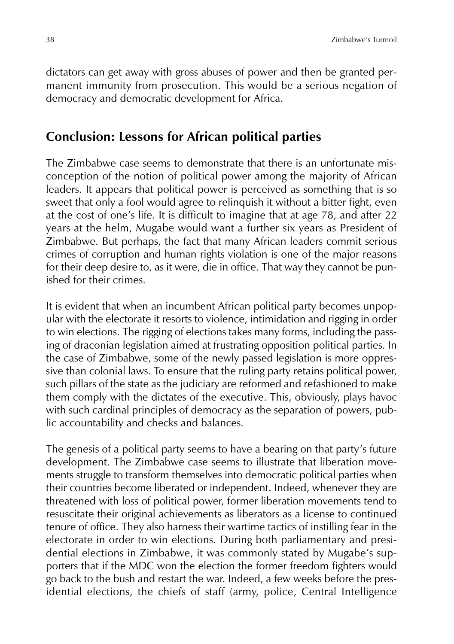dictators can get away with gross abuses of power and then be granted permanent immunity from prosecution. This would be a serious negation of democracy and democratic development for Africa.

#### **Conclusion: Lessons for African political parties**

The Zimbabwe case seems to demonstrate that there is an unfortunate misconception of the notion of political power among the majority of African leaders. It appears that political power is perceived as something that is so sweet that only a fool would agree to relinquish it without a bitter fight, even at the cost of one's life. It is difficult to imagine that at age 78, and after 22 years at the helm, Mugabe would want a further six years as President of Zimbabwe. But perhaps, the fact that many African leaders commit serious crimes of corruption and human rights violation is one of the major reasons for their deep desire to, as it were, die in office. That way they cannot be punished for their crimes.

It is evident that when an incumbent African political party becomes unpopular with the electorate it resorts to violence, intimidation and rigging in order to win elections. The rigging of elections takes many forms, including the passing of draconian legislation aimed at frustrating opposition political parties. In the case of Zimbabwe, some of the newly passed legislation is more oppressive than colonial laws. To ensure that the ruling party retains political power, such pillars of the state as the judiciary are reformed and refashioned to make them comply with the dictates of the executive. This, obviously, plays havoc with such cardinal principles of democracy as the separation of powers, public accountability and checks and balances.

The genesis of a political party seems to have a bearing on that party's future development. The Zimbabwe case seems to illustrate that liberation movements struggle to transform themselves into democratic political parties when their countries become liberated or independent. Indeed, whenever they are threatened with loss of political power, former liberation movements tend to resuscitate their original achievements as liberators as a license to continued tenure of office. They also harness their wartime tactics of instilling fear in the electorate in order to win elections. During both parliamentary and presidential elections in Zimbabwe, it was commonly stated by Mugabe's supporters that if the MDC won the election the former freedom fighters would go back to the bush and restart the war. Indeed, a few weeks before the presidential elections, the chiefs of staff (army, police, Central Intelligence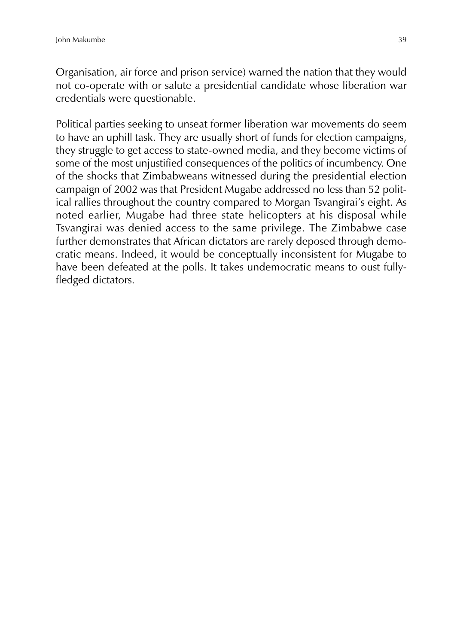Organisation, air force and prison service) warned the nation that they would not co-operate with or salute a presidential candidate whose liberation war credentials were questionable.

Political parties seeking to unseat former liberation war movements do seem to have an uphill task. They are usually short of funds for election campaigns, they struggle to get access to state-owned media, and they become victims of some of the most unjustified consequences of the politics of incumbency. One of the shocks that Zimbabweans witnessed during the presidential election campaign of 2002 was that President Mugabe addressed no less than 52 political rallies throughout the country compared to Morgan Tsvangirai's eight. As noted earlier, Mugabe had three state helicopters at his disposal while Tsvangirai was denied access to the same privilege. The Zimbabwe case further demonstrates that African dictators are rarely deposed through democratic means. Indeed, it would be conceptually inconsistent for Mugabe to have been defeated at the polls. It takes undemocratic means to oust fullyfledged dictators.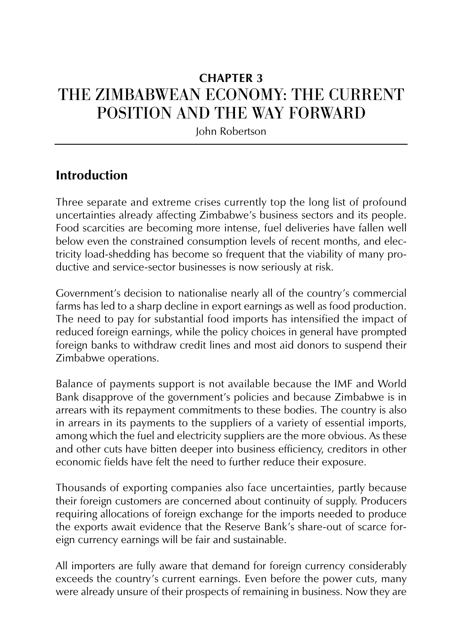# **CHAPTER 3** THE ZIMBABWEAN ECONOMY: THE CURRENT POSITION AND THE WAY FORWARD

John Robertson

### **Introduction**

Three separate and extreme crises currently top the long list of profound uncertainties already affecting Zimbabwe's business sectors and its people. Food scarcities are becoming more intense, fuel deliveries have fallen well below even the constrained consumption levels of recent months, and electricity load-shedding has become so frequent that the viability of many productive and service-sector businesses is now seriously at risk.

Government's decision to nationalise nearly all of the country's commercial farms has led to a sharp decline in export earnings as well as food production. The need to pay for substantial food imports has intensified the impact of reduced foreign earnings, while the policy choices in general have prompted foreign banks to withdraw credit lines and most aid donors to suspend their Zimbabwe operations.

Balance of payments support is not available because the IMF and World Bank disapprove of the government's policies and because Zimbabwe is in arrears with its repayment commitments to these bodies. The country is also in arrears in its payments to the suppliers of a variety of essential imports, among which the fuel and electricity suppliers are the more obvious. As these and other cuts have bitten deeper into business efficiency, creditors in other economic fields have felt the need to further reduce their exposure.

Thousands of exporting companies also face uncertainties, partly because their foreign customers are concerned about continuity of supply. Producers requiring allocations of foreign exchange for the imports needed to produce the exports await evidence that the Reserve Bank's share-out of scarce foreign currency earnings will be fair and sustainable.

All importers are fully aware that demand for foreign currency considerably exceeds the country's current earnings. Even before the power cuts, many were already unsure of their prospects of remaining in business. Now they are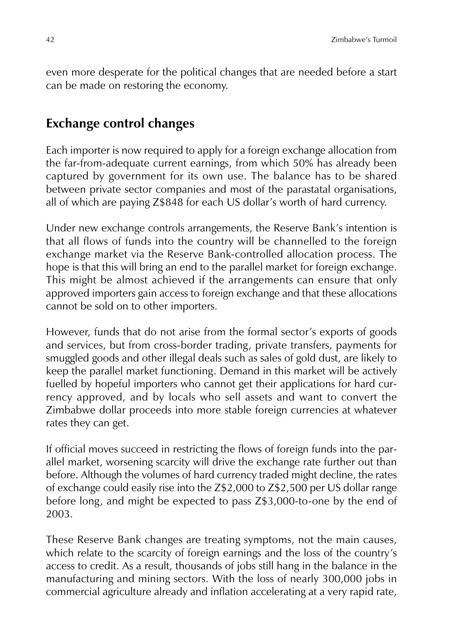even more desperate for the political changes that are needed before a start can be made on restoring the economy.

### **Exchange control changes**

Each importer is now required to apply for a foreign exchange allocation from the far-from-adequate current earnings, from which 50% has already been captured by government for its own use. The balance has to be shared between private sector companies and most of the parastatal organisations, all of which are paying Z\$848 for each US dollar's worth of hard currency.

Under new exchange controls arrangements, the Reserve Bank's intention is that all flows of funds into the country will be channelled to the foreign exchange market via the Reserve Bank-controlled allocation process. The hope is that this will bring an end to the parallel market for foreign exchange. This might be almost achieved if the arrangements can ensure that only approved importers gain access to foreign exchange and that these allocations cannot be sold on to other importers.

However, funds that do not arise from the formal sector's exports of goods and services, but from cross-border trading, private transfers, payments for smuggled goods and other illegal deals such as sales of gold dust, are likely to keep the parallel market functioning. Demand in this market will be actively fuelled by hopeful importers who cannot get their applications for hard currency approved, and by locals who sell assets and want to convert the Zimbabwe dollar proceeds into more stable foreign currencies at whatever rates they can get.

If official moves succeed in restricting the flows of foreign funds into the parallel market, worsening scarcity will drive the exchange rate further out than before. Although the volumes of hard currency traded might decline, the rates of exchange could easily rise into the Z\$2,000 to Z\$2,500 per US dollar range before long, and might be expected to pass Z\$3,000-to-one by the end of 2003.

These Reserve Bank changes are treating symptoms, not the main causes, which relate to the scarcity of foreign earnings and the loss of the country's access to credit. As a result, thousands of jobs still hang in the balance in the manufacturing and mining sectors. With the loss of nearly 300,000 jobs in commercial agriculture already and inflation accelerating at a very rapid rate,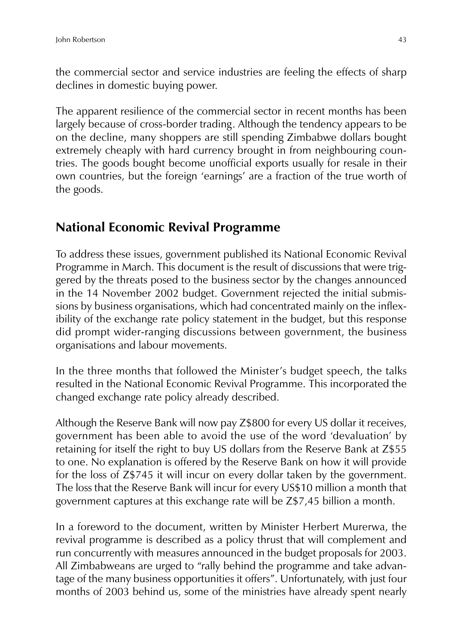the commercial sector and service industries are feeling the effects of sharp declines in domestic buying power.

The apparent resilience of the commercial sector in recent months has been largely because of cross-border trading. Although the tendency appears to be on the decline, many shoppers are still spending Zimbabwe dollars bought extremely cheaply with hard currency brought in from neighbouring countries. The goods bought become unofficial exports usually for resale in their own countries, but the foreign 'earnings' are a fraction of the true worth of the goods.

### **National Economic Revival Programme**

To address these issues, government published its National Economic Revival Programme in March. This document is the result of discussions that were triggered by the threats posed to the business sector by the changes announced in the 14 November 2002 budget. Government rejected the initial submissions by business organisations, which had concentrated mainly on the inflexibility of the exchange rate policy statement in the budget, but this response did prompt wider-ranging discussions between government, the business organisations and labour movements.

In the three months that followed the Minister's budget speech, the talks resulted in the National Economic Revival Programme. This incorporated the changed exchange rate policy already described.

Although the Reserve Bank will now pay Z\$800 for every US dollar it receives, government has been able to avoid the use of the word 'devaluation' by retaining for itself the right to buy US dollars from the Reserve Bank at Z\$55 to one. No explanation is offered by the Reserve Bank on how it will provide for the loss of Z\$745 it will incur on every dollar taken by the government. The loss that the Reserve Bank will incur for every US\$10 million a month that government captures at this exchange rate will be Z\$7,45 billion a month.

In a foreword to the document, written by Minister Herbert Murerwa, the revival programme is described as a policy thrust that will complement and run concurrently with measures announced in the budget proposals for 2003. All Zimbabweans are urged to "rally behind the programme and take advantage of the many business opportunities it offers". Unfortunately, with just four months of 2003 behind us, some of the ministries have already spent nearly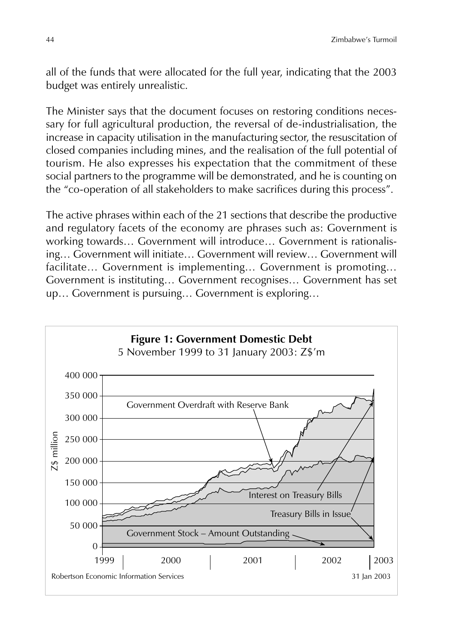all of the funds that were allocated for the full year, indicating that the 2003 budget was entirely unrealistic.

The Minister says that the document focuses on restoring conditions necessary for full agricultural production, the reversal of de-industrialisation, the increase in capacity utilisation in the manufacturing sector, the resuscitation of closed companies including mines, and the realisation of the full potential of tourism. He also expresses his expectation that the commitment of these social partners to the programme will be demonstrated, and he is counting on the "co-operation of all stakeholders to make sacrifices during this process".

The active phrases within each of the 21 sections that describe the productive and regulatory facets of the economy are phrases such as: Government is working towards… Government will introduce… Government is rationalising… Government will initiate… Government will review… Government will facilitate… Government is implementing… Government is promoting… Government is instituting… Government recognises… Government has set up… Government is pursuing… Government is exploring…

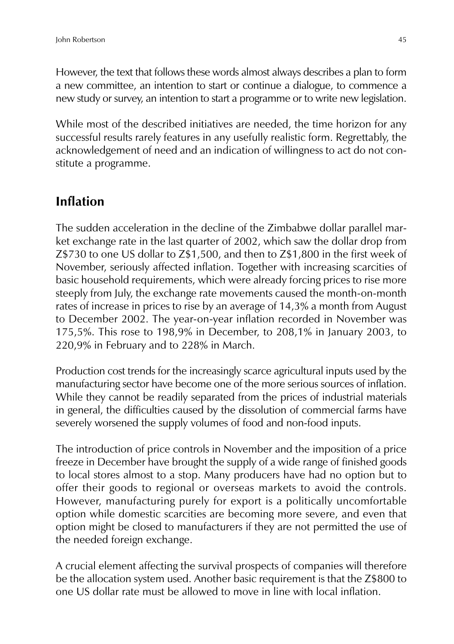However, the text that follows these words almost always describes a plan to form a new committee, an intention to start or continue a dialogue, to commence a new study or survey, an intention to start a programme or to write new legislation.

While most of the described initiatives are needed, the time horizon for any successful results rarely features in any usefully realistic form. Regrettably, the acknowledgement of need and an indication of willingness to act do not constitute a programme.

### **Inflation**

The sudden acceleration in the decline of the Zimbabwe dollar parallel market exchange rate in the last quarter of 2002, which saw the dollar drop from Z\$730 to one US dollar to Z\$1,500, and then to Z\$1,800 in the first week of November, seriously affected inflation. Together with increasing scarcities of basic household requirements, which were already forcing prices to rise more steeply from July, the exchange rate movements caused the month-on-month rates of increase in prices to rise by an average of 14,3% a month from August to December 2002. The year-on-year inflation recorded in November was 175,5%. This rose to 198,9% in December, to 208,1% in January 2003, to 220,9% in February and to 228% in March.

Production cost trends for the increasingly scarce agricultural inputs used by the manufacturing sector have become one of the more serious sources of inflation. While they cannot be readily separated from the prices of industrial materials in general, the difficulties caused by the dissolution of commercial farms have severely worsened the supply volumes of food and non-food inputs.

The introduction of price controls in November and the imposition of a price freeze in December have brought the supply of a wide range of finished goods to local stores almost to a stop. Many producers have had no option but to offer their goods to regional or overseas markets to avoid the controls. However, manufacturing purely for export is a politically uncomfortable option while domestic scarcities are becoming more severe, and even that option might be closed to manufacturers if they are not permitted the use of the needed foreign exchange.

A crucial element affecting the survival prospects of companies will therefore be the allocation system used. Another basic requirement is that the Z\$800 to one US dollar rate must be allowed to move in line with local inflation.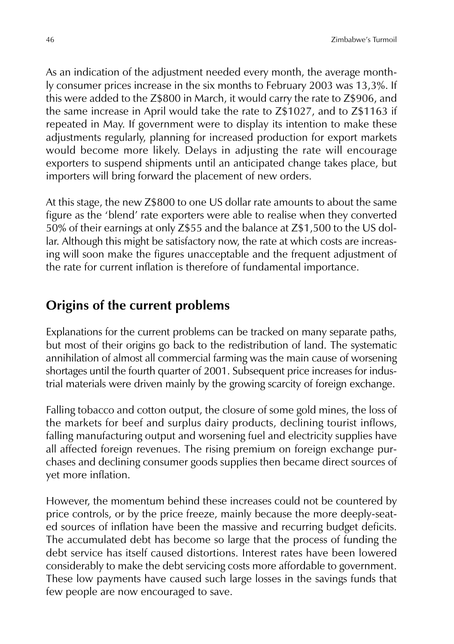As an indication of the adjustment needed every month, the average monthly consumer prices increase in the six months to February 2003 was 13,3%. If this were added to the Z\$800 in March, it would carry the rate to Z\$906, and the same increase in April would take the rate to Z\$1027, and to Z\$1163 if repeated in May. If government were to display its intention to make these adjustments regularly, planning for increased production for export markets would become more likely. Delays in adjusting the rate will encourage exporters to suspend shipments until an anticipated change takes place, but importers will bring forward the placement of new orders.

At this stage, the new Z\$800 to one US dollar rate amounts to about the same figure as the 'blend' rate exporters were able to realise when they converted 50% of their earnings at only Z\$55 and the balance at Z\$1,500 to the US dollar. Although this might be satisfactory now, the rate at which costs are increasing will soon make the figures unacceptable and the frequent adjustment of the rate for current inflation is therefore of fundamental importance.

## **Origins of the current problems**

Explanations for the current problems can be tracked on many separate paths, but most of their origins go back to the redistribution of land. The systematic annihilation of almost all commercial farming was the main cause of worsening shortages until the fourth quarter of 2001. Subsequent price increases for industrial materials were driven mainly by the growing scarcity of foreign exchange.

Falling tobacco and cotton output, the closure of some gold mines, the loss of the markets for beef and surplus dairy products, declining tourist inflows, falling manufacturing output and worsening fuel and electricity supplies have all affected foreign revenues. The rising premium on foreign exchange purchases and declining consumer goods supplies then became direct sources of yet more inflation.

However, the momentum behind these increases could not be countered by price controls, or by the price freeze, mainly because the more deeply-seated sources of inflation have been the massive and recurring budget deficits. The accumulated debt has become so large that the process of funding the debt service has itself caused distortions. Interest rates have been lowered considerably to make the debt servicing costs more affordable to government. These low payments have caused such large losses in the savings funds that few people are now encouraged to save.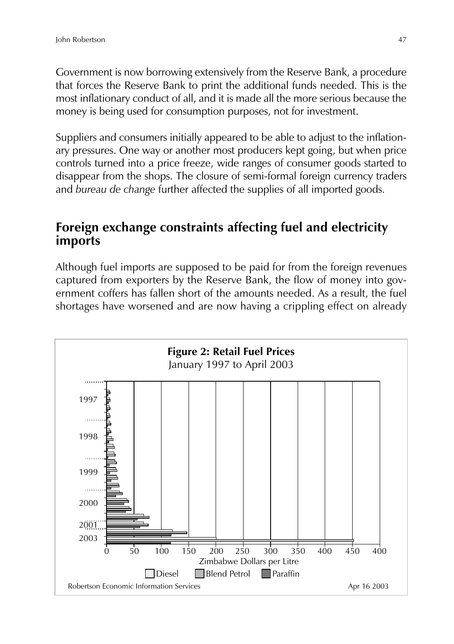Government is now borrowing extensively from the Reserve Bank, a procedure that forces the Reserve Bank to print the additional funds needed. This is the most inflationary conduct of all, and it is made all the more serious because the money is being used for consumption purposes, not for investment.

Suppliers and consumers initially appeared to be able to adjust to the inflationary pressures. One way or another most producers kept going, but when price controls turned into a price freeze, wide ranges of consumer goods started to disappear from the shops. The closure of semi-formal foreign currency traders and *bureau de change* further affected the supplies of all imported goods.

#### **Foreign exchange constraints affecting fuel and electricity imports**

Although fuel imports are supposed to be paid for from the foreign revenues captured from exporters by the Reserve Bank, the flow of money into government coffers has fallen short of the amounts needed. As a result, the fuel shortages have worsened and are now having a crippling effect on already

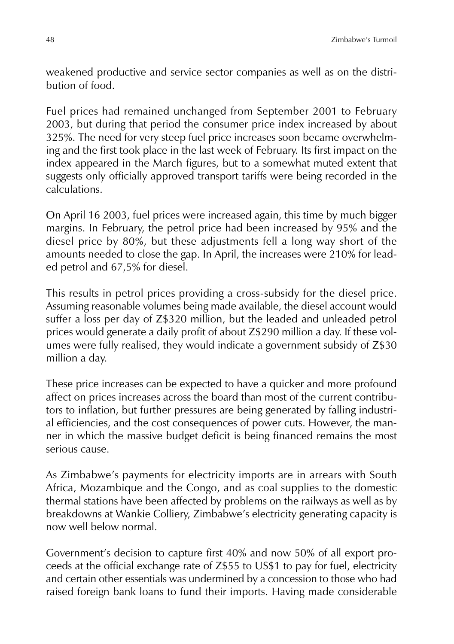weakened productive and service sector companies as well as on the distribution of food.

Fuel prices had remained unchanged from September 2001 to February 2003, but during that period the consumer price index increased by about 325%. The need for very steep fuel price increases soon became overwhelming and the first took place in the last week of February. Its first impact on the index appeared in the March figures, but to a somewhat muted extent that suggests only officially approved transport tariffs were being recorded in the calculations.

On April 16 2003, fuel prices were increased again, this time by much bigger margins. In February, the petrol price had been increased by 95% and the diesel price by 80%, but these adjustments fell a long way short of the amounts needed to close the gap. In April, the increases were 210% for leaded petrol and 67,5% for diesel.

This results in petrol prices providing a cross-subsidy for the diesel price. Assuming reasonable volumes being made available, the diesel account would suffer a loss per day of Z\$320 million, but the leaded and unleaded petrol prices would generate a daily profit of about Z\$290 million a day. If these volumes were fully realised, they would indicate a government subsidy of Z\$30 million a day.

These price increases can be expected to have a quicker and more profound affect on prices increases across the board than most of the current contributors to inflation, but further pressures are being generated by falling industrial efficiencies, and the cost consequences of power cuts. However, the manner in which the massive budget deficit is being financed remains the most serious cause.

As Zimbabwe's payments for electricity imports are in arrears with South Africa, Mozambique and the Congo, and as coal supplies to the domestic thermal stations have been affected by problems on the railways as well as by breakdowns at Wankie Colliery, Zimbabwe's electricity generating capacity is now well below normal.

Government's decision to capture first 40% and now 50% of all export proceeds at the official exchange rate of Z\$55 to US\$1 to pay for fuel, electricity and certain other essentials was undermined by a concession to those who had raised foreign bank loans to fund their imports. Having made considerable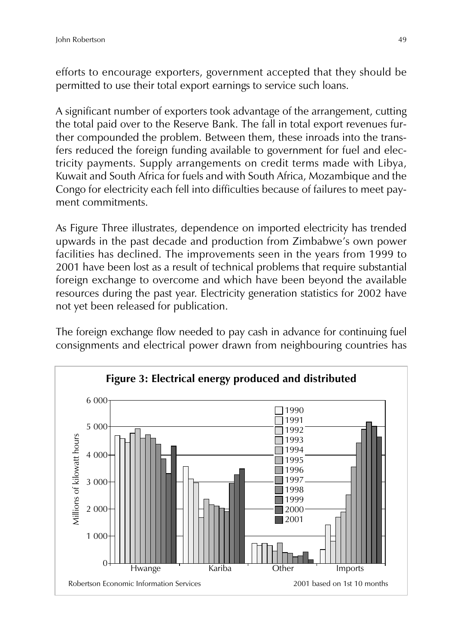efforts to encourage exporters, government accepted that they should be permitted to use their total export earnings to service such loans.

A significant number of exporters took advantage of the arrangement, cutting the total paid over to the Reserve Bank. The fall in total export revenues further compounded the problem. Between them, these inroads into the transfers reduced the foreign funding available to government for fuel and electricity payments. Supply arrangements on credit terms made with Libya, Kuwait and South Africa for fuels and with South Africa, Mozambique and the Congo for electricity each fell into difficulties because of failures to meet payment commitments.

As Figure Three illustrates, dependence on imported electricity has trended upwards in the past decade and production from Zimbabwe's own power facilities has declined. The improvements seen in the years from 1999 to 2001 have been lost as a result of technical problems that require substantial foreign exchange to overcome and which have been beyond the available resources during the past year. Electricity generation statistics for 2002 have not yet been released for publication.

The foreign exchange flow needed to pay cash in advance for continuing fuel consignments and electrical power drawn from neighbouring countries has

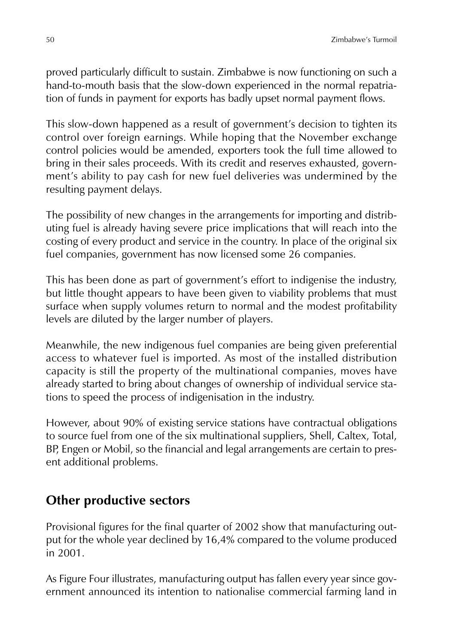proved particularly difficult to sustain. Zimbabwe is now functioning on such a hand-to-mouth basis that the slow-down experienced in the normal repatriation of funds in payment for exports has badly upset normal payment flows.

This slow-down happened as a result of government's decision to tighten its control over foreign earnings. While hoping that the November exchange control policies would be amended, exporters took the full time allowed to bring in their sales proceeds. With its credit and reserves exhausted, government's ability to pay cash for new fuel deliveries was undermined by the resulting payment delays.

The possibility of new changes in the arrangements for importing and distributing fuel is already having severe price implications that will reach into the costing of every product and service in the country. In place of the original six fuel companies, government has now licensed some 26 companies.

This has been done as part of government's effort to indigenise the industry, but little thought appears to have been given to viability problems that must surface when supply volumes return to normal and the modest profitability levels are diluted by the larger number of players.

Meanwhile, the new indigenous fuel companies are being given preferential access to whatever fuel is imported. As most of the installed distribution capacity is still the property of the multinational companies, moves have already started to bring about changes of ownership of individual service stations to speed the process of indigenisation in the industry.

However, about 90% of existing service stations have contractual obligations to source fuel from one of the six multinational suppliers, Shell, Caltex, Total, BP, Engen or Mobil, so the financial and legal arrangements are certain to present additional problems.

### **Other productive sectors**

Provisional figures for the final quarter of 2002 show that manufacturing output for the whole year declined by 16,4% compared to the volume produced in 2001.

As Figure Four illustrates, manufacturing output has fallen every year since government announced its intention to nationalise commercial farming land in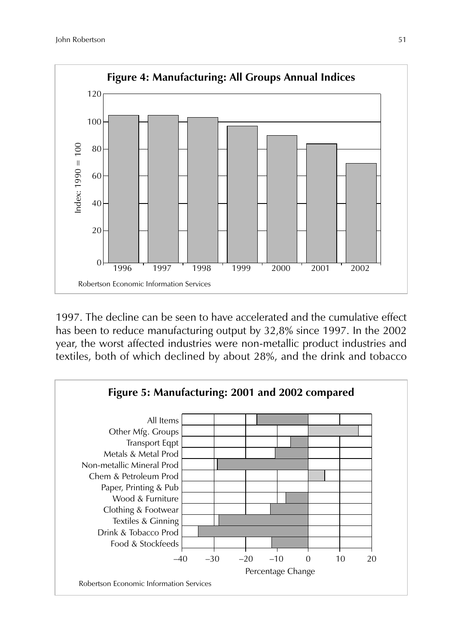

1997. The decline can be seen to have accelerated and the cumulative effect has been to reduce manufacturing output by 32,8% since 1997. In the 2002 year, the worst affected industries were non-metallic product industries and textiles, both of which declined by about 28%, and the drink and tobacco

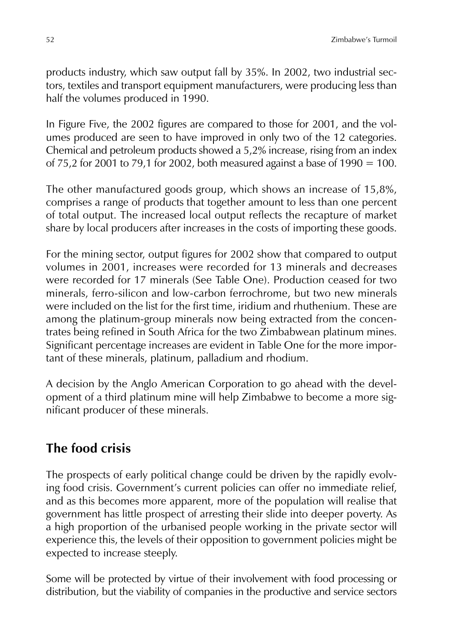products industry, which saw output fall by 35%. In 2002, two industrial sectors, textiles and transport equipment manufacturers, were producing less than half the volumes produced in 1990.

In Figure Five, the 2002 figures are compared to those for 2001, and the volumes produced are seen to have improved in only two of the 12 categories. Chemical and petroleum products showed a 5,2% increase, rising from an index of 75,2 for 2001 to 79,1 for 2002, both measured against a base of  $1990 = 100$ .

The other manufactured goods group, which shows an increase of 15,8%, comprises a range of products that together amount to less than one percent of total output. The increased local output reflects the recapture of market share by local producers after increases in the costs of importing these goods.

For the mining sector, output figures for 2002 show that compared to output volumes in 2001, increases were recorded for 13 minerals and decreases were recorded for 17 minerals (See Table One). Production ceased for two minerals, ferro-silicon and low-carbon ferrochrome, but two new minerals were included on the list for the first time, iridium and rhuthenium. These are among the platinum-group minerals now being extracted from the concentrates being refined in South Africa for the two Zimbabwean platinum mines. Significant percentage increases are evident in Table One for the more important of these minerals, platinum, palladium and rhodium.

A decision by the Anglo American Corporation to go ahead with the development of a third platinum mine will help Zimbabwe to become a more significant producer of these minerals.

# **The food crisis**

The prospects of early political change could be driven by the rapidly evolving food crisis. Government's current policies can offer no immediate relief, and as this becomes more apparent, more of the population will realise that government has little prospect of arresting their slide into deeper poverty. As a high proportion of the urbanised people working in the private sector will experience this, the levels of their opposition to government policies might be expected to increase steeply.

Some will be protected by virtue of their involvement with food processing or distribution, but the viability of companies in the productive and service sectors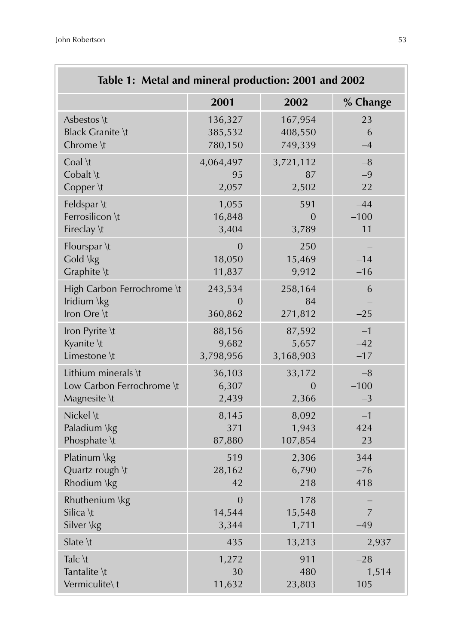| Table 1: Metal and mineral production: 2001 and 2002     |                                    |                          |                         |
|----------------------------------------------------------|------------------------------------|--------------------------|-------------------------|
|                                                          | 2001                               | 2002                     | % Change                |
| Asbestos \t                                              | 136,327                            | 167,954                  | 23                      |
| <b>Black Granite \t</b>                                  | 385,532                            | 408,550                  | 6                       |
| Chrome \t                                                | 780,150                            | 749,339                  | $-4$                    |
| Coal \t                                                  | 4,064,497                          | 3,721,112                | $-8$                    |
| Cobalt \t                                                | 95                                 | 87                       | $-9$                    |
| Copper \t                                                | 2,057                              | 2,502                    | 22                      |
| Feldspar \t                                              | 1,055                              | 591                      | $-44$                   |
| Ferrosilicon \t                                          | 16,848                             | $\Omega$                 | $-100$                  |
| Fireclay \t                                              | 3,404                              | 3,789                    | 11                      |
| Flourspar \t<br>Gold \kg<br>Graphite \t                  | $\overline{0}$<br>18,050<br>11,837 | 250<br>15,469<br>9,912   | $-14$<br>$-16$          |
| High Carbon Ferrochrome \t<br>Iridium \kg<br>Iron Ore \t | 243,534<br>$\Omega$<br>360,862     | 258,164<br>84<br>271,812 | 6<br>$-25$              |
| Iron Pyrite \t                                           | 88,156                             | 87,592                   | $-1$                    |
| Kyanite \t                                               | 9,682                              | 5,657                    | $-42$                   |
| Limestone \t                                             | 3,798,956                          | 3,168,903                | $-17$                   |
| Lithium minerals \t                                      | 36,103                             | 33,172                   | $-8$                    |
| Low Carbon Ferrochrome \t                                | 6,307                              | $\overline{0}$           | $-100$                  |
| Magnesite \t                                             | 2,439                              | 2,366                    | $-3$                    |
| Nickel \t                                                | 8,145                              | 8,092                    | $-1$                    |
| Paladium \kg                                             | 371                                | 1,943                    | 424                     |
| Phosphate \t                                             | 87,880                             | 107,854                  | 23                      |
| Platinum \kg                                             | 519                                | 2,306                    | 344                     |
| Quartz rough \t                                          | 28,162                             | 6,790                    | $-76$                   |
| Rhodium \kg                                              | 42                                 | 218                      | 418                     |
| Rhuthenium \kg<br>Silica \t<br>Silver \kg                | $\overline{0}$<br>14,544<br>3,344  | 178<br>15,548<br>1,711   | $\overline{7}$<br>$-49$ |
| Slate \t                                                 | 435                                | 13,213                   | 2,937                   |
| Talc \t                                                  | 1,272                              | 911                      | $-28$                   |
| Tantalite \t                                             | 30                                 | 480                      | 1,514                   |
| Vermiculite\t                                            | 11,632                             | 23,803                   | 105                     |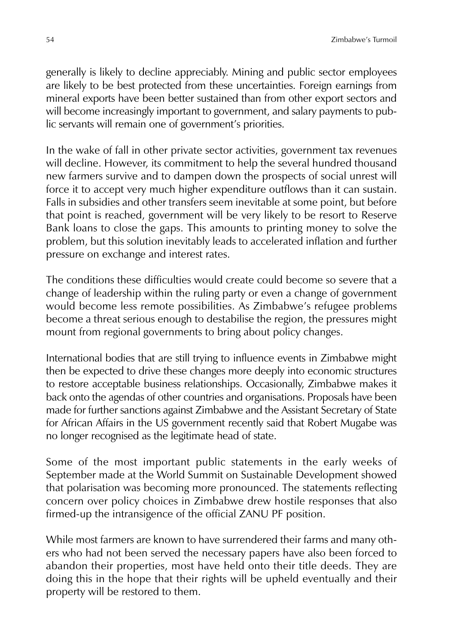generally is likely to decline appreciably. Mining and public sector employees are likely to be best protected from these uncertainties. Foreign earnings from mineral exports have been better sustained than from other export sectors and will become increasingly important to government, and salary payments to public servants will remain one of government's priorities.

In the wake of fall in other private sector activities, government tax revenues will decline. However, its commitment to help the several hundred thousand new farmers survive and to dampen down the prospects of social unrest will force it to accept very much higher expenditure outflows than it can sustain. Falls in subsidies and other transfers seem inevitable at some point, but before that point is reached, government will be very likely to be resort to Reserve Bank loans to close the gaps. This amounts to printing money to solve the problem, but this solution inevitably leads to accelerated inflation and further pressure on exchange and interest rates.

The conditions these difficulties would create could become so severe that a change of leadership within the ruling party or even a change of government would become less remote possibilities. As Zimbabwe's refugee problems become a threat serious enough to destabilise the region, the pressures might mount from regional governments to bring about policy changes.

International bodies that are still trying to influence events in Zimbabwe might then be expected to drive these changes more deeply into economic structures to restore acceptable business relationships. Occasionally, Zimbabwe makes it back onto the agendas of other countries and organisations. Proposals have been made for further sanctions against Zimbabwe and the Assistant Secretary of State for African Affairs in the US government recently said that Robert Mugabe was no longer recognised as the legitimate head of state.

Some of the most important public statements in the early weeks of September made at the World Summit on Sustainable Development showed that polarisation was becoming more pronounced. The statements reflecting concern over policy choices in Zimbabwe drew hostile responses that also firmed-up the intransigence of the official ZANU PF position.

While most farmers are known to have surrendered their farms and many others who had not been served the necessary papers have also been forced to abandon their properties, most have held onto their title deeds. They are doing this in the hope that their rights will be upheld eventually and their property will be restored to them.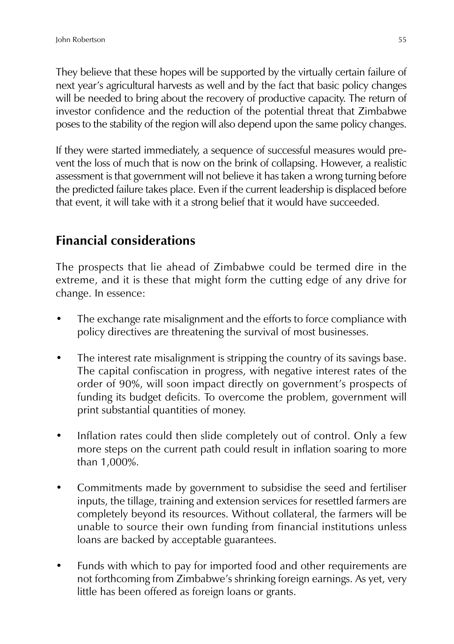They believe that these hopes will be supported by the virtually certain failure of next year's agricultural harvests as well and by the fact that basic policy changes will be needed to bring about the recovery of productive capacity. The return of investor confidence and the reduction of the potential threat that Zimbabwe poses to the stability of the region will also depend upon the same policy changes.

If they were started immediately, a sequence of successful measures would prevent the loss of much that is now on the brink of collapsing. However, a realistic assessment is that government will not believe it has taken a wrong turning before the predicted failure takes place. Even if the current leadership is displaced before that event, it will take with it a strong belief that it would have succeeded.

# **Financial considerations**

The prospects that lie ahead of Zimbabwe could be termed dire in the extreme, and it is these that might form the cutting edge of any drive for change. In essence:

- The exchange rate misalignment and the efforts to force compliance with policy directives are threatening the survival of most businesses.
- The interest rate misalignment is stripping the country of its savings base. The capital confiscation in progress, with negative interest rates of the order of 90%, will soon impact directly on government's prospects of funding its budget deficits. To overcome the problem, government will print substantial quantities of money.
- Inflation rates could then slide completely out of control. Only a few more steps on the current path could result in inflation soaring to more than 1,000%.
- Commitments made by government to subsidise the seed and fertiliser inputs, the tillage, training and extension services for resettled farmers are completely beyond its resources. Without collateral, the farmers will be unable to source their own funding from financial institutions unless loans are backed by acceptable guarantees.
- Funds with which to pay for imported food and other requirements are not forthcoming from Zimbabwe's shrinking foreign earnings. As yet, very little has been offered as foreign loans or grants.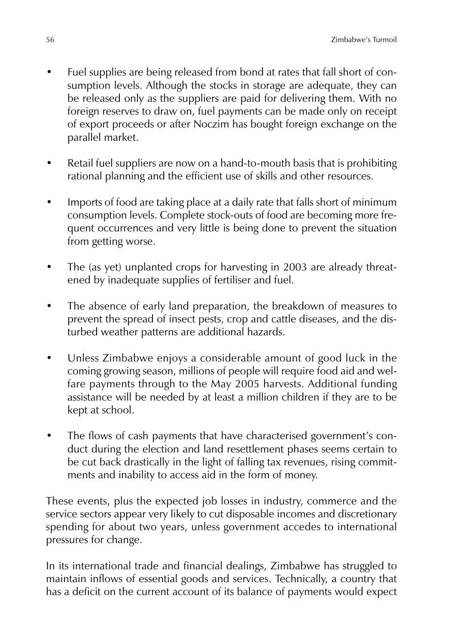- Fuel supplies are being released from bond at rates that fall short of consumption levels. Although the stocks in storage are adequate, they can be released only as the suppliers are paid for delivering them. With no foreign reserves to draw on, fuel payments can be made only on receipt of export proceeds or after Noczim has bought foreign exchange on the parallel market.
- Retail fuel suppliers are now on a hand-to-mouth basis that is prohibiting rational planning and the efficient use of skills and other resources.
- Imports of food are taking place at a daily rate that falls short of minimum consumption levels. Complete stock-outs of food are becoming more frequent occurrences and very little is being done to prevent the situation from getting worse.
- The (as yet) unplanted crops for harvesting in 2003 are already threatened by inadequate supplies of fertiliser and fuel.
- The absence of early land preparation, the breakdown of measures to prevent the spread of insect pests, crop and cattle diseases, and the disturbed weather patterns are additional hazards.
- Unless Zimbabwe enjoys a considerable amount of good luck in the coming growing season, millions of people will require food aid and welfare payments through to the May 2005 harvests. Additional funding assistance will be needed by at least a million children if they are to be kept at school.
- The flows of cash payments that have characterised government's conduct during the election and land resettlement phases seems certain to be cut back drastically in the light of falling tax revenues, rising commitments and inability to access aid in the form of money.

These events, plus the expected job losses in industry, commerce and the service sectors appear very likely to cut disposable incomes and discretionary spending for about two years, unless government accedes to international pressures for change.

In its international trade and financial dealings, Zimbabwe has struggled to maintain inflows of essential goods and services. Technically, a country that has a deficit on the current account of its balance of payments would expect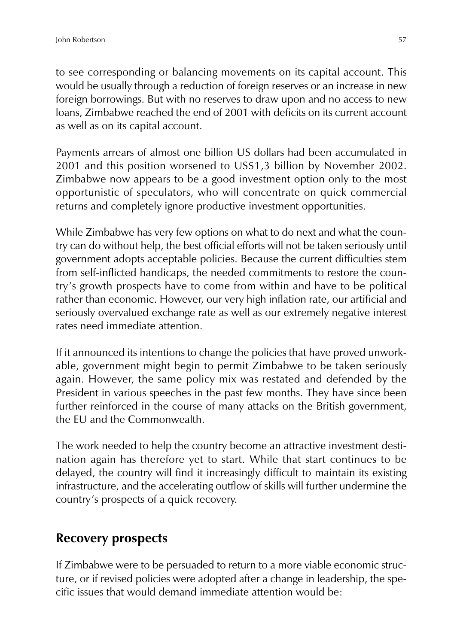to see corresponding or balancing movements on its capital account. This would be usually through a reduction of foreign reserves or an increase in new foreign borrowings. But with no reserves to draw upon and no access to new loans, Zimbabwe reached the end of 2001 with deficits on its current account as well as on its capital account.

Payments arrears of almost one billion US dollars had been accumulated in 2001 and this position worsened to US\$1,3 billion by November 2002. Zimbabwe now appears to be a good investment option only to the most opportunistic of speculators, who will concentrate on quick commercial returns and completely ignore productive investment opportunities.

While Zimbabwe has very few options on what to do next and what the country can do without help, the best official efforts will not be taken seriously until government adopts acceptable policies. Because the current difficulties stem from self-inflicted handicaps, the needed commitments to restore the country's growth prospects have to come from within and have to be political rather than economic. However, our very high inflation rate, our artificial and seriously overvalued exchange rate as well as our extremely negative interest rates need immediate attention.

If it announced its intentions to change the policies that have proved unworkable, government might begin to permit Zimbabwe to be taken seriously again. However, the same policy mix was restated and defended by the President in various speeches in the past few months. They have since been further reinforced in the course of many attacks on the British government, the EU and the Commonwealth.

The work needed to help the country become an attractive investment destination again has therefore yet to start. While that start continues to be delayed, the country will find it increasingly difficult to maintain its existing infrastructure, and the accelerating outflow of skills will further undermine the country's prospects of a quick recovery.

### **Recovery prospects**

If Zimbabwe were to be persuaded to return to a more viable economic structure, or if revised policies were adopted after a change in leadership, the specific issues that would demand immediate attention would be: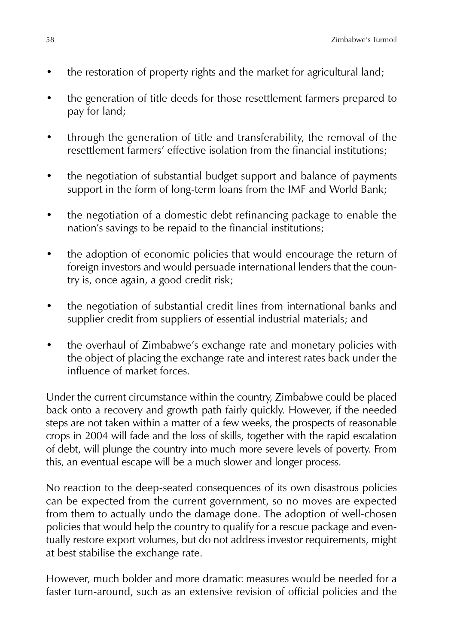- the restoration of property rights and the market for agricultural land;
- the generation of title deeds for those resettlement farmers prepared to pay for land;
- through the generation of title and transferability, the removal of the resettlement farmers' effective isolation from the financial institutions;
- the negotiation of substantial budget support and balance of payments support in the form of long-term loans from the IMF and World Bank;
- the negotiation of a domestic debt refinancing package to enable the nation's savings to be repaid to the financial institutions;
- the adoption of economic policies that would encourage the return of foreign investors and would persuade international lenders that the country is, once again, a good credit risk;
- the negotiation of substantial credit lines from international banks and supplier credit from suppliers of essential industrial materials; and
- the overhaul of Zimbabwe's exchange rate and monetary policies with the object of placing the exchange rate and interest rates back under the influence of market forces.

Under the current circumstance within the country, Zimbabwe could be placed back onto a recovery and growth path fairly quickly. However, if the needed steps are not taken within a matter of a few weeks, the prospects of reasonable crops in 2004 will fade and the loss of skills, together with the rapid escalation of debt, will plunge the country into much more severe levels of poverty. From this, an eventual escape will be a much slower and longer process.

No reaction to the deep-seated consequences of its own disastrous policies can be expected from the current government, so no moves are expected from them to actually undo the damage done. The adoption of well-chosen policies that would help the country to qualify for a rescue package and eventually restore export volumes, but do not address investor requirements, might at best stabilise the exchange rate.

However, much bolder and more dramatic measures would be needed for a faster turn-around, such as an extensive revision of official policies and the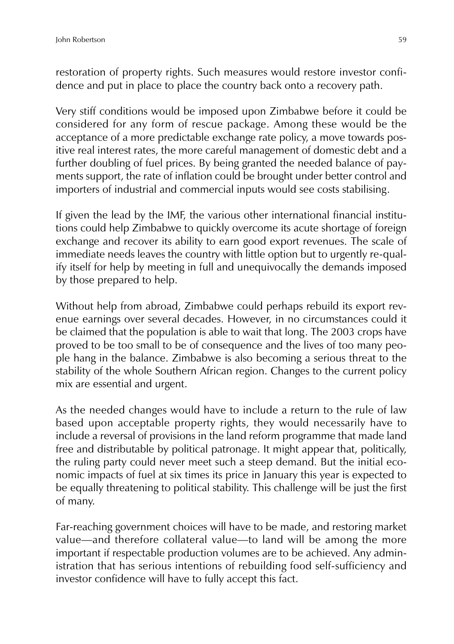restoration of property rights. Such measures would restore investor confidence and put in place to place the country back onto a recovery path.

Very stiff conditions would be imposed upon Zimbabwe before it could be considered for any form of rescue package. Among these would be the acceptance of a more predictable exchange rate policy, a move towards positive real interest rates, the more careful management of domestic debt and a further doubling of fuel prices. By being granted the needed balance of payments support, the rate of inflation could be brought under better control and importers of industrial and commercial inputs would see costs stabilising.

If given the lead by the IMF, the various other international financial institutions could help Zimbabwe to quickly overcome its acute shortage of foreign exchange and recover its ability to earn good export revenues. The scale of immediate needs leaves the country with little option but to urgently re-qualify itself for help by meeting in full and unequivocally the demands imposed by those prepared to help.

Without help from abroad, Zimbabwe could perhaps rebuild its export revenue earnings over several decades. However, in no circumstances could it be claimed that the population is able to wait that long. The 2003 crops have proved to be too small to be of consequence and the lives of too many people hang in the balance. Zimbabwe is also becoming a serious threat to the stability of the whole Southern African region. Changes to the current policy mix are essential and urgent.

As the needed changes would have to include a return to the rule of law based upon acceptable property rights, they would necessarily have to include a reversal of provisions in the land reform programme that made land free and distributable by political patronage. It might appear that, politically, the ruling party could never meet such a steep demand. But the initial economic impacts of fuel at six times its price in January this year is expected to be equally threatening to political stability. This challenge will be just the first of many.

Far-reaching government choices will have to be made, and restoring market value—and therefore collateral value—to land will be among the more important if respectable production volumes are to be achieved. Any administration that has serious intentions of rebuilding food self-sufficiency and investor confidence will have to fully accept this fact.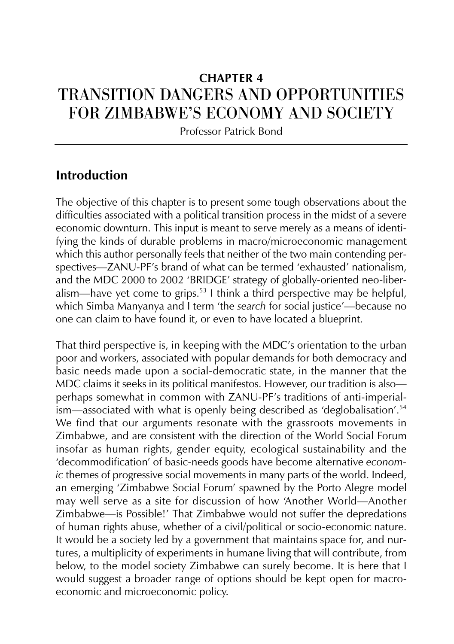# **CHAPTER 4** TRANSITION DANGERS AND OPPORTUNITIES FOR ZIMBABWE'S ECONOMY AND SOCIETY

Professor Patrick Bond

### **Introduction**

The objective of this chapter is to present some tough observations about the difficulties associated with a political transition process in the midst of a severe economic downturn. This input is meant to serve merely as a means of identifying the kinds of durable problems in macro/microeconomic management which this author personally feels that neither of the two main contending perspectives—ZANU-PF's brand of what can be termed 'exhausted' nationalism, and the MDC 2000 to 2002 'BRIDGE' strategy of globally-oriented neo-liberalism—have yet come to grips.<sup>53</sup> I think a third perspective may be helpful, which Simba Manyanya and I term 'the *search* for social justice'—because no one can claim to have found it, or even to have located a blueprint.

That third perspective is, in keeping with the MDC's orientation to the urban poor and workers, associated with popular demands for both democracy and basic needs made upon a social-democratic state, in the manner that the MDC claims it seeks in its political manifestos. However, our tradition is also perhaps somewhat in common with ZANU-PF's traditions of anti-imperialism—associated with what is openly being described as 'deglobalisation'.<sup>54</sup> We find that our arguments resonate with the grassroots movements in Zimbabwe, and are consistent with the direction of the World Social Forum insofar as human rights, gender equity, ecological sustainability and the 'decommodification' of basic-needs goods have become alternative *economic* themes of progressive social movements in many parts of the world. Indeed, an emerging 'Zimbabwe Social Forum' spawned by the Porto Alegre model may well serve as a site for discussion of how 'Another World—Another Zimbabwe—is Possible!' That Zimbabwe would not suffer the depredations of human rights abuse, whether of a civil/political or socio-economic nature. It would be a society led by a government that maintains space for, and nurtures, a multiplicity of experiments in humane living that will contribute, from below, to the model society Zimbabwe can surely become. It is here that I would suggest a broader range of options should be kept open for macroeconomic and microeconomic policy.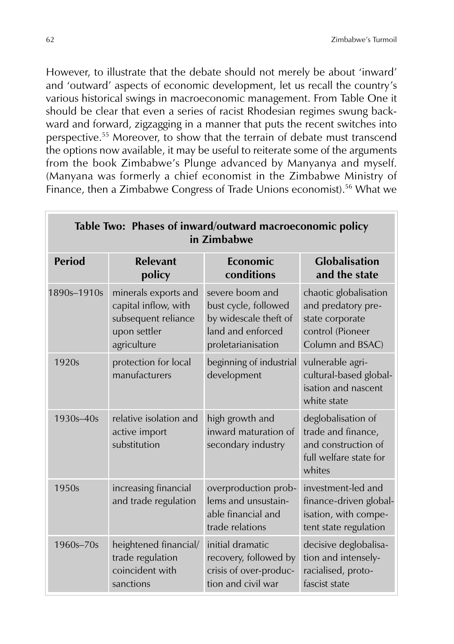However, to illustrate that the debate should not merely be about 'inward' and 'outward' aspects of economic development, let us recall the country's various historical swings in macroeconomic management. From Table One it should be clear that even a series of racist Rhodesian regimes swung backward and forward, zigzagging in a manner that puts the recent switches into perspective.<sup>55</sup> Moreover, to show that the terrain of debate must transcend the options now available, it may be useful to reiterate some of the arguments from the book Zimbabwe's Plunge advanced by Manyanya and myself. (Manyana was formerly a chief economist in the Zimbabwe Ministry of Finance, then a Zimbabwe Congress of Trade Unions economist).<sup>56</sup> What we

| Table Two: Phases of inward/outward macroeconomic policy<br>in Zimbabwe |                                                                                                    |                                                                                                             |                                                                                                        |
|-------------------------------------------------------------------------|----------------------------------------------------------------------------------------------------|-------------------------------------------------------------------------------------------------------------|--------------------------------------------------------------------------------------------------------|
| <b>Period</b>                                                           | <b>Relevant</b><br>policy                                                                          | Economic<br>conditions                                                                                      | <b>Globalisation</b><br>and the state                                                                  |
| 1890s-1910s                                                             | minerals exports and<br>capital inflow, with<br>subsequent reliance<br>upon settler<br>agriculture | severe boom and<br>bust cycle, followed<br>by widescale theft of<br>land and enforced<br>proletarianisation | chaotic globalisation<br>and predatory pre-<br>state corporate<br>control (Pioneer<br>Column and BSAC) |
| 1920s                                                                   | protection for local<br>manufacturers                                                              | beginning of industrial<br>development                                                                      | vulnerable agri-<br>cultural-based global-<br>isation and nascent<br>white state                       |
| $1930s - 40s$                                                           | relative isolation and<br>active import<br>substitution                                            | high growth and<br>inward maturation of<br>secondary industry                                               | deglobalisation of<br>trade and finance,<br>and construction of<br>full welfare state for<br>whites    |
| 1950s                                                                   | increasing financial<br>and trade regulation                                                       | overproduction prob-<br>lems and unsustain-<br>able financial and<br>trade relations                        | investment-led and<br>finance-driven global-<br>isation, with compe-<br>tent state regulation          |
| $1960s - 70s$                                                           | heightened financial/<br>trade regulation<br>coincident with<br>sanctions                          | initial dramatic<br>recovery, followed by<br>crisis of over-produc-<br>tion and civil war                   | decisive deglobalisa-<br>tion and intensely-<br>racialised, proto-<br>fascist state                    |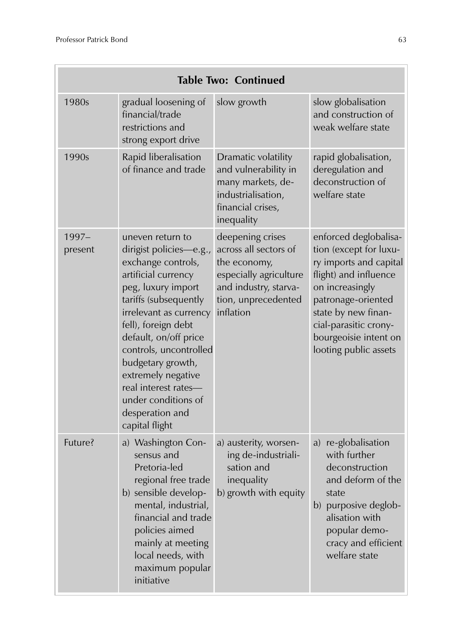| Table Two: Continued |                                                                                                                                                                                                                                                                                                                                                                            |                                                                                                                                                  |                                                                                                                                                                                                                                               |
|----------------------|----------------------------------------------------------------------------------------------------------------------------------------------------------------------------------------------------------------------------------------------------------------------------------------------------------------------------------------------------------------------------|--------------------------------------------------------------------------------------------------------------------------------------------------|-----------------------------------------------------------------------------------------------------------------------------------------------------------------------------------------------------------------------------------------------|
| 1980s                | gradual loosening of<br>financial/trade<br>restrictions and<br>strong export drive                                                                                                                                                                                                                                                                                         | slow growth                                                                                                                                      | slow globalisation<br>and construction of<br>weak welfare state                                                                                                                                                                               |
| 1990s                | Rapid liberalisation<br>of finance and trade                                                                                                                                                                                                                                                                                                                               | Dramatic volatility<br>and vulnerability in<br>many markets, de-<br>industrialisation,<br>financial crises,<br>inequality                        | rapid globalisation,<br>deregulation and<br>deconstruction of<br>welfare state                                                                                                                                                                |
| $1997-$<br>present   | uneven return to<br>dirigist policies-e.g.,<br>exchange controls,<br>artificial currency<br>peg, luxury import<br>tariffs (subsequently<br>irrelevant as currency<br>fell), foreign debt<br>default, on/off price<br>controls, uncontrolled<br>budgetary growth,<br>extremely negative<br>real interest rates-<br>under conditions of<br>desperation and<br>capital flight | deepening crises<br>across all sectors of<br>the economy,<br>especially agriculture<br>and industry, starva-<br>tion, unprecedented<br>inflation | enforced deglobalisa-<br>tion (except for luxu-<br>ry imports and capital<br>flight) and influence<br>on increasingly<br>patronage-oriented<br>state by new finan-<br>cial-parasitic crony-<br>bourgeoisie intent on<br>looting public assets |
| Future?              | a) Washington Con-<br>sensus and<br>Pretoria-led<br>regional free trade<br>b) sensible develop-<br>mental, industrial,<br>financial and trade<br>policies aimed<br>mainly at meeting<br>local needs, with<br>maximum popular<br>initiative                                                                                                                                 | a) austerity, worsen-<br>ing de-industriali-<br>sation and<br>inequality<br>b) growth with equity                                                | a) re-globalisation<br>with further<br>deconstruction<br>and deform of the<br>state<br>b) purposive deglob-<br>alisation with<br>popular demo-<br>cracy and efficient<br>welfare state                                                        |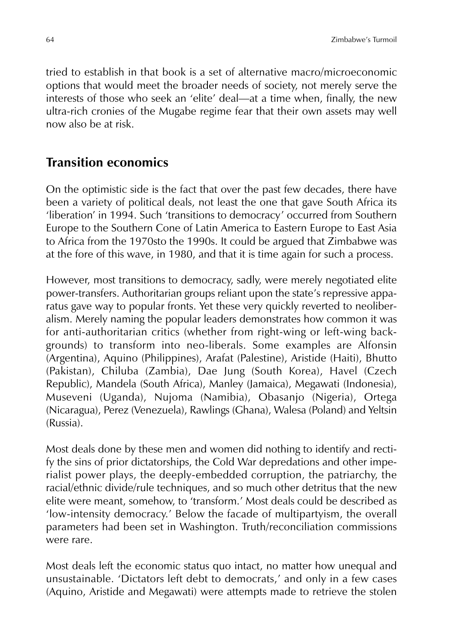tried to establish in that book is a set of alternative macro/microeconomic options that would meet the broader needs of society, not merely serve the interests of those who seek an 'elite' deal—at a time when, finally, the new ultra-rich cronies of the Mugabe regime fear that their own assets may well now also be at risk.

#### **Transition economics**

On the optimistic side is the fact that over the past few decades, there have been a variety of political deals, not least the one that gave South Africa its 'liberation' in 1994. Such 'transitions to democracy' occurred from Southern Europe to the Southern Cone of Latin America to Eastern Europe to East Asia to Africa from the 1970sto the 1990s. It could be argued that Zimbabwe was at the fore of this wave, in 1980, and that it is time again for such a process.

However, most transitions to democracy, sadly, were merely negotiated elite power-transfers. Authoritarian groups reliant upon the state's repressive apparatus gave way to popular fronts. Yet these very quickly reverted to neoliberalism. Merely naming the popular leaders demonstrates how common it was for anti-authoritarian critics (whether from right-wing or left-wing backgrounds) to transform into neo-liberals. Some examples are Alfonsin (Argentina), Aquino (Philippines), Arafat (Palestine), Aristide (Haiti), Bhutto (Pakistan), Chiluba (Zambia), Dae Jung (South Korea), Havel (Czech Republic), Mandela (South Africa), Manley (Jamaica), Megawati (Indonesia), Museveni (Uganda), Nujoma (Namibia), Obasanjo (Nigeria), Ortega (Nicaragua), Perez (Venezuela), Rawlings (Ghana), Walesa (Poland) and Yeltsin (Russia).

Most deals done by these men and women did nothing to identify and rectify the sins of prior dictatorships, the Cold War depredations and other imperialist power plays, the deeply-embedded corruption, the patriarchy, the racial/ethnic divide/rule techniques, and so much other detritus that the new elite were meant, somehow, to 'transform.' Most deals could be described as 'low-intensity democracy.' Below the facade of multipartyism, the overall parameters had been set in Washington. Truth/reconciliation commissions were rare.

Most deals left the economic status quo intact, no matter how unequal and unsustainable. 'Dictators left debt to democrats,' and only in a few cases (Aquino, Aristide and Megawati) were attempts made to retrieve the stolen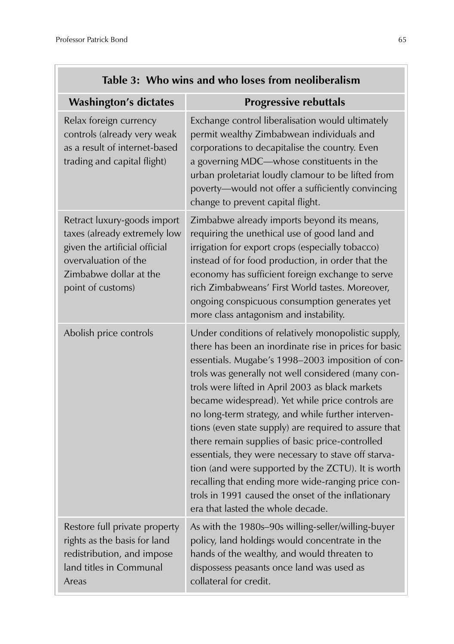| rable 5: Who wins and who loses from heomoeralism                                                                                                                   |                                                                                                                                                                                                                                                                                                                                                                                                                                                                                                                                                                                                                                                                                                                                                                  |  |
|---------------------------------------------------------------------------------------------------------------------------------------------------------------------|------------------------------------------------------------------------------------------------------------------------------------------------------------------------------------------------------------------------------------------------------------------------------------------------------------------------------------------------------------------------------------------------------------------------------------------------------------------------------------------------------------------------------------------------------------------------------------------------------------------------------------------------------------------------------------------------------------------------------------------------------------------|--|
| <b>Washington's dictates</b>                                                                                                                                        | <b>Progressive rebuttals</b>                                                                                                                                                                                                                                                                                                                                                                                                                                                                                                                                                                                                                                                                                                                                     |  |
| Relax foreign currency<br>controls (already very weak<br>as a result of internet-based<br>trading and capital flight)                                               | Exchange control liberalisation would ultimately<br>permit wealthy Zimbabwean individuals and<br>corporations to decapitalise the country. Even<br>a governing MDC-whose constituents in the<br>urban proletariat loudly clamour to be lifted from<br>poverty-would not offer a sufficiently convincing<br>change to prevent capital flight.                                                                                                                                                                                                                                                                                                                                                                                                                     |  |
| Retract luxury-goods import<br>taxes (already extremely low<br>given the artificial official<br>overvaluation of the<br>Zimbabwe dollar at the<br>point of customs) | Zimbabwe already imports beyond its means,<br>requiring the unethical use of good land and<br>irrigation for export crops (especially tobacco)<br>instead of for food production, in order that the<br>economy has sufficient foreign exchange to serve<br>rich Zimbabweans' First World tastes. Moreover,<br>ongoing conspicuous consumption generates yet<br>more class antagonism and instability.                                                                                                                                                                                                                                                                                                                                                            |  |
| Abolish price controls                                                                                                                                              | Under conditions of relatively monopolistic supply,<br>there has been an inordinate rise in prices for basic<br>essentials. Mugabe's 1998-2003 imposition of con-<br>trols was generally not well considered (many con-<br>trols were lifted in April 2003 as black markets<br>became widespread). Yet while price controls are<br>no long-term strategy, and while further interven-<br>tions (even state supply) are required to assure that<br>there remain supplies of basic price-controlled<br>essentials, they were necessary to stave off starva-<br>tion (and were supported by the ZCTU). It is worth<br>recalling that ending more wide-ranging price con-<br>trols in 1991 caused the onset of the inflationary<br>era that lasted the whole decade. |  |
| Restore full private property<br>rights as the basis for land<br>redistribution, and impose<br>land titles in Communal<br>Areas                                     | As with the 1980s-90s willing-seller/willing-buyer<br>policy, land holdings would concentrate in the<br>hands of the wealthy, and would threaten to<br>dispossess peasants once land was used as<br>collateral for credit.                                                                                                                                                                                                                                                                                                                                                                                                                                                                                                                                       |  |

# **Table 3: Who wins and who loses from neoliberalism**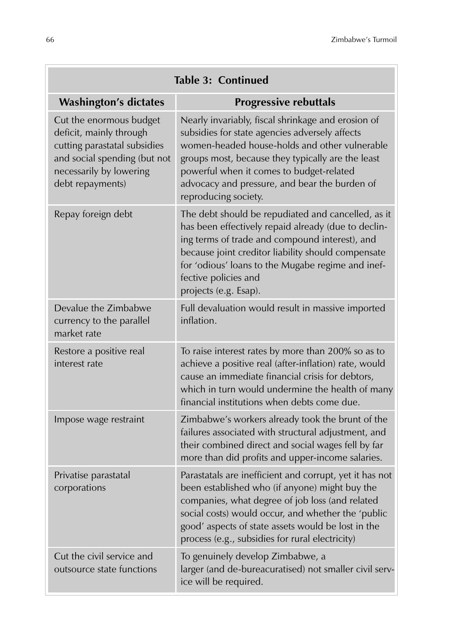ł

| <b>Table 3: Continued</b>                                                                                                                                         |                                                                                                                                                                                                                                                                                                                                 |  |
|-------------------------------------------------------------------------------------------------------------------------------------------------------------------|---------------------------------------------------------------------------------------------------------------------------------------------------------------------------------------------------------------------------------------------------------------------------------------------------------------------------------|--|
| <b>Washington's dictates</b>                                                                                                                                      | <b>Progressive rebuttals</b>                                                                                                                                                                                                                                                                                                    |  |
| Cut the enormous budget<br>deficit, mainly through<br>cutting parastatal subsidies<br>and social spending (but not<br>necessarily by lowering<br>debt repayments) | Nearly invariably, fiscal shrinkage and erosion of<br>subsidies for state agencies adversely affects<br>women-headed house-holds and other vulnerable<br>groups most, because they typically are the least<br>powerful when it comes to budget-related<br>advocacy and pressure, and bear the burden of<br>reproducing society. |  |
| Repay foreign debt                                                                                                                                                | The debt should be repudiated and cancelled, as it<br>has been effectively repaid already (due to declin-<br>ing terms of trade and compound interest), and<br>because joint creditor liability should compensate<br>for 'odious' loans to the Mugabe regime and inef-<br>fective policies and<br>projects (e.g. Esap).         |  |
| Devalue the Zimbabwe<br>currency to the parallel<br>market rate                                                                                                   | Full devaluation would result in massive imported<br>inflation.                                                                                                                                                                                                                                                                 |  |
| Restore a positive real<br>interest rate                                                                                                                          | To raise interest rates by more than 200% so as to<br>achieve a positive real (after-inflation) rate, would<br>cause an immediate financial crisis for debtors,<br>which in turn would undermine the health of many<br>financial institutions when debts come due.                                                              |  |
| Impose wage restraint                                                                                                                                             | Zimbabwe's workers already took the brunt of the<br>failures associated with structural adjustment, and<br>their combined direct and social wages fell by far<br>more than did profits and upper-income salaries.                                                                                                               |  |
| Privatise parastatal<br>corporations                                                                                                                              | Parastatals are inefficient and corrupt, yet it has not<br>been established who (if anyone) might buy the<br>companies, what degree of job loss (and related<br>social costs) would occur, and whether the 'public<br>good' aspects of state assets would be lost in the<br>process (e.g., subsidies for rural electricity)     |  |
| Cut the civil service and<br>outsource state functions                                                                                                            | To genuinely develop Zimbabwe, a<br>larger (and de-bureacuratised) not smaller civil serv-<br>ice will be required.                                                                                                                                                                                                             |  |

Ξ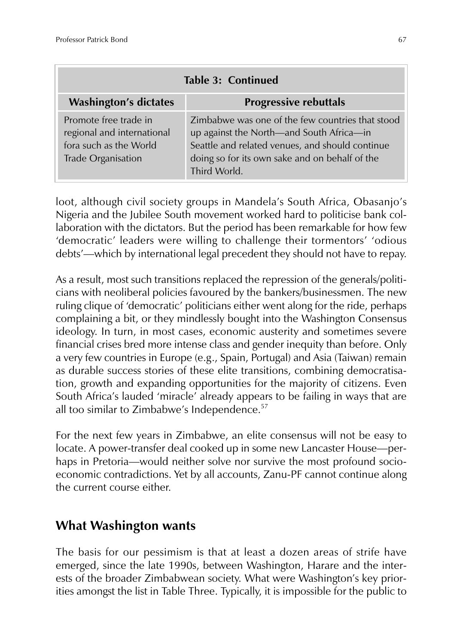| <b>Table 3: Continued</b>                                                                           |                                                                                                                                                                                                                   |  |
|-----------------------------------------------------------------------------------------------------|-------------------------------------------------------------------------------------------------------------------------------------------------------------------------------------------------------------------|--|
| <b>Washington's dictates</b>                                                                        | <b>Progressive rebuttals</b>                                                                                                                                                                                      |  |
| Promote free trade in<br>regional and international<br>fora such as the World<br>Trade Organisation | Zimbabwe was one of the few countries that stood<br>up against the North—and South Africa—in<br>Seattle and related venues, and should continue<br>doing so for its own sake and on behalf of the<br>Third World. |  |

loot, although civil society groups in Mandela's South Africa, Obasanjo's Nigeria and the Jubilee South movement worked hard to politicise bank collaboration with the dictators. But the period has been remarkable for how few 'democratic' leaders were willing to challenge their tormentors' 'odious debts'—which by international legal precedent they should not have to repay.

As a result, most such transitions replaced the repression of the generals/politicians with neoliberal policies favoured by the bankers/businessmen. The new ruling clique of 'democratic' politicians either went along for the ride, perhaps complaining a bit, or they mindlessly bought into the Washington Consensus ideology. In turn, in most cases, economic austerity and sometimes severe financial crises bred more intense class and gender inequity than before. Only a very few countries in Europe (e.g., Spain, Portugal) and Asia (Taiwan) remain as durable success stories of these elite transitions, combining democratisation, growth and expanding opportunities for the majority of citizens. Even South Africa's lauded 'miracle' already appears to be failing in ways that are all too similar to Zimbabwe's Independence. $57$ 

For the next few years in Zimbabwe, an elite consensus will not be easy to locate. A power-transfer deal cooked up in some new Lancaster House—perhaps in Pretoria—would neither solve nor survive the most profound socioeconomic contradictions. Yet by all accounts, Zanu-PF cannot continue along the current course either.

## **What Washington wants**

The basis for our pessimism is that at least a dozen areas of strife have emerged, since the late 1990s, between Washington, Harare and the interests of the broader Zimbabwean society. What were Washington's key priorities amongst the list in Table Three. Typically, it is impossible for the public to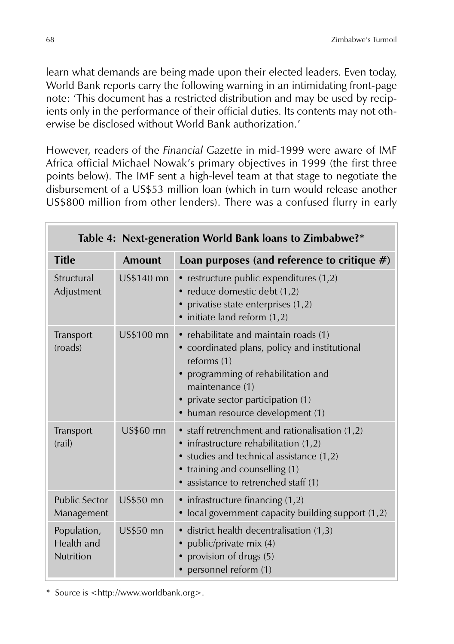learn what demands are being made upon their elected leaders. Even today, World Bank reports carry the following warning in an intimidating front-page note: 'This document has a restricted distribution and may be used by recipients only in the performance of their official duties. Its contents may not otherwise be disclosed without World Bank authorization.'

However, readers of the *Financial Gazette* in mid-1999 were aware of IMF Africa official Michael Nowak's primary objectives in 1999 (the first three points below). The IMF sent a high-level team at that stage to negotiate the disbursement of a US\$53 million loan (which in turn would release another US\$800 million from other lenders). There was a confused flurry in early

| Table 4: Next-generation World Bank loans to Zimbabwe?* |                  |                                                                                                                                                                                                                                           |
|---------------------------------------------------------|------------------|-------------------------------------------------------------------------------------------------------------------------------------------------------------------------------------------------------------------------------------------|
| <b>Title</b>                                            | <b>Amount</b>    | Loan purposes (and reference to critique $#$ )                                                                                                                                                                                            |
| Structural<br>Adjustment                                | US\$140 mn       | • restructure public expenditures (1,2)<br>• reduce domestic debt (1,2)<br>• privatise state enterprises (1,2)<br>· initiate land reform (1,2)                                                                                            |
| Transport<br>(roads)                                    | US\$100 mn       | • rehabilitate and maintain roads (1)<br>• coordinated plans, policy and institutional<br>reforms (1)<br>• programming of rehabilitation and<br>maintenance (1)<br>• private sector participation (1)<br>• human resource development (1) |
| Transport<br>(rail)                                     | <b>US\$60 mn</b> | • staff retrenchment and rationalisation $(1,2)$<br>• infrastructure rehabilitation (1,2)<br>• studies and technical assistance (1,2)<br>• training and counselling (1)<br>· assistance to retrenched staff (1)                           |
| <b>Public Sector</b><br>Management                      | <b>US\$50 mn</b> | • infrastructure financing (1,2)<br>• local government capacity building support (1,2)                                                                                                                                                    |
| Population,<br>Health and<br><b>Nutrition</b>           | <b>US\$50 mn</b> | · district health decentralisation (1,3)<br>public/private mix (4)<br>• provision of drugs (5)<br>• personnel reform (1)                                                                                                                  |

\* Source is <http://www.worldbank.org>.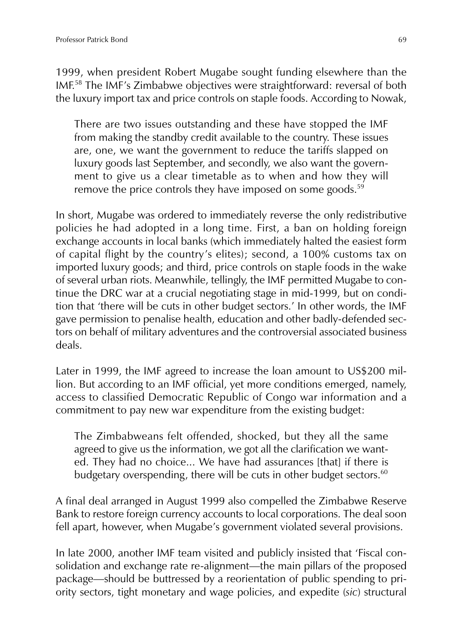1999, when president Robert Mugabe sought funding elsewhere than the IMF.<sup>58</sup> The IMF's Zimbabwe objectives were straightforward: reversal of both the luxury import tax and price controls on staple foods. According to Nowak,

There are two issues outstanding and these have stopped the IMF from making the standby credit available to the country. These issues are, one, we want the government to reduce the tariffs slapped on luxury goods last September, and secondly, we also want the government to give us a clear timetable as to when and how they will remove the price controls they have imposed on some goods.<sup>59</sup>

In short, Mugabe was ordered to immediately reverse the only redistributive policies he had adopted in a long time. First, a ban on holding foreign exchange accounts in local banks (which immediately halted the easiest form of capital flight by the country's elites); second, a 100% customs tax on imported luxury goods; and third, price controls on staple foods in the wake of several urban riots. Meanwhile, tellingly, the IMF permitted Mugabe to continue the DRC war at a crucial negotiating stage in mid-1999, but on condition that 'there will be cuts in other budget sectors.' In other words, the IMF gave permission to penalise health, education and other badly-defended sectors on behalf of military adventures and the controversial associated business deals.

Later in 1999, the IMF agreed to increase the loan amount to US\$200 million. But according to an IMF official, yet more conditions emerged, namely, access to classified Democratic Republic of Congo war information and a commitment to pay new war expenditure from the existing budget:

The Zimbabweans felt offended, shocked, but they all the same agreed to give us the information, we got all the clarification we wanted. They had no choice... We have had assurances [that] if there is budgetary overspending, there will be cuts in other budget sectors.<sup>60</sup>

A final deal arranged in August 1999 also compelled the Zimbabwe Reserve Bank to restore foreign currency accounts to local corporations. The deal soon fell apart, however, when Mugabe's government violated several provisions.

In late 2000, another IMF team visited and publicly insisted that 'Fiscal consolidation and exchange rate re-alignment—the main pillars of the proposed package—should be buttressed by a reorientation of public spending to priority sectors, tight monetary and wage policies, and expedite (*sic*) structural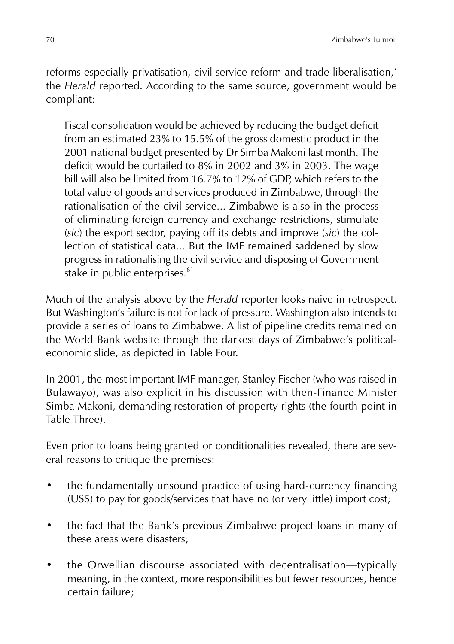reforms especially privatisation, civil service reform and trade liberalisation,' the *Herald* reported. According to the same source, government would be compliant:

Fiscal consolidation would be achieved by reducing the budget deficit from an estimated 23% to 15.5% of the gross domestic product in the 2001 national budget presented by Dr Simba Makoni last month. The deficit would be curtailed to 8% in 2002 and 3% in 2003. The wage bill will also be limited from 16.7% to 12% of GDP, which refers to the total value of goods and services produced in Zimbabwe, through the rationalisation of the civil service... Zimbabwe is also in the process of eliminating foreign currency and exchange restrictions, stimulate (*sic*) the export sector, paying off its debts and improve (*sic*) the collection of statistical data... But the IMF remained saddened by slow progress in rationalising the civil service and disposing of Government stake in public enterprises.<sup>61</sup>

Much of the analysis above by the *Herald* reporter looks naive in retrospect. But Washington's failure is not for lack of pressure. Washington also intends to provide a series of loans to Zimbabwe. A list of pipeline credits remained on the World Bank website through the darkest days of Zimbabwe's politicaleconomic slide, as depicted in Table Four.

In 2001, the most important IMF manager, Stanley Fischer (who was raised in Bulawayo), was also explicit in his discussion with then-Finance Minister Simba Makoni, demanding restoration of property rights (the fourth point in Table Three).

Even prior to loans being granted or conditionalities revealed, there are several reasons to critique the premises:

- the fundamentally unsound practice of using hard-currency financing (US\$) to pay for goods/services that have no (or very little) import cost;
- the fact that the Bank's previous Zimbabwe project loans in many of these areas were disasters;
- the Orwellian discourse associated with decentralisation—typically meaning, in the context, more responsibilities but fewer resources, hence certain failure;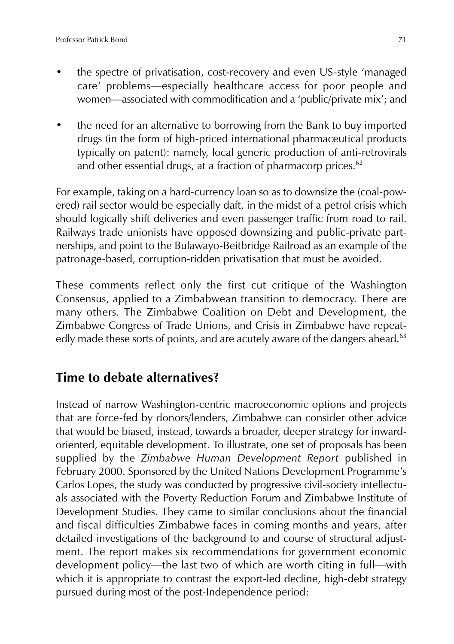- the spectre of privatisation, cost-recovery and even US-style 'managed care' problems—especially healthcare access for poor people and women—associated with commodification and a 'public/private mix'; and
- the need for an alternative to borrowing from the Bank to buy imported drugs (in the form of high-priced international pharmaceutical products typically on patent): namely, local generic production of anti-retrovirals and other essential drugs, at a fraction of pharmacorp prices. $62$

For example, taking on a hard-currency loan so as to downsize the (coal-powered) rail sector would be especially daft, in the midst of a petrol crisis which should logically shift deliveries and even passenger traffic from road to rail. Railways trade unionists have opposed downsizing and public-private partnerships, and point to the Bulawayo-Beitbridge Railroad as an example of the patronage-based, corruption-ridden privatisation that must be avoided.

These comments reflect only the first cut critique of the Washington Consensus, applied to a Zimbabwean transition to democracy. There are many others. The Zimbabwe Coalition on Debt and Development, the Zimbabwe Congress of Trade Unions, and Crisis in Zimbabwe have repeatedly made these sorts of points, and are acutely aware of the dangers ahead.<sup>63</sup>

## **Time to debate alternatives?**

Instead of narrow Washington-centric macroeconomic options and projects that are force-fed by donors/lenders, Zimbabwe can consider other advice that would be biased, instead, towards a broader, deeper strategy for inwardoriented, equitable development. To illustrate, one set of proposals has been supplied by the *Zimbabwe Human Development Report* published in February 2000. Sponsored by the United Nations Development Programme's Carlos Lopes, the study was conducted by progressive civil-society intellectuals associated with the Poverty Reduction Forum and Zimbabwe Institute of Development Studies. They came to similar conclusions about the financial and fiscal difficulties Zimbabwe faces in coming months and years, after detailed investigations of the background to and course of structural adjustment. The report makes six recommendations for government economic development policy—the last two of which are worth citing in full—with which it is appropriate to contrast the export-led decline, high-debt strategy pursued during most of the post-Independence period: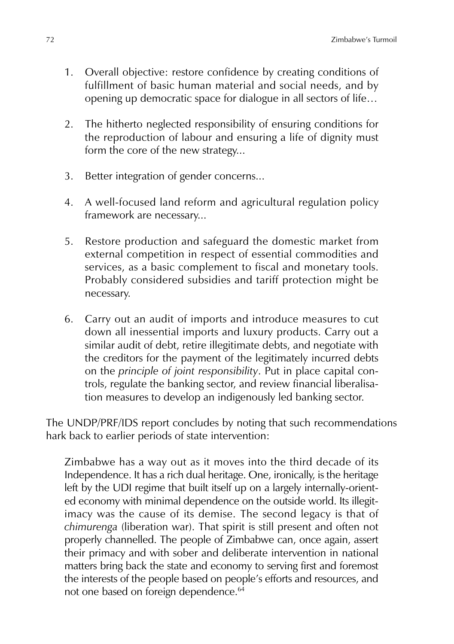- 1. Overall objective: restore confidence by creating conditions of fulfillment of basic human material and social needs, and by opening up democratic space for dialogue in all sectors of life…
- 2. The hitherto neglected responsibility of ensuring conditions for the reproduction of labour and ensuring a life of dignity must form the core of the new strategy...
- 3. Better integration of gender concerns...
- 4. A well-focused land reform and agricultural regulation policy framework are necessary...
- 5. Restore production and safeguard the domestic market from external competition in respect of essential commodities and services, as a basic complement to fiscal and monetary tools. Probably considered subsidies and tariff protection might be necessary.
- 6. Carry out an audit of imports and introduce measures to cut down all inessential imports and luxury products. Carry out a similar audit of debt, retire illegitimate debts, and negotiate with the creditors for the payment of the legitimately incurred debts on the *principle of joint responsibility*. Put in place capital controls, regulate the banking sector, and review financial liberalisation measures to develop an indigenously led banking sector.

The UNDP/PRF/IDS report concludes by noting that such recommendations hark back to earlier periods of state intervention:

Zimbabwe has a way out as it moves into the third decade of its Independence. It has a rich dual heritage. One, ironically, is the heritage left by the UDI regime that built itself up on a largely internally-oriented economy with minimal dependence on the outside world. Its illegitimacy was the cause of its demise. The second legacy is that of *chimurenga* (liberation war). That spirit is still present and often not properly channelled. The people of Zimbabwe can, once again, assert their primacy and with sober and deliberate intervention in national matters bring back the state and economy to serving first and foremost the interests of the people based on people's efforts and resources, and not one based on foreign dependence.<sup>64</sup>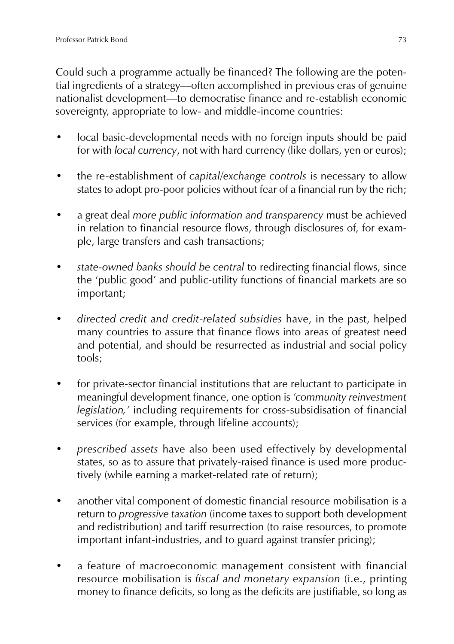Could such a programme actually be financed? The following are the potential ingredients of a strategy—often accomplished in previous eras of genuine nationalist development—to democratise finance and re-establish economic sovereignty, appropriate to low- and middle-income countries:

- local basic-developmental needs with no foreign inputs should be paid for with *local currency*, not with hard currency (like dollars, yen or euros);
- the re-establishment of *capital/exchange controls* is necessary to allow states to adopt pro-poor policies without fear of a financial run by the rich;
- a great deal *more public information and transparency* must be achieved in relation to financial resource flows, through disclosures of, for example, large transfers and cash transactions;
- *state-owned banks should be central* to redirecting financial flows, since the 'public good' and public-utility functions of financial markets are so important;
- *directed credit and credit-related subsidies* have, in the past, helped many countries to assure that finance flows into areas of greatest need and potential, and should be resurrected as industrial and social policy tools;
- for private-sector financial institutions that are reluctant to participate in meaningful development finance, one option is *'community reinvestment legislation,'* including requirements for cross-subsidisation of financial services (for example, through lifeline accounts);
- *prescribed assets* have also been used effectively by developmental states, so as to assure that privately-raised finance is used more productively (while earning a market-related rate of return);
- another vital component of domestic financial resource mobilisation is a return to *progressive taxation* (income taxes to support both development and redistribution) and tariff resurrection (to raise resources, to promote important infant-industries, and to guard against transfer pricing);
- a feature of macroeconomic management consistent with financial resource mobilisation is *fiscal and monetary expansion* (i.e., printing money to finance deficits, so long as the deficits are justifiable, so long as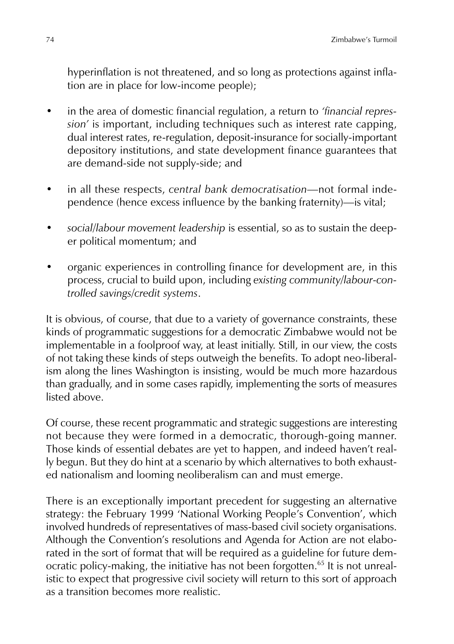hyperinflation is not threatened, and so long as protections against inflation are in place for low-income people);

- in the area of domestic financial regulation, a return to *'financial repression'* is important, including techniques such as interest rate capping, dual interest rates, re-regulation, deposit-insurance for socially-important depository institutions, and state development finance guarantees that are demand-side not supply-side; and
- in all these respects, *central bank democratisation*—not formal independence (hence excess influence by the banking fraternity)—is vital;
- *social/labour movement leadership* is essential, so as to sustain the deeper political momentum; and
- organic experiences in controlling finance for development are, in this process, crucial to build upon, including *existing community/labour-controlled savings/credit systems*.

It is obvious, of course, that due to a variety of governance constraints, these kinds of programmatic suggestions for a democratic Zimbabwe would not be implementable in a foolproof way, at least initially. Still, in our view, the costs of not taking these kinds of steps outweigh the benefits. To adopt neo-liberalism along the lines Washington is insisting, would be much more hazardous than gradually, and in some cases rapidly, implementing the sorts of measures listed above.

Of course, these recent programmatic and strategic suggestions are interesting not because they were formed in a democratic, thorough-going manner. Those kinds of essential debates are yet to happen, and indeed haven't really begun. But they do hint at a scenario by which alternatives to both exhausted nationalism and looming neoliberalism can and must emerge.

There is an exceptionally important precedent for suggesting an alternative strategy: the February 1999 'National Working People's Convention', which involved hundreds of representatives of mass-based civil society organisations. Although the Convention's resolutions and Agenda for Action are not elaborated in the sort of format that will be required as a guideline for future democratic policy-making, the initiative has not been forgotten.<sup>65</sup> It is not unrealistic to expect that progressive civil society will return to this sort of approach as a transition becomes more realistic.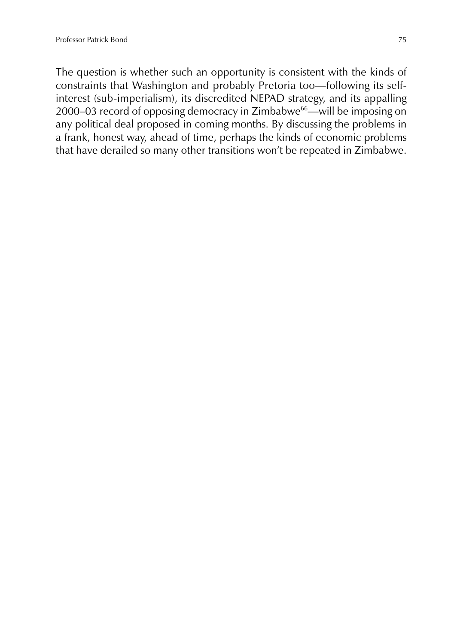The question is whether such an opportunity is consistent with the kinds of constraints that Washington and probably Pretoria too—following its selfinterest (sub-imperialism), its discredited NEPAD strategy, and its appalling 2000–03 record of opposing democracy in Zimbabwe<sup>66</sup>—will be imposing on any political deal proposed in coming months. By discussing the problems in a frank, honest way, ahead of time, perhaps the kinds of economic problems that have derailed so many other transitions won't be repeated in Zimbabwe.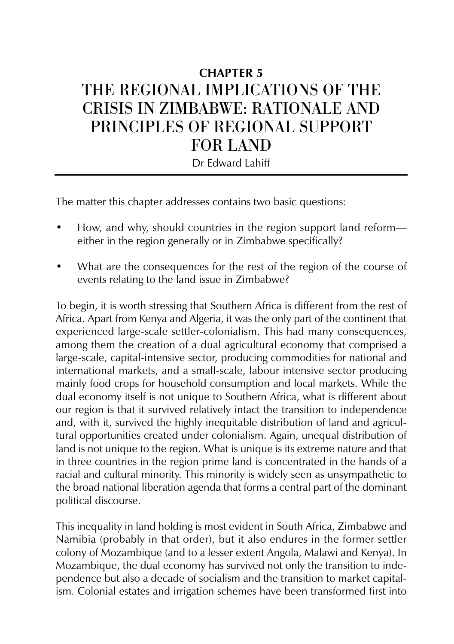# **CHAPTER 5** THE REGIONAL IMPLICATIONS OF THE CRISIS IN ZIMBABWE: RATIONALE AND PRINCIPLES OF REGIONAL SUPPORT FOR LAND

Dr Edward Lahiff

The matter this chapter addresses contains two basic questions:

- How, and why, should countries in the region support land reform either in the region generally or in Zimbabwe specifically?
- What are the consequences for the rest of the region of the course of events relating to the land issue in Zimbabwe?

To begin, it is worth stressing that Southern Africa is different from the rest of Africa. Apart from Kenya and Algeria, it was the only part of the continent that experienced large-scale settler-colonialism. This had many consequences, among them the creation of a dual agricultural economy that comprised a large-scale, capital-intensive sector, producing commodities for national and international markets, and a small-scale, labour intensive sector producing mainly food crops for household consumption and local markets. While the dual economy itself is not unique to Southern Africa, what is different about our region is that it survived relatively intact the transition to independence and, with it, survived the highly inequitable distribution of land and agricultural opportunities created under colonialism. Again, unequal distribution of land is not unique to the region. What is unique is its extreme nature and that in three countries in the region prime land is concentrated in the hands of a racial and cultural minority. This minority is widely seen as unsympathetic to the broad national liberation agenda that forms a central part of the dominant political discourse.

This inequality in land holding is most evident in South Africa, Zimbabwe and Namibia (probably in that order), but it also endures in the former settler colony of Mozambique (and to a lesser extent Angola, Malawi and Kenya). In Mozambique, the dual economy has survived not only the transition to independence but also a decade of socialism and the transition to market capitalism. Colonial estates and irrigation schemes have been transformed first into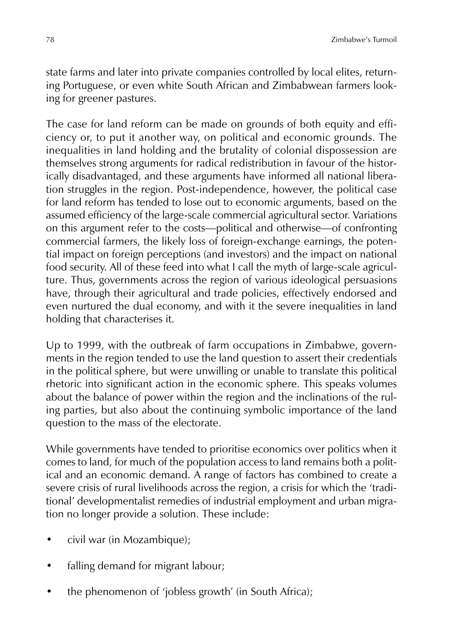state farms and later into private companies controlled by local elites, returning Portuguese, or even white South African and Zimbabwean farmers looking for greener pastures.

The case for land reform can be made on grounds of both equity and efficiency or, to put it another way, on political and economic grounds. The inequalities in land holding and the brutality of colonial dispossession are themselves strong arguments for radical redistribution in favour of the historically disadvantaged, and these arguments have informed all national liberation struggles in the region. Post-independence, however, the political case for land reform has tended to lose out to economic arguments, based on the assumed efficiency of the large-scale commercial agricultural sector. Variations on this argument refer to the costs—political and otherwise—of confronting commercial farmers, the likely loss of foreign-exchange earnings, the potential impact on foreign perceptions (and investors) and the impact on national food security. All of these feed into what I call the myth of large-scale agriculture. Thus, governments across the region of various ideological persuasions have, through their agricultural and trade policies, effectively endorsed and even nurtured the dual economy, and with it the severe inequalities in land holding that characterises it.

Up to 1999, with the outbreak of farm occupations in Zimbabwe, governments in the region tended to use the land question to assert their credentials in the political sphere, but were unwilling or unable to translate this political rhetoric into significant action in the economic sphere. This speaks volumes about the balance of power within the region and the inclinations of the ruling parties, but also about the continuing symbolic importance of the land question to the mass of the electorate.

While governments have tended to prioritise economics over politics when it comes to land, for much of the population access to land remains both a political and an economic demand. A range of factors has combined to create a severe crisis of rural livelihoods across the region, a crisis for which the 'traditional' developmentalist remedies of industrial employment and urban migration no longer provide a solution. These include:

- civil war (in Mozambique);
- falling demand for migrant labour;
- the phenomenon of 'jobless growth' (in South Africa);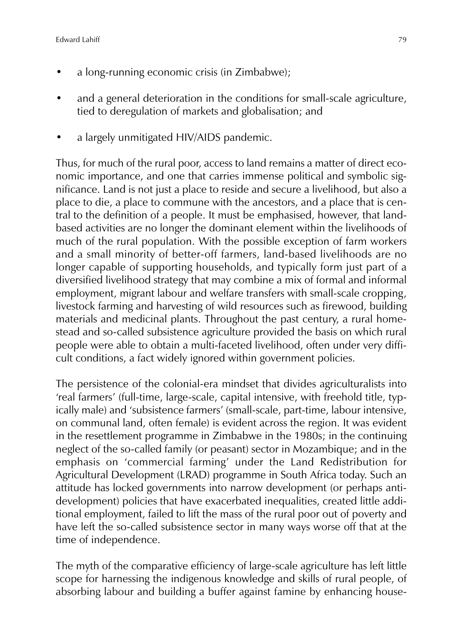- a long-running economic crisis (in Zimbabwe);
- and a general deterioration in the conditions for small-scale agriculture, tied to deregulation of markets and globalisation; and
- a largely unmitigated HIV/AIDS pandemic.

Thus, for much of the rural poor, access to land remains a matter of direct economic importance, and one that carries immense political and symbolic significance. Land is not just a place to reside and secure a livelihood, but also a place to die, a place to commune with the ancestors, and a place that is central to the definition of a people. It must be emphasised, however, that landbased activities are no longer the dominant element within the livelihoods of much of the rural population. With the possible exception of farm workers and a small minority of better-off farmers, land-based livelihoods are no longer capable of supporting households, and typically form just part of a diversified livelihood strategy that may combine a mix of formal and informal employment, migrant labour and welfare transfers with small-scale cropping, livestock farming and harvesting of wild resources such as firewood, building materials and medicinal plants. Throughout the past century, a rural homestead and so-called subsistence agriculture provided the basis on which rural people were able to obtain a multi-faceted livelihood, often under very difficult conditions, a fact widely ignored within government policies.

The persistence of the colonial-era mindset that divides agriculturalists into 'real farmers' (full-time, large-scale, capital intensive, with freehold title, typically male) and 'subsistence farmers' (small-scale, part-time, labour intensive, on communal land, often female) is evident across the region. It was evident in the resettlement programme in Zimbabwe in the 1980s; in the continuing neglect of the so-called family (or peasant) sector in Mozambique; and in the emphasis on 'commercial farming' under the Land Redistribution for Agricultural Development (LRAD) programme in South Africa today. Such an attitude has locked governments into narrow development (or perhaps antidevelopment) policies that have exacerbated inequalities, created little additional employment, failed to lift the mass of the rural poor out of poverty and have left the so-called subsistence sector in many ways worse off that at the time of independence.

The myth of the comparative efficiency of large-scale agriculture has left little scope for harnessing the indigenous knowledge and skills of rural people, of absorbing labour and building a buffer against famine by enhancing house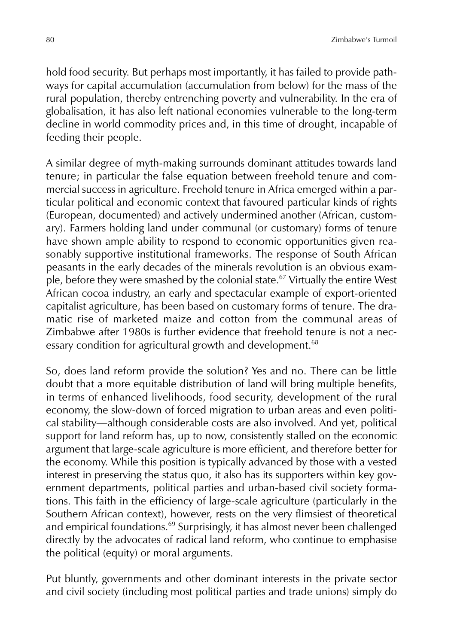hold food security. But perhaps most importantly, it has failed to provide pathways for capital accumulation (accumulation from below) for the mass of the rural population, thereby entrenching poverty and vulnerability. In the era of globalisation, it has also left national economies vulnerable to the long-term decline in world commodity prices and, in this time of drought, incapable of feeding their people.

A similar degree of myth-making surrounds dominant attitudes towards land tenure; in particular the false equation between freehold tenure and commercial success in agriculture. Freehold tenure in Africa emerged within a particular political and economic context that favoured particular kinds of rights (European, documented) and actively undermined another (African, customary). Farmers holding land under communal (or customary) forms of tenure have shown ample ability to respond to economic opportunities given reasonably supportive institutional frameworks. The response of South African peasants in the early decades of the minerals revolution is an obvious example, before they were smashed by the colonial state.<sup>67</sup> Virtually the entire West African cocoa industry, an early and spectacular example of export-oriented capitalist agriculture, has been based on customary forms of tenure. The dramatic rise of marketed maize and cotton from the communal areas of Zimbabwe after 1980s is further evidence that freehold tenure is not a necessary condition for agricultural growth and development.<sup>68</sup>

So, does land reform provide the solution? Yes and no. There can be little doubt that a more equitable distribution of land will bring multiple benefits, in terms of enhanced livelihoods, food security, development of the rural economy, the slow-down of forced migration to urban areas and even political stability—although considerable costs are also involved. And yet, political support for land reform has, up to now, consistently stalled on the economic argument that large-scale agriculture is more efficient, and therefore better for the economy. While this position is typically advanced by those with a vested interest in preserving the status quo, it also has its supporters within key government departments, political parties and urban-based civil society formations. This faith in the efficiency of large-scale agriculture (particularly in the Southern African context), however, rests on the very flimsiest of theoretical and empirical foundations.<sup>69</sup> Surprisingly, it has almost never been challenged directly by the advocates of radical land reform, who continue to emphasise the political (equity) or moral arguments.

Put bluntly, governments and other dominant interests in the private sector and civil society (including most political parties and trade unions) simply do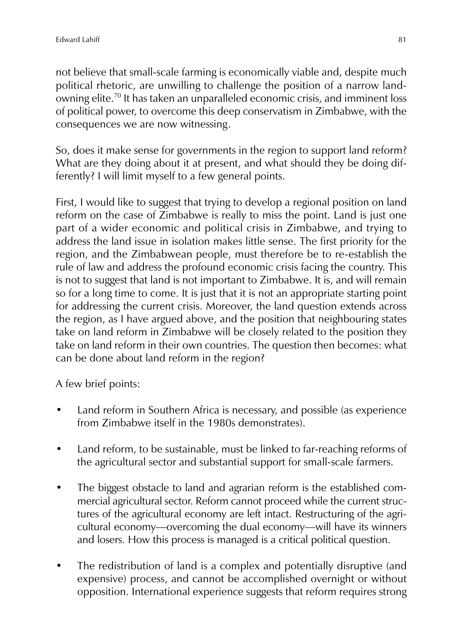not believe that small-scale farming is economically viable and, despite much political rhetoric, are unwilling to challenge the position of a narrow landowning elite.<sup>70</sup> It has taken an unparalleled economic crisis, and imminent loss of political power, to overcome this deep conservatism in Zimbabwe, with the consequences we are now witnessing.

So, does it make sense for governments in the region to support land reform? What are they doing about it at present, and what should they be doing differently? I will limit myself to a few general points.

First, I would like to suggest that trying to develop a regional position on land reform on the case of Zimbabwe is really to miss the point. Land is just one part of a wider economic and political crisis in Zimbabwe, and trying to address the land issue in isolation makes little sense. The first priority for the region, and the Zimbabwean people, must therefore be to re-establish the rule of law and address the profound economic crisis facing the country. This is not to suggest that land is not important to Zimbabwe. It is, and will remain so for a long time to come. It is just that it is not an appropriate starting point for addressing the current crisis. Moreover, the land question extends across the region, as I have argued above, and the position that neighbouring states take on land reform in Zimbabwe will be closely related to the position they take on land reform in their own countries. The question then becomes: what can be done about land reform in the region?

A few brief points:

- Land reform in Southern Africa is necessary, and possible (as experience from Zimbabwe itself in the 1980s demonstrates).
- Land reform, to be sustainable, must be linked to far-reaching reforms of the agricultural sector and substantial support for small-scale farmers.
- The biggest obstacle to land and agrarian reform is the established commercial agricultural sector. Reform cannot proceed while the current structures of the agricultural economy are left intact. Restructuring of the agricultural economy—overcoming the dual economy—will have its winners and losers. How this process is managed is a critical political question.
- The redistribution of land is a complex and potentially disruptive (and expensive) process, and cannot be accomplished overnight or without opposition. International experience suggests that reform requires strong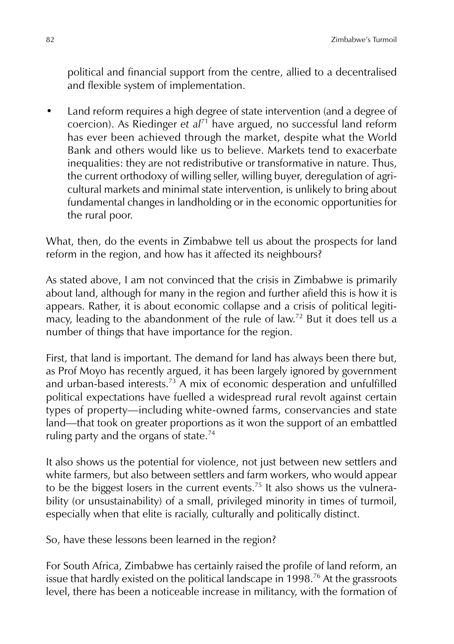political and financial support from the centre, allied to a decentralised and flexible system of implementation.

• Land reform requires a high degree of state intervention (and a degree of coercion). As Riedinger *et al*<sup>71</sup> have argued, no successful land reform has ever been achieved through the market, despite what the World Bank and others would like us to believe. Markets tend to exacerbate inequalities: they are not redistributive or transformative in nature. Thus, the current orthodoxy of willing seller, willing buyer, deregulation of agricultural markets and minimal state intervention, is unlikely to bring about fundamental changes in landholding or in the economic opportunities for the rural poor.

What, then, do the events in Zimbabwe tell us about the prospects for land reform in the region, and how has it affected its neighbours?

As stated above, I am not convinced that the crisis in Zimbabwe is primarily about land, although for many in the region and further afield this is how it is appears. Rather, it is about economic collapse and a crisis of political legitimacy, leading to the abandonment of the rule of law.<sup>72</sup> But it does tell us a number of things that have importance for the region.

First, that land is important. The demand for land has always been there but, as Prof Moyo has recently argued, it has been largely ignored by government and urban-based interests.<sup>73</sup> A mix of economic desperation and unfulfilled political expectations have fuelled a widespread rural revolt against certain types of property—including white-owned farms, conservancies and state land—that took on greater proportions as it won the support of an embattled ruling party and the organs of state.<sup>74</sup>

It also shows us the potential for violence, not just between new settlers and white farmers, but also between settlers and farm workers, who would appear to be the biggest losers in the current events.<sup>75</sup> It also shows us the vulnerability (or unsustainability) of a small, privileged minority in times of turmoil, especially when that elite is racially, culturally and politically distinct.

So, have these lessons been learned in the region?

For South Africa, Zimbabwe has certainly raised the profile of land reform, an issue that hardly existed on the political landscape in 1998.<sup>76</sup> At the grassroots level, there has been a noticeable increase in militancy, with the formation of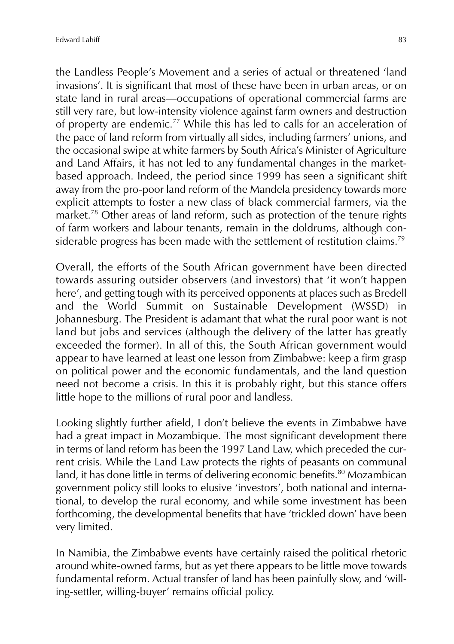the Landless People's Movement and a series of actual or threatened 'land invasions'. It is significant that most of these have been in urban areas, or on state land in rural areas—occupations of operational commercial farms are still very rare, but low-intensity violence against farm owners and destruction of property are endemic.<sup>77</sup> While this has led to calls for an acceleration of the pace of land reform from virtually all sides, including farmers' unions, and the occasional swipe at white farmers by South Africa's Minister of Agriculture and Land Affairs, it has not led to any fundamental changes in the marketbased approach. Indeed, the period since 1999 has seen a significant shift away from the pro-poor land reform of the Mandela presidency towards more explicit attempts to foster a new class of black commercial farmers, via the market.<sup>78</sup> Other areas of land reform, such as protection of the tenure rights of farm workers and labour tenants, remain in the doldrums, although considerable progress has been made with the settlement of restitution claims.<sup>79</sup>

Overall, the efforts of the South African government have been directed towards assuring outsider observers (and investors) that 'it won't happen here', and getting tough with its perceived opponents at places such as Bredell and the World Summit on Sustainable Development (WSSD) in Johannesburg. The President is adamant that what the rural poor want is not land but jobs and services (although the delivery of the latter has greatly exceeded the former). In all of this, the South African government would appear to have learned at least one lesson from Zimbabwe: keep a firm grasp on political power and the economic fundamentals, and the land question need not become a crisis. In this it is probably right, but this stance offers little hope to the millions of rural poor and landless.

Looking slightly further afield, I don't believe the events in Zimbabwe have had a great impact in Mozambique. The most significant development there in terms of land reform has been the 1997 Land Law, which preceded the current crisis. While the Land Law protects the rights of peasants on communal land, it has done little in terms of delivering economic benefits.<sup>80</sup> Mozambican government policy still looks to elusive 'investors', both national and international, to develop the rural economy, and while some investment has been forthcoming, the developmental benefits that have 'trickled down' have been very limited.

In Namibia, the Zimbabwe events have certainly raised the political rhetoric around white-owned farms, but as yet there appears to be little move towards fundamental reform. Actual transfer of land has been painfully slow, and 'willing-settler, willing-buyer' remains official policy.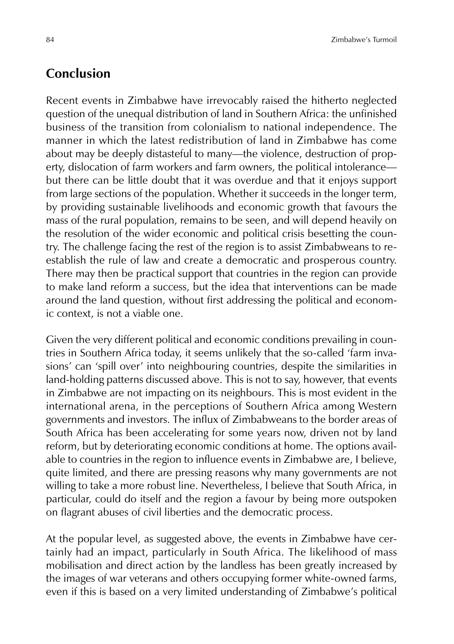## **Conclusion**

Recent events in Zimbabwe have irrevocably raised the hitherto neglected question of the unequal distribution of land in Southern Africa: the unfinished business of the transition from colonialism to national independence. The manner in which the latest redistribution of land in Zimbabwe has come about may be deeply distasteful to many—the violence, destruction of property, dislocation of farm workers and farm owners, the political intolerance but there can be little doubt that it was overdue and that it enjoys support from large sections of the population. Whether it succeeds in the longer term, by providing sustainable livelihoods and economic growth that favours the mass of the rural population, remains to be seen, and will depend heavily on the resolution of the wider economic and political crisis besetting the country. The challenge facing the rest of the region is to assist Zimbabweans to reestablish the rule of law and create a democratic and prosperous country. There may then be practical support that countries in the region can provide to make land reform a success, but the idea that interventions can be made around the land question, without first addressing the political and economic context, is not a viable one.

Given the very different political and economic conditions prevailing in countries in Southern Africa today, it seems unlikely that the so-called 'farm invasions' can 'spill over' into neighbouring countries, despite the similarities in land-holding patterns discussed above. This is not to say, however, that events in Zimbabwe are not impacting on its neighbours. This is most evident in the international arena, in the perceptions of Southern Africa among Western governments and investors. The influx of Zimbabweans to the border areas of South Africa has been accelerating for some years now, driven not by land reform, but by deteriorating economic conditions at home. The options available to countries in the region to influence events in Zimbabwe are, I believe, quite limited, and there are pressing reasons why many governments are not willing to take a more robust line. Nevertheless, I believe that South Africa, in particular, could do itself and the region a favour by being more outspoken on flagrant abuses of civil liberties and the democratic process.

At the popular level, as suggested above, the events in Zimbabwe have certainly had an impact, particularly in South Africa. The likelihood of mass mobilisation and direct action by the landless has been greatly increased by the images of war veterans and others occupying former white-owned farms, even if this is based on a very limited understanding of Zimbabwe's political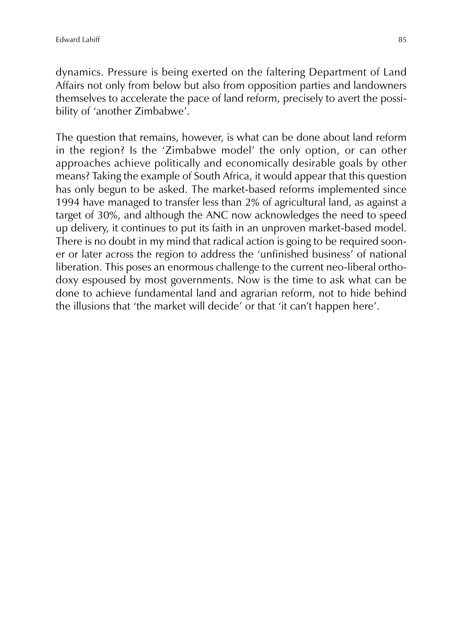dynamics. Pressure is being exerted on the faltering Department of Land Affairs not only from below but also from opposition parties and landowners themselves to accelerate the pace of land reform, precisely to avert the possibility of 'another Zimbabwe'.

The question that remains, however, is what can be done about land reform in the region? Is the 'Zimbabwe model' the only option, or can other approaches achieve politically and economically desirable goals by other means? Taking the example of South Africa, it would appear that this question has only begun to be asked. The market-based reforms implemented since 1994 have managed to transfer less than 2% of agricultural land, as against a target of 30%, and although the ANC now acknowledges the need to speed up delivery, it continues to put its faith in an unproven market-based model. There is no doubt in my mind that radical action is going to be required sooner or later across the region to address the 'unfinished business' of national liberation. This poses an enormous challenge to the current neo-liberal orthodoxy espoused by most governments. Now is the time to ask what can be done to achieve fundamental land and agrarian reform, not to hide behind the illusions that 'the market will decide' or that 'it can't happen here'.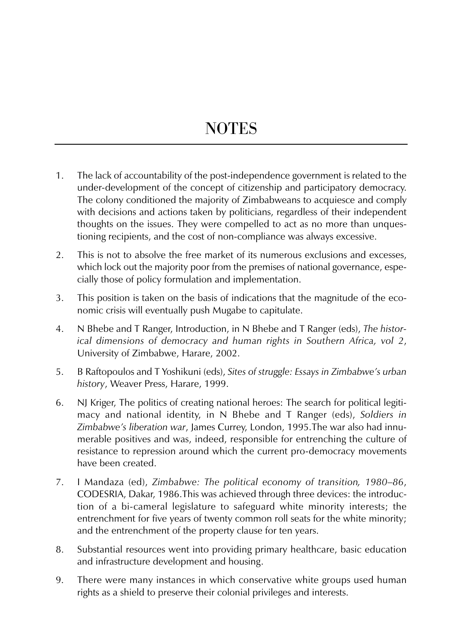## **NOTES**

- 1. The lack of accountability of the post-independence government is related to the under-development of the concept of citizenship and participatory democracy. The colony conditioned the majority of Zimbabweans to acquiesce and comply with decisions and actions taken by politicians, regardless of their independent thoughts on the issues. They were compelled to act as no more than unquestioning recipients, and the cost of non-compliance was always excessive.
- 2. This is not to absolve the free market of its numerous exclusions and excesses, which lock out the majority poor from the premises of national governance, especially those of policy formulation and implementation.
- 3. This position is taken on the basis of indications that the magnitude of the economic crisis will eventually push Mugabe to capitulate.
- 4. N Bhebe and T Ranger, Introduction, in N Bhebe and T Ranger (eds), *The historical dimensions of democracy and human rights in Southern Africa, vol 2*, University of Zimbabwe, Harare, 2002.
- 5. B Raftopoulos and T Yoshikuni (eds), *Sites of struggle: Essays in Zimbabwe's urban history*, Weaver Press, Harare, 1999.
- 6. NJ Kriger, The politics of creating national heroes: The search for political legitimacy and national identity, in N Bhebe and T Ranger (eds), *Soldiers in Zimbabwe's liberation war*, James Currey, London, 1995.The war also had innumerable positives and was, indeed, responsible for entrenching the culture of resistance to repression around which the current pro-democracy movements have been created.
- 7. I Mandaza (ed), *Zimbabwe: The political economy of transition, 1980*–*86*, CODESRIA, Dakar, 1986.This was achieved through three devices: the introduction of a bi-cameral legislature to safeguard white minority interests; the entrenchment for five years of twenty common roll seats for the white minority; and the entrenchment of the property clause for ten years.
- 8. Substantial resources went into providing primary healthcare, basic education and infrastructure development and housing.
- 9. There were many instances in which conservative white groups used human rights as a shield to preserve their colonial privileges and interests.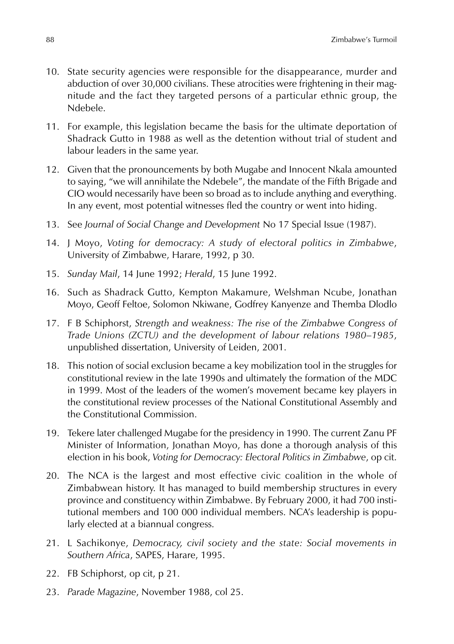- 10. State security agencies were responsible for the disappearance, murder and abduction of over 30,000 civilians. These atrocities were frightening in their magnitude and the fact they targeted persons of a particular ethnic group, the Ndebele.
- 11. For example, this legislation became the basis for the ultimate deportation of Shadrack Gutto in 1988 as well as the detention without trial of student and labour leaders in the same year.
- 12. Given that the pronouncements by both Mugabe and Innocent Nkala amounted to saying, "we will annihilate the Ndebele", the mandate of the Fifth Brigade and CIO would necessarily have been so broad as to include anything and everything. In any event, most potential witnesses fled the country or went into hiding.
- 13. See *Journal of Social Change and Development* No 17 Special Issue (1987).
- 14. J Moyo, *Voting for democracy: A study of electoral politics in Zimbabwe*, University of Zimbabwe, Harare, 1992, p 30.
- 15. *Sunday Mail*, 14 June 1992; *Herald*, 15 June 1992.
- 16. Such as Shadrack Gutto, Kempton Makamure, Welshman Ncube, Jonathan Moyo, Geoff Feltoe, Solomon Nkiwane, Godfrey Kanyenze and Themba Dlodlo
- 17. F B Schiphorst, *Strength and weakness: The rise of the Zimbabwe Congress of Trade Unions (ZCTU) and the development of labour relations 1980*–*1985*, unpublished dissertation, University of Leiden, 2001.
- 18. This notion of social exclusion became a key mobilization tool in the struggles for constitutional review in the late 1990s and ultimately the formation of the MDC in 1999. Most of the leaders of the women's movement became key players in the constitutional review processes of the National Constitutional Assembly and the Constitutional Commission.
- 19. Tekere later challenged Mugabe for the presidency in 1990. The current Zanu PF Minister of Information, Jonathan Moyo, has done a thorough analysis of this election in his book, *Voting for Democracy: Electoral Politics in Zimbabwe*, op cit.
- 20. The NCA is the largest and most effective civic coalition in the whole of Zimbabwean history. It has managed to build membership structures in every province and constituency within Zimbabwe. By February 2000, it had 700 institutional members and 100 000 individual members. NCA's leadership is popularly elected at a biannual congress.
- 21. L Sachikonye, *Democracy, civil society and the state: Social movements in Southern Africa*, SAPES, Harare, 1995.
- 22. FB Schiphorst, op cit, p 21.
- 23. *Parade Magazine*, November 1988, col 25.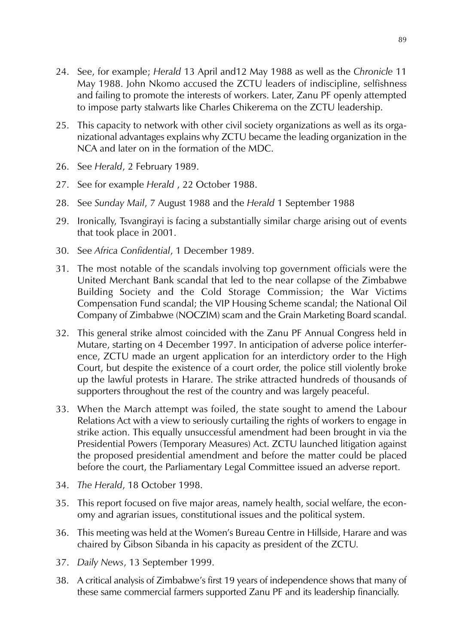- 24. See, for example; *Herald* 13 April and12 May 1988 as well as the *Chronicle* 11 May 1988. John Nkomo accused the ZCTU leaders of indiscipline, selfishness and failing to promote the interests of workers. Later, Zanu PF openly attempted to impose party stalwarts like Charles Chikerema on the ZCTU leadership.
- 25. This capacity to network with other civil society organizations as well as its organizational advantages explains why ZCTU became the leading organization in the NCA and later on in the formation of the MDC.
- 26. See *Herald*, 2 February 1989.
- 27. See for example *Herald* , 22 October 1988.
- 28. See *Sunday Mail*, 7 August 1988 and the *Herald* 1 September 1988
- 29. Ironically, Tsvangirayi is facing a substantially similar charge arising out of events that took place in 2001.
- 30. See *Africa Confidential*, 1 December 1989.
- 31. The most notable of the scandals involving top government officials were the United Merchant Bank scandal that led to the near collapse of the Zimbabwe Building Society and the Cold Storage Commission; the War Victims Compensation Fund scandal; the VIP Housing Scheme scandal; the National Oil Company of Zimbabwe (NOCZIM) scam and the Grain Marketing Board scandal.
- 32. This general strike almost coincided with the Zanu PF Annual Congress held in Mutare, starting on 4 December 1997. In anticipation of adverse police interference, ZCTU made an urgent application for an interdictory order to the High Court, but despite the existence of a court order, the police still violently broke up the lawful protests in Harare. The strike attracted hundreds of thousands of supporters throughout the rest of the country and was largely peaceful.
- 33. When the March attempt was foiled, the state sought to amend the Labour Relations Act with a view to seriously curtailing the rights of workers to engage in strike action. This equally unsuccessful amendment had been brought in via the Presidential Powers (Temporary Measures) Act. ZCTU launched litigation against the proposed presidential amendment and before the matter could be placed before the court, the Parliamentary Legal Committee issued an adverse report.
- 34. *The Herald*, 18 October 1998.
- 35. This report focused on five major areas, namely health, social welfare, the economy and agrarian issues, constitutional issues and the political system.
- 36. This meeting was held at the Women's Bureau Centre in Hillside, Harare and was chaired by Gibson Sibanda in his capacity as president of the ZCTU.
- 37. *Daily News*, 13 September 1999.
- 38. A critical analysis of Zimbabwe's first 19 years of independence shows that many of these same commercial farmers supported Zanu PF and its leadership financially.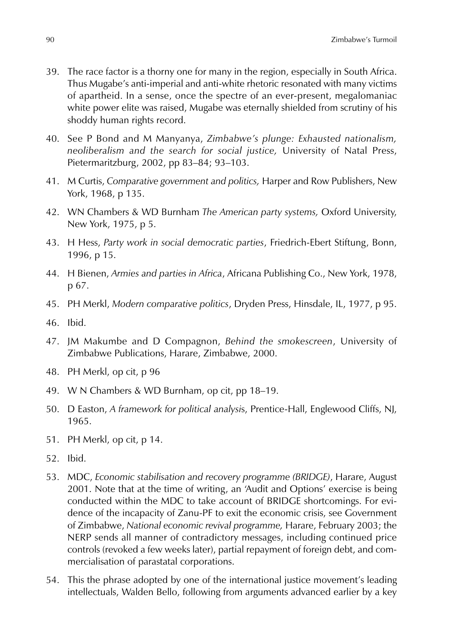- 39. The race factor is a thorny one for many in the region, especially in South Africa. Thus Mugabe's anti-imperial and anti-white rhetoric resonated with many victims of apartheid. In a sense, once the spectre of an ever-present, megalomaniac white power elite was raised, Mugabe was eternally shielded from scrutiny of his shoddy human rights record.
- 40. See P Bond and M Manyanya, *Zimbabwe's plunge: Exhausted nationalism, neoliberalism and the search for social justice,* University of Natal Press, Pietermaritzburg, 2002, pp 83–84; 93–103.
- 41. M Curtis, *Comparative government and politics,* Harper and Row Publishers, New York, 1968, p 135.
- 42. WN Chambers & WD Burnham *The American party systems,* Oxford University, New York, 1975, p 5.
- 43. H Hess, *Party work in social democratic parties*, Friedrich-Ebert Stiftung, Bonn, 1996, p 15.
- 44. H Bienen, *Armies and parties in Africa*, Africana Publishing Co., New York, 1978, p 67.
- 45. PH Merkl, *Modern comparative politics*, Dryden Press, Hinsdale, IL, 1977, p 95.
- 46. Ibid.
- 47. JM Makumbe and D Compagnon, *Behind the smokescreen*, University of Zimbabwe Publications, Harare, Zimbabwe, 2000.
- 48. PH Merkl, op cit, p 96
- 49. W N Chambers & WD Burnham, op cit, pp 18–19.
- 50. D Easton, *A framework for political analysi*s, Prentice-Hall, Englewood Cliffs, NJ, 1965.
- 51. PH Merkl, op cit, p 14.
- 52. Ibid.
- 53. MDC, *Economic stabilisation and recovery programme (BRIDGE)*, Harare, August 2001. Note that at the time of writing, an 'Audit and Options' exercise is being conducted within the MDC to take account of BRIDGE shortcomings. For evidence of the incapacity of Zanu-PF to exit the economic crisis, see Government of Zimbabwe, *National economic revival programme,* Harare, February 2003; the NERP sends all manner of contradictory messages, including continued price controls (revoked a few weeks later), partial repayment of foreign debt, and commercialisation of parastatal corporations.
- 54. This the phrase adopted by one of the international justice movement's leading intellectuals, Walden Bello, following from arguments advanced earlier by a key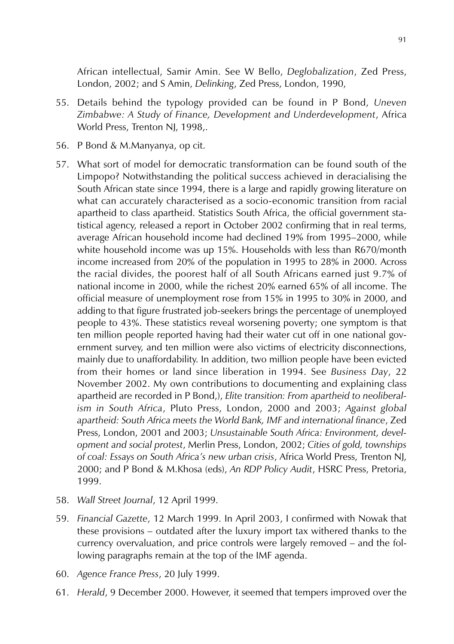African intellectual, Samir Amin. See W Bello, *Deglobalization*, Zed Press, London, 2002; and S Amin, *Delinking*, Zed Press, London, 1990,

- 55. Details behind the typology provided can be found in P Bond, *Uneven Zimbabwe: A Study of Finance, Development and Underdevelopment*, Africa World Press, Trenton NJ, 1998...
- 56. P Bond & M.Manyanya, op cit.
- 57. What sort of model for democratic transformation can be found south of the Limpopo? Notwithstanding the political success achieved in deracialising the South African state since 1994, there is a large and rapidly growing literature on what can accurately characterised as a socio-economic transition from racial apartheid to class apartheid. Statistics South Africa, the official government statistical agency, released a report in October 2002 confirming that in real terms, average African household income had declined 19% from 1995–2000, while white household income was up 15%. Households with less than R670/month income increased from 20% of the population in 1995 to 28% in 2000. Across the racial divides, the poorest half of all South Africans earned just 9.7% of national income in 2000, while the richest 20% earned 65% of all income. The official measure of unemployment rose from 15% in 1995 to 30% in 2000, and adding to that figure frustrated job-seekers brings the percentage of unemployed people to 43%. These statistics reveal worsening poverty; one symptom is that ten million people reported having had their water cut off in one national government survey, and ten million were also victims of electricity disconnections, mainly due to unaffordability. In addition, two million people have been evicted from their homes or land since liberation in 1994. See *Business Day*, 22 November 2002. My own contributions to documenting and explaining class apartheid are recorded in P Bond,), *Elite transition: From apartheid to neoliberalism in South Africa*, Pluto Press, London, 2000 and 2003; *Against global apartheid: South Africa meets the World Bank, IMF and international finance*, Zed Press, London, 2001 and 2003; *Unsustainable South Africa: Environment, development and social protest*, Merlin Press, London, 2002; *Cities of gold, townships of coal: Essays on South Africa's new urban crisis*, Africa World Press, Trenton NJ, 2000; and P Bond & M.Khosa (eds), *An RDP Policy Audit*, HSRC Press, Pretoria, 1999.
- 58. *Wall Street Journal*, 12 April 1999.
- 59. *Financial Gazette*, 12 March 1999. In April 2003, I confirmed with Nowak that these provisions – outdated after the luxury import tax withered thanks to the currency overvaluation, and price controls were largely removed – and the following paragraphs remain at the top of the IMF agenda.
- 60. *Agence France Press*, 20 July 1999.
- 61. *Herald*, 9 December 2000. However, it seemed that tempers improved over the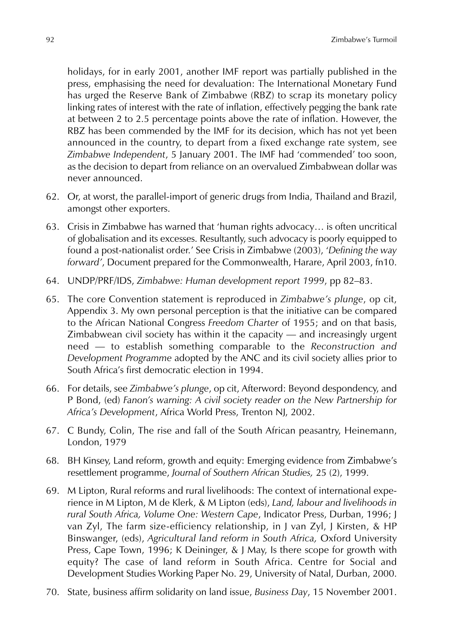holidays, for in early 2001, another IMF report was partially published in the press, emphasising the need for devaluation: The International Monetary Fund has urged the Reserve Bank of Zimbabwe (RBZ) to scrap its monetary policy linking rates of interest with the rate of inflation, effectively pegging the bank rate at between 2 to 2.5 percentage points above the rate of inflation. However, the RBZ has been commended by the IMF for its decision, which has not yet been announced in the country, to depart from a fixed exchange rate system, see *Zimbabwe Independent*, 5 January 2001. The IMF had 'commended' too soon, as the decision to depart from reliance on an overvalued Zimbabwean dollar was never announced.

- 62. Or, at worst, the parallel-import of generic drugs from India, Thailand and Brazil, amongst other exporters.
- 63. Crisis in Zimbabwe has warned that 'human rights advocacy… is often uncritical of globalisation and its excesses. Resultantly, such advocacy is poorly equipped to found a post-nationalist order.' See Crisis in Zimbabwe (2003), '*Defining the way forward'*, Document prepared for the Commonwealth, Harare, April 2003, fn10.
- 64. UNDP/PRF/IDS, *Zimbabwe: Human development report 1999*, pp 82–83.
- 65. The core Convention statement is reproduced in *Zimbabwe's plunge*, op cit, Appendix 3. My own personal perception is that the initiative can be compared to the African National Congress *Freedom Charter* of 1955; and on that basis, Zimbabwean civil society has within it the capacity — and increasingly urgent need — to establish something comparable to the *Reconstruction and Development Programme* adopted by the ANC and its civil society allies prior to South Africa's first democratic election in 1994.
- 66. For details, see *Zimbabwe's plunge*, op cit, Afterword: Beyond despondency, and P Bond, (ed) *Fanon's warning: A civil society reader on the New Partnership for Africa's Development*, Africa World Press, Trenton NJ, 2002.
- 67. C Bundy, Colin, The rise and fall of the South African peasantry, Heinemann, London, 1979
- 68. BH Kinsey, Land reform, growth and equity: Emerging evidence from Zimbabwe's resettlement programme, *Journal of Southern African Studies,* 25 (2), 1999.
- 69. M Lipton, Rural reforms and rural livelihoods: The context of international experience in M Lipton, M de Klerk, & M Lipton (eds), *Land, labour and livelihoods in rural South Africa, Volume One: Western Cape*, Indicator Press, Durban, 1996; J van Zyl, The farm size-efficiency relationship, in J van Zyl, J Kirsten, & HP Binswanger, (eds), *Agricultural land reform in South Africa,* Oxford University Press, Cape Town, 1996; K Deininger, & J May, Is there scope for growth with equity? The case of land reform in South Africa. Centre for Social and Development Studies Working Paper No. 29, University of Natal, Durban, 2000.
- 70. State, business affirm solidarity on land issue, *Business Day*, 15 November 2001.